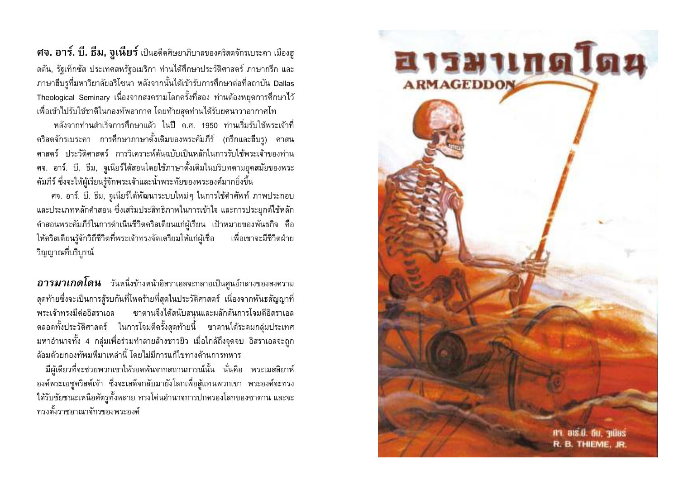ี **ศจ. อาร์. บี. ธีม, จูเนียร์** เป็นอดีตศิษยาภิบาลของคริสตจักรเบระคา เมืองฮู ิสตัน, รัฐเท็กซัส ประเทศสหรัฐอเมริกา ท่านได้ศึกษาประวัติศาสตร์ ภาษากรีก และ ภาษาฮีบรูที่มหาวิยาลัยอริโซนา หลังจากนั้นได้เข้ารับการศึกษาต่อที่สถาบัน Dallas Theological Seminary เนื่องจากสงครามโลกครั้งที่สอง ท่านต้องหยุดการศึกษาไว้ เพื่อเข้าไปรับใช้ชาติในกองทัพอากาศ โดยท้ายสุดท่านได้รับยศนาวาอากาศโท

หลังจากท่านสำเร็จการศึกษาแล้ว ในปี ค.ศ. 1950 ท่านเริ่มรับใช้พระเจ้าที่ ้คริสตจักรเบระคา การศึกษาภาษาดั้งเดิมของพระคัมภีร์ (กรีกและฮีบรุ) ศาสน ี่ ศาสตร์ ประวัติศาสตร์ การวิเคราะห์ต้นฉบับเป็นหลักในการรับใช้พระเจ้าของท่าน ิศจ. อาร์. บี. ธีม, จูเนียร์ได้สอนโดยใช้ภาษาดั้งเดิมในบริบทตามยุคสมัยของพระ ้คัมภีร์ ซึ่งจะให้ผู้เรียนรู้จักพระเจ้าและน้ำพระทัยของพระองค์มากยิ่งขึ้น

ี่ ศจ. อาร์. บี. ธีม, จูเนียร์ได้พัฒนาระบบใหม่ๆ ในการใช้คำศัพท์ ภาพประกอบ และประเภทหลักคำสอน ซึ่งเสริมประสิทธิภาพในการเข้าใจ และการประยุกต์ใช้หลัก ้คำสอนพระคัมภีร์ในการดำเนินชีวิตคริสเตียนแก่ผู้เรียน เป้าหมายของพันธกิจ คือ ให้คริสเตียนรู้จักวิถีชีวิตที่พระเจ้าทรงจัดเตรียมให้แก่ผู้เชื่อ เพื่อเขาจะมีชีวิตฝ่าย วิญญาณที่บริบรณ์

**อารมาเกดโดน** วันหนึ่งข้างหน้าอิสราเอลจะกลายเป็นศูนย์กลางของสงคราม ิสุดท้ายซึ่งจะเป็นการสู้รบกันที่โหดร้ายที่สุดในประวัติศาสตร์ เนื่องจากพันธสัญญาที่ พระเจ้าทรงมีต่ออิสราเอล ซาตานจึงได้สนับสนนและผลักดันการโจมตีอิสราเอล ิตลอดทั้งประวัติศาสตร์ ในการโจมตีครั้งสุดท้ายนี้ ซาตานได้ระดมกลุ่มประเทศ ้มหาอำนาจทั้ง 4 กลุ่มเพื่อร่วมทำลายล้างชาวยิว เมื่อใกล้ถึงจุดจบ อิสราเอลจะถูก ้ล้อมด้วยกองทัพมหึมาเหล่านี้ โดยไม่มีการแก้ไขทางด้านการทหาร

้มีผู้เดียวที่จะช่วยพวกเขาให้รอดพ้นจากสถานการณ์นั้น นั่นคือ พระเมสสิยาห์ ้องค์พระเยซูคริสต์เจ้า ซึ่งจะเสด็จกลับมายังโลกเพื่อสู้แทนพวกเขา พระองค์จะทรง ได้รับชัยชณะเหนือศัตรทั้งหลาย ทรงโค่นอำนาจการปกครองโลกของซาตาน และจะ ทรงตั้งราชอาณาจักรของพระองค์

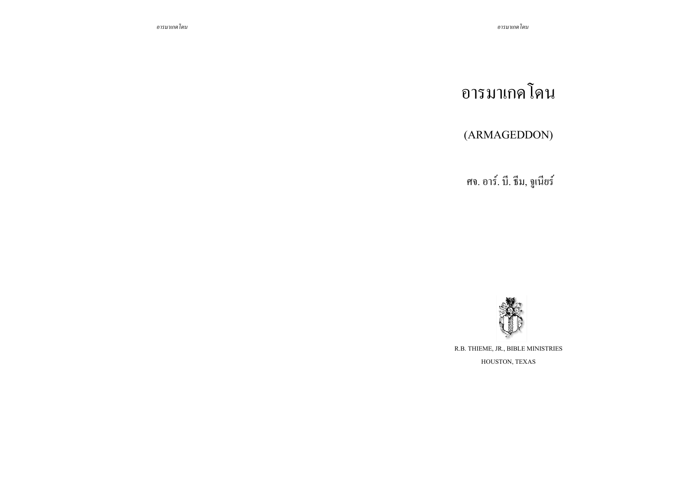# อารมาเกคโดน

## (ARMAGEDDON)

ศจ. อาร์. บี. ธีม, จูเนียร์



R.B. THIEME, JR., BIBLE MINISTRIES HOUSTON, TEXAS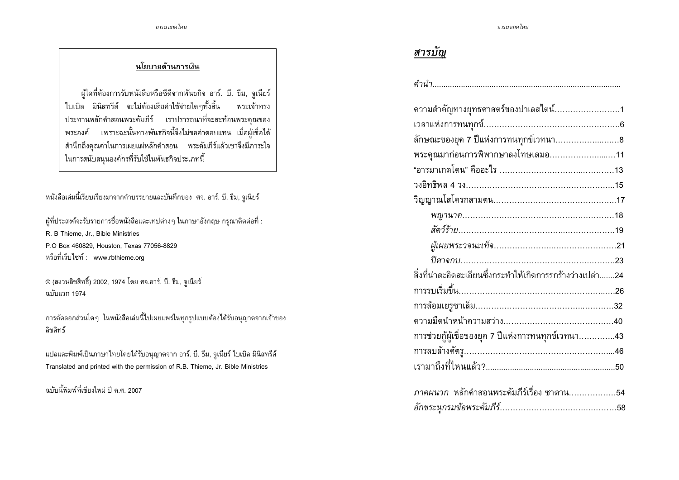#### นโยบายด้านการเงิน

ผู้ไดที่ต้องการรับหนังสือหรือซีดีจากพันธกิจ อาร์. บี. ธีม, จูเนียร์ ไบเบิล มินิสทรีส์ จะไม่ต้องเสียค่าใช้จ่ายใดๆทั้งสิ้น พระเจ้าทรง ประทานหลักคำสอนพระคัมภีร์ เราปรารถนาที่จะสะท้อนพระคุณของ ้ พระองค์ เพราะฉะนั้นทางพันธกิจนี้จึงไม่ขอค่าตอบแทน เมื่อผู้เชื่อได้ ้สำนึกถึงคุณค่าในการเผยแผ่หลักคำสอน พระคัมภีร์แล้วเขาจึงมีภาระใจ ในการสนับสนุนองค์กรที่รับใช้ในพันธกิจประเภทนี้

หนังสือเล่มนี้เรียบเรียงมาจากคำบรรยายและบันทึกของ ศจ. อาร์. บี. ธีม, จูเนียร์

ผู้ที่ประสงค์จะรับรายการชื่อหนังสือและเทปต่าง ๆ ในภาษาอังกฤษ กรุณาติดต่อที่ : R. B Thieme, Jr., Bible Ministries P.O Box 460829, Houston, Texas 77056-8829 หรือที่เว็บไซท์ : www.rbthieme.org

© (สงวนลิขสิทธิ์) 2002, 1974 โดย ศจ.อาร์. บี. ธีม, จูเนียร์ ฉบับแรก 1974

การคัดลอกส่วนใดๆ ในหนังสือเล่มนี้ไปเผยแพร่ในทุกรูปแบบต้องได้รับอนุญาตจากเจ้าของ ลิขสิทธ์

แปลและพิมพ์เป็นภาษาไทยโดยได้รับอนุญาตจาก อาร์. บี. รีม, จูเนียร์ ไบเบิล มินิสทรีส์ Translated and printed with the permission of R.B. Thieme, Jr. Bible Ministries

ฉบับนี้พิมพ์ที่เชียงใหม่ ปี ค ศ 2007

## สารบัญ

| ความสำคัญทางยุทธศาสตร์ของปาเลสไตน์1                        |
|------------------------------------------------------------|
|                                                            |
| ลักษณะของยุค 7 ปีแห่งการทนทุกข์เวทนา                       |
| พระคุณมาก่อนการพิพากษาลงโทษเสมอ11                          |
|                                                            |
|                                                            |
|                                                            |
|                                                            |
|                                                            |
|                                                            |
|                                                            |
| สิ่งที่น่าสะอิดสะเอียนซึ่งกระทำให้เกิดการรกร้างว่างเปล่า24 |
|                                                            |
|                                                            |
|                                                            |
| การช่วยกู้ผู้เชื่อของยุค 7 ปีแห่งการทนทุกข์เวทนา43         |
|                                                            |
|                                                            |
|                                                            |
| <i>ภาคผนวก</i> หลักคำสอนพระคัมภีร์เรื่อง ซาตาน54           |
|                                                            |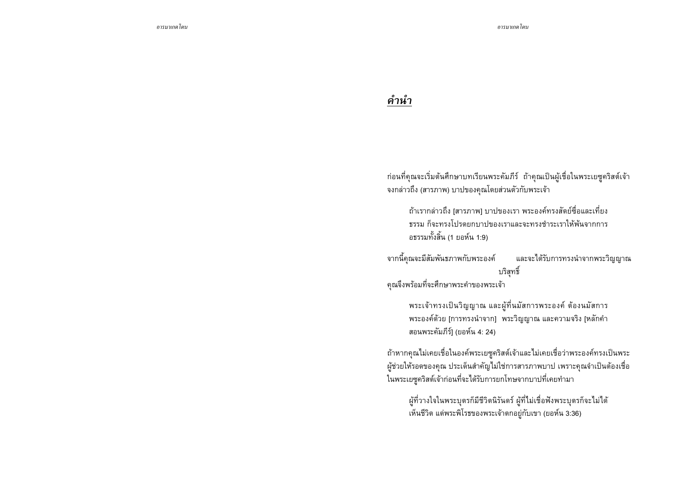# คำนำ

้ ก่อนที่คุณจะเริ่มต้นศึกษาบทเรียนพระคัมภีร์ ถ้าคุณเป็นผู้เชื่อในพระเยซูคริสต์เจ้า จงกล่าวถึง (สารภาพ) บาปของคุณโดยส่วนตัวกับพระเจ้า

ถ้าเรากล่าวถึง [สารภาพ] บาปของเรา พระองค์ทรงสัตย์ซื่อและเที่ยง ี ธรรม ก็จะทรงโปรดยกบาปของเราและจะทรงชำระเราให้พ้นจากการ อธรรมทั้งสิ้น (1 ยอห์น 1:9)

จากนี้คุณจะมีสัมพันธภาพกับพระองค์ และจะได้รับการทรงนำจากพระวิญญาณ บริสุทธิ์

คณจึงพร้อมที่จะศึกษาพระคำของพระเจ้า

พระเจ้าทรงเป็นวิญญาณ และผู้ที่นมัสการพระองค์ ต้องนมัสการ ี พระองค์ด้วย [การทรงนำจาก] พระวิญญาณ และความจริง [หลักคำ สอนพระคัมภีร์] (ยอห์น 4: 24)

ถ้าหากคุณไม่เคยเชื่อในองค์พระเยซูคริสต์เจ้าและไม่เคยเชื่อว่าพระองค์ทรงเป็นพระ ผู้ช่วยให้รอดของคุณ ประเด็นสำคัญไม่ใช่การสารภาพบาป เพราะคุณจำเป็นต้องเชื่อ ในพระเยซูคริสต์เจ้าก่อนที่จะได้รับการยกโทษจากบาปที่เคยทำมา

้ผู้ที่วางใจในพระบุตรก็มีชีวิตนิรันดร์ ผู้ที่ไม่เชื่อฟังพระบุตรก็จะไม่ได้ เห็นชีวิต แต่พระพิโรธของพระเจ้าตกอยู่กับเขา (ยอห์น 3:36)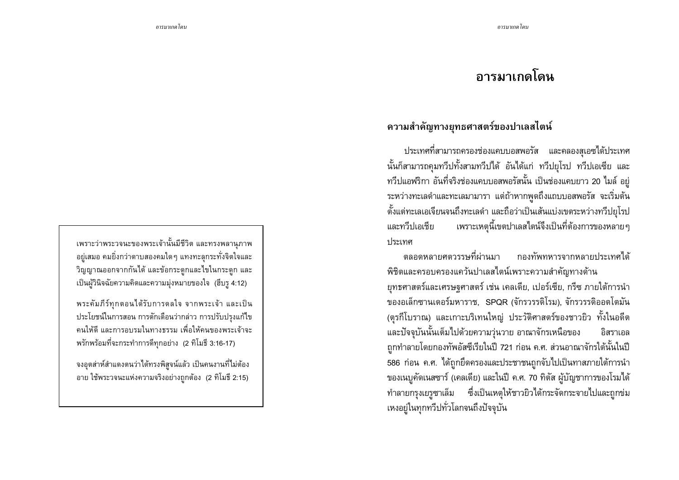# ้อารมาเกดโดน

# ้ความสำคัญทางยุทธศาสตร์ของปาเลสไตน์

ประเทศที่สามารถครองช่องแคบบอสพอรัส และคลองสุเอซได้ประเทศ นั้นก็สามารถคุมทวีปทั้งสามทวีปได้ อันได้แก่ ทวีปยุโรป ทวีปเอเซีย และ ทวีปแอฟริกา อันที่จริงช่องแคบบอสพอรัสนั้น เป็นช่องแคบยาว 20 ไมล์ อยู่ ระหว่างทะเลดำและทะเลมามารา แต่ถ้าหากพูดถึงแถบบอสพอรัส จะเริ่มต้น ้ตั้งแต่ทะเลเอเจียนจนถึงทะเลดำ และถือว่าเป็นเส้นแบ่งเขตระหว่างทวีปยุโรป ้ เพราะเหตุนี้เขตปาเลสไตน์จึงเป็นที่ต้องการของหลาย ๆ และทวีปเอเชีย 

ตลอดหลายศตารรษที่ผ่านมา กองทัพทหารจากหลายประเทศได้ พิชิตและครอบครองแคว้นปาเลสไตน์เพราะความสำคัญทางด้าน ยุทธศาสตร์และเศรษฐศาสตร์ เช่น เคลเดีย, เปอร์เซีย, กรีซ ภายใต้การนำ ของอเล็กซานเดอร์มหาราช, SPQR (จักรวรรดิโรม), จักรวรรดิออตโตมัน (ตุรกีโบราณ) และเกาะบริเทนใหญ่ ประวัติศาสตร์ของชาวยิว ทั้งในอดีต และปัจจุบันนั้นเต็มไปด้วยความวุ่นวาย อาณาจักรเหนือของ อิสราเอล ี่ ถูกทำลายโดยกองทัพอัสซีเรียในปี 721 ก่อน ค.ศ. ส่วนอาณาจักรใต้นั้นในปี 586 ก่อน ค.ศ. ได้ถูกยึดครองและประชาชนถูกจับไปเป็นทาสภายใต้การนำ ของเนบูคัดเนสซาร์ (เคลเดีย) และในปี ค.ศ. 70 ทิตัส ผู้บัญชาการของโรมได้ ทำลายกรุงเยรูซาเล็ม ซึ่งเป็นเหตุให้ชาวยิวได้กระจัดกระจายไปและถูกข่ม เหงอยู่ในทุกทวีปทั่วโลกจนถึงปัจจุบัน

้ เพราะว่าพระวจนะของพระเจ้านั้นมีชีวิต และทรงพลานุภาพ ้อยู่เสมอ คมยิ่งกว่าดาบสองคมใดๆ แทงทะลุกระทั่งจิตใจและ ้วิญญาณออกจากกันได้ และข้อกระดูกและไขในกระดูก และ เป็นผู้วินิจฉัยความคิดและความมุ่งหมายของใจ (ฮีบรู 4:12)

พระคัมภีร์ทุกตอนได้รับการดลใจ จากพระเจ้า และเป็น ประโยชน์ในการสอน การตักเตือนว่ากล่าว การปรับปรุงแก้ไข ้คนให้ดี และการอบรมในทางธรรม เพื่อให้คนของพระเจ้าจะ พรักพร้อมที่จะกระทำการดีทุกอย่าง (2 ทิโมธี 3:16-17)

้ จงอุตส่าห์สำแดงตนว่าได้ทรงพิสูจน์แล้ว เป็นคนงานที่ไม่ต้อง ้อาย ใช้พระวจนะแห่งความจริงอย่างถูกต้อง (2 ทิโมธี 2:15)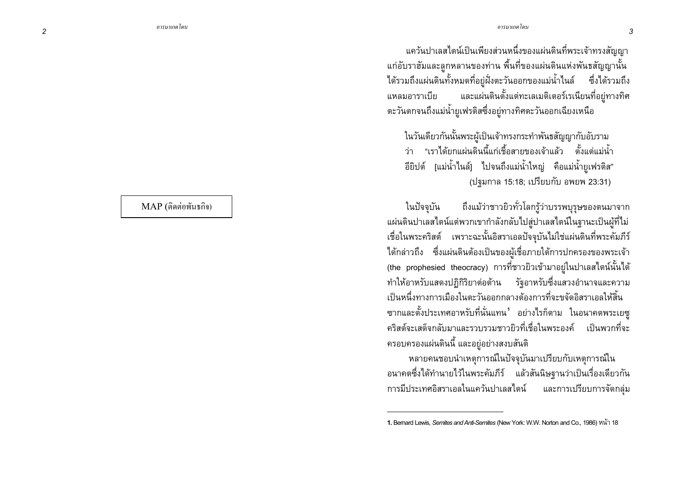แคว้นปาเลสไตน์เป็นเพียงส่วนหนึ่งของแผ่นดินที่พระเจ้าทรงสัญญา แก่อับราฮัมและลูกหลานของท่าน พื้นที่ของแผ่นดินแห่งพันธสัญญานั้น ได้รวมถึงแผ่นดินทั้งหมดที่อย่ฝั่งตะวันออกของแม่น้ำไนล์ ซึ่งได้รวมถึง ี และแผ่นดินตั้งแต่ทะเลเมดิเตอร์เรเนียนที่อยู่ทางทิศ แหลมอาราเบีย ตะวันตกจนถึงแม่น้ำยูเฟรติสซึ่งอยู่ทางทิศตะวันออกเฉียงเหนือ

ในวันเดียวกันนั้นพระผู้เป็นเจ้าทรงกระทำพันธสัญญากับอับราม ี่ ว่า "เราได้ยกแผ่นดินนี้แก่เชื้อสายของเจ้าแล้ว ตั้งแต่แม่น้ำ ้อียิปต์ [แม่น้ำไนล์] ไปจนถึงแม่น้ำใหญ่ คือแม่น้ำยูเฟรติส" (ปฐมกาล 15:18; เปรียบกับ อพยพ 23:31)

ถึงแม้ว่าชาวยิวทั่วโลกรู้ว่าบรรพบุรุษของตนมาจาก ในปัจจุบัน ้ แผ่นดินปาเลสไตน์แต่พวกเขากำลังกลับไปส่ปาเลสไตน์ในรานะเป็นผ้ที่ไม่ เชื่อในพระคริสต์ เพราะฉะนั้นอิสราเอลปัจจุบันไม่ใช่แผ่นดินที่พระคัมภีร์ ได้กล่าวถึง ซึ่งแผ่นดินต้องเป็นของผ้เชื่อภายใต้การปกครองของพระเจ้า (the prophesied theocracy) การที่ชาวยิวเข้ามาอยู่ในปาเลสไตน์นั้นได้ ี ทำให้อาหรับแสดงปฏิกิริยาต่อต้าน รัฐอาหรับซึ่งแสวงอำนาจและความ ้เป็นหนึ่งทางการเมืองในตะวันออกกลางต้องการที่จะขจัดอิสราเอลให้สิ้น ี ซากและตั้งประเทศอาหรับที่นั่นแทน<sup>1</sup> อย่างไรก็ตาม ในอนาคตพระเยซู ้คริสต์จะเสด็จกลับมาและรวบรวมชาวยิวที่เชื่อในพระองค์ เป็นพวกที่จะ ้ครอบครองแผ่นดินนี้ และอยู่อย่างสงบสันติ

หลายคนชอบนำเหตุการณ์ในปัจจุบันมาเปรียบกับเหตุการณ์ใน ้อนาคตซึ่งได้ทำนายไว้ในพระคัมภีร์ แล้วสันนิษฐานว่าเป็นเรื่องเดียวกัน การมีประเทศอิสราเอลในแคว้นปาเลสไตน์ และการเปรียบการจัดกลุ่ม

MAP (ติดต่อพันธกิจ)

<sup>1.</sup> Bernard Lewis, Semites and Anti-Semites (New York: W.W. Norton and Co., 1986) หน้า 18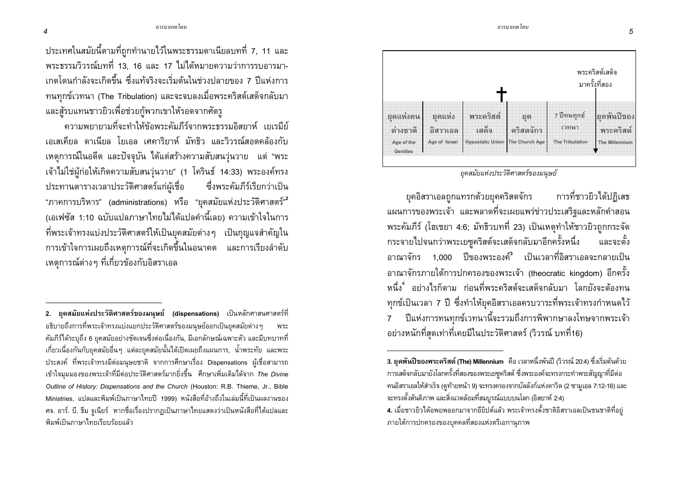

ยุคสมัยแห่งประวัติศาสตร์ของมนุษย์

ยุคอิสราเอลถูกแทรกด้วยยุคคริสตจักร การที่ชาวยิวได้ปฏิเสธ แผนการของพระเจ้า และพลาดที่จะเผยแพร่ข่าวประเสริฐและหลักคำสอน พระคัมภีร์ (โฮเชยา 4:6; มัทธิวบทที่ 23) เป็นเหตุทำให้ชาวยิวถูกกระจัด กระจายไปจนกว่าพระเยซูคริสต์จะเสด็จกลับมาอีกครั้งหนึ่ง และจะตั้ง ิภาณาจักร 1.000 ปีของพระองค์<sup>ร</sup>ิ เป็นเวลาที่อิสราเอลจะกลายเป็น อาณาจักรภายใต้การปกครองของพระเจ้า (theocratic kingdom) อีกครั้ง หนึ่ง อย่างไรก็ตาม ก่อนที่พระคริสต์จะเสด็จกลับมา โลกยังจะต้องทน ิทุกข์เป็นเวลา 7 ปี ซึ่งทำให้ยุคอิสราเอลครบวาระที่พระเจ้าทรงกำหนดไว้ ปีแห่งการทนทุกข์เวทนานี้จะรวมถึงการพิพากษาลงโทษจากพระเจ้า  $\overline{7}$ ้อย่างหนักที่สุดเท่าที่เคยมีในประวัติศาสตร์ (วิวรณ์ บทที่16)

<u> อารมาเกดโดน</u>

ประเทศในสมัยนี้ตามที่ถูกทำนายไว้ในพระธรรมดาเนียลบทที่ 7, 11 และ พระธรรมวิวรณ์บทที่ 13, 16 และ 17 ไม่ได้หมายความว่าการรบอารมา-้เกดโดนกำลังจะเกิดขึ้น ซึ่งแท้จริงจะเริ่มต้นในช่วงปลายของ 7 ปีแห่งการ ทนทุกข์เวทนา (The Tribulation) และจะจบลงเมื่อพระคริสต์เสด็จกลับมา และสู้รบแทนชาวยิวเพื่อช่วยกู้พวกเขาให้รอดจากศัตรู

ิ ความพยายามที่จะทำให้ข้อพระคัมภีร์จากพระธรรมอิสยาห์ เยเรมีย์ ้เอเสเดียล ดาเนียล โยเอล เศคาริยาห์ มัทธิว และวิวรณ์สอดคล้องกับ ้ เหตุการณ์ในอดีต และปัจจุบัน ได้แต่สร้างความสับสนวุ่นวาย แต่ "พระ ู้เจ้าไม่ใช่ผู้ก่อให้เกิดความสับสนวุ่นวาย" (1 โครินธ์ 14:33) พระองค์ทรง ประทานตารางเวลาประวัติศาสตร์แก่ผู้เชื่อ ซึ่งพระคัมภีร์เรียกว่าเป็น "ภาคการบริหาร" (administrations) หรือ "ยุคสมัยแห่งประวัติศาสตร์"<sup>2</sup> ้ (เอเฟซัส 1:10 ฉบับแปลภาษาไทยไม่ได้แปลคำนี้เลย) ความเข้าใจในการ ีที่พระเจ้าทรงแบ่งประวัติศาสตร์ให้เป็นยุคสมัยต่างๆ เป็นกญแจสำคัญใน การเข้าใจการเผยถึงเหตุการณ์ที่จะเกิดขึ้นในอนาคต และการเรียงลำดับ ่ เหตุการณ์ต่าง ๆ ที่เกี่ยวข้องกับอิสราเอล

<sup>3.</sup> ยุคพันปีของพระคริสต์ (The) Millennium คือ เวลาหนึ่งพันปี (วิวรณ์ 20:4) ซึ่งเริ่มต้นด้วย ่ การเสด็จกลับมายังโลกครั้งที่สองของพระเยซูคริสต์ ซึ่งพระองค์จะทรงกระทำพระสัญญาที่มีต่อ คนอิสราเอลให้สำเร็จ (ดูท้ายหน้า 9) จะทรงครองจากบัลลังก์แห่งดาวิด (2 ซามูเอล 7:12-16) และ จะทรงตั้งสันติภาพ และสิ่งแวดล้อมที่สมบูรณ์แบบบนโลก (อิสยาห์ 2:4)

<sup>4.</sup> เมื่อชาวยิวได้อพยพออกมาจากอียิปต์แล้ว พระเจ้าทรงตั้งชาติอิสราเอลเป็นชนชาติที่อยู่ ิ ภายใต้การปกครองของบุคคลที่สองแห่งตรีเอกาน*ุ*ภาพ

<sup>2.</sup> ยุคสมัยแห่งประวัติศาสตร์ของมนุษย์ (dispensations) เป็นหลักศาสนศาสตร์ที่ ้อธิบายถึงการที่พระเจ้าทรงแบ่งแยกประวัติศาสตร์ของมนุษย์ออกเป็นยุคสมัยต่าง ๆ พระ ้คัมภีร์ได้ระบุถึง 6 ยุคสมัยอย่างชัดเจนซึ่งต่อเนื่องกัน, มีเอกลักษณ์เฉพาะตัว และมีบทบาทที่ ้ เกี่ยวเนื่องกันกับยุคสมัยอื่นๆ แต่ละยุคสมัยนั้นได้เปิดเผยถึงแผนการ, น้ำพระทัย และพระ ประสงค์ ที่พระเจ้าทรงมีต่อมนุษยชาติ จากการศึกษาเรื่อง Dispensations ผู้เชื่อสามารถ เข้าใจมุมมองของพระเจ้าที่มีต่อประวัติศาสตร์มากยิ่งขึ้น ศึกษาเพิ่มเติมได้จาก The Divine Outline of History: Dispensations and the Church (Houston: R.B. Thieme, Jr., Bible Ministries, แปลและพิมพ์เป็นภาษาไทยปี 1999) หนังสือที่อ้างถึงในเล่มนี้ที่เป็นผลงานของ ี ศจ. อาร์. บี. รีม จูเนียร์ หากชื่อเรื่องปรากฏเป็นภาษาไทยแสดงว่าเป็นหนังสือที่ได้แปลและ พิมพ์เป็นภาษาไทยเรียบร้อยแล้ว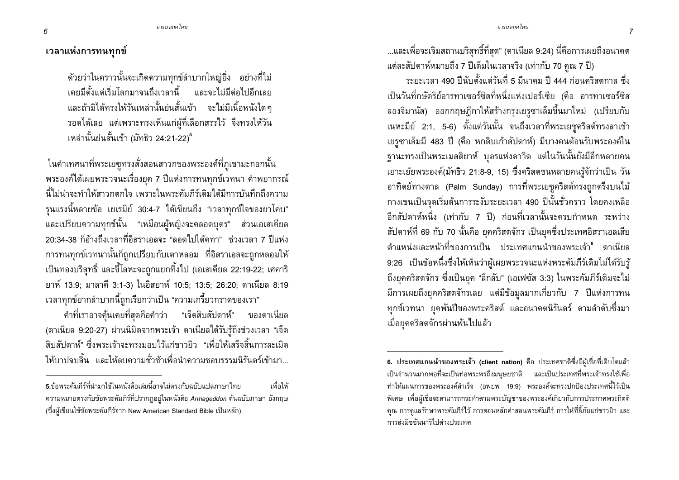<u> อารบาเกดโดน</u>

### ้เวลาแห่งการทนทกข์

ี ด้วยว่าในคราวนั้นจะเกิดความทุกข์ลำบากใหญ่ยิ่ง อย่างที่ไม่ ี เคยมีตั้งแต่เริ่มโลกมาจนถึงเวลานี้ และจะไม่มีต่อไปอีกเลย และถ้ามิได้ทรงให้วันเหล่านั้นย่นสั้นเข้า จะไม่มีเนื้อหนังใดๆ ี รอดได้เลย แต่เพราะทรงเห็นแก่ผู้ที่เลือกสรรไว้ จึงทรงให้วัน ้เหล่านั้นย่นสั้นเข้า (มัทธิว 24:21-22)<sup>5</sup>

ในคำเทศนาที่พระเยซูทรงสั่งสอนสาวกของพระองค์ที่ภูเขามะกอกนั้น ้พระองค์ได้เผยพระวจนะเรื่องยุค 7 ปีแห่งการทนทุกข์เวทนา คำพยากรณ์ ้นี้ไม่น่าจะทำให้สาากตกใจ เพราะในพระดับก็ร์เดิมได้มีการบันทึกกึ่งดาวบ ้รุนแรงนี้หลายข้อ เยเรมีย์ 30:4-7 ได้เขียนถึง "เวลาทุกข์ใจของยาโคบ" ้และเปรียบความทุกข์นั้น "เหมือนผู้หญิงจะคลอดบุตร" ส่วนเอเสเคียล 20:34-38 ก็ค้างถึงเวลาที่อิสราเอลจะ "ลอดไปใต้คทา" ช่วงเวลา 7 ปีแห่ง การทนทุกข์เวทนานั้นก็ถูกเปรียบกับเตาหลอม ที่อิสราเอลจะถูกหลอมให้ ้เป็นทองบริสุทธิ์ และขี้โลหะจะถูกแยกทิ้งไป (เอเสเคียล 22:19-22; เศคาริ ยาห์ 13:9: มาลาคี 3:1-3) ในอิสยาห์ 10:5: 13:5: 26:20: ดาเนียล 8:19 เวลาทุกข์ยากลำบากนี้ถูกเรียกว่าเป็น "ความเกรี้ยวกราดของเรา"

คำที่เราอาจค้นเคยที่สดคือคำว่า "เจ็ดสิบสัปดาห์" ของดาเนียล (ดาเนียล 9:20-27) ผ่านนิมิตจากพระเจ้า ดาเนียลได้รับรู้ถึงช่วงเวลา "เจ็ด ้สิบสัปดาห์" ซึ่งพระเจ้าจะทรงมอบไว้แก่ชาวยิว "เพื่อให้เสร็จสิ้นการละเมิด ให้บาปจบสิ้น และให้ลบความชั่วช้าเพื่อนำความชอบธรรมนิรันดร์เข้ามา ...และเพื่อจะเจิมสถานบริสุทธิ์ที่สุด" (ดาเนียล 9:24) นี่คือการเผยถึงอนาคต แต่ละสัปดาห์หมายถึง 7 ปีเต็มในเวลาจริง (เท่ากับ 70 คูณ 7 ปี)

้ ระยะเวลา 490 ปีนับตั้งแต่วันที่ 5 มีนาคม ปี 444 ก่อนคริสตกาล ซึ่ง เป็นวันที่กษัตริย์อารทาเซอร์ซิสที่หนึ่งแห่งเปอร์เซีย (คือ อารทาเซอร์ซิส ลองจิมานัส) ออกกฤษฎีกาให้สร้างกรุงเยรูซาเล็มขึ้นมาใหม่ (เปรียบกับ ูเนหะมีย์ 2:1, 5-6) ตั้งแต่วันนั้น จนถึงเวลาที่พระเยซูคริสต์ทรงลาเข้า เยรูซาเล็มมี 483 ปี (คือ หกสิบเก้าสัปดาห์) มีบางคนต้อนรับพระองค์ใน ์ฐานะทรงเป็นพระเมสสิยาห์ บุตรแห่งดาวิด แต่ในวันนั้นยังมีอีกหลายคน ู เยาะเย้ยพระองค์(มัทธิว 21:8-9, 15) ซึ่งคริสตชนหลายคนรู้จักว่าเป็น วัน อาทิตย์ทางตาล (Palm Sunday) การที่พระเยซูคริสต์ทรงถูกตรึงบนไม้ ึกางเขนเป็นจุดเริ่มต้นการระงับระยะเวลา 490 ปีนั้นชั่วคราว โดยคงเหลือ ้อีกสัปดาห์หนึ่ง (เท่ากับ 7 ปี) ก่อนที่เวลานั้นจะครบกำหนด ระหว่าง ้สัปดาห์ที่ 69 กับ 70 นั้นคือ ยุคคริสตจักร เป็นยุคซึ่งประเทศอิสราเอลเสีย ้ตำแหน่งและหน้าที่ของการเป็น ประเทศแกนนำของพระเจ้า<sup>ร</sup>์ ดาเนียล 9:26 เป็นข้อหนึ่งซึ่งให้เห็นว่าผู้เผยพระวจนะแห่งพระคัมภีร์เดิมไม่ได้รับรู้ ถึงยุคคริสตจักร ซึ่งเป็นยุค "ลึกลับ" (เอเฟซัส 3:3) ในพระคัมภีร์เดิมจะไม่ มีการเผยถึงยุคคริสตจักรเลย แต่มีข้อมูลมากเกี่ยวกับ 7 ปีแห่งการทน ิทุกข์เวทนา ยุคพันปีของพระคริสต์ และอนาคตนิรันดร์ ตามลำดับซึ่งมา ้เมื่อยุคคริสตจักรผ่านพ้นไปแล้ว

**<sup>5</sup>**.ข้อพระคัมภีร์ที่นำมาใช้ในหนังสือเล่มนี้อาจไม่ตรงกับฉบับแปลภาษาไทย ้ เพื่อให้ ี ความหมายตรงกับข้อพระคัมภีร์ที่ปรากฏอยู่ในหนังสือ Armageddon ต้นฉบับภาษา อังกฤษ (ซึ่งผู้เขียนใช้ข้อพระคัมภีร์จาก New American Standard Bible เป็นหลัก)

<sup>6.</sup> ประเทศแกนนำของพระเจ้า (client nation) คือ ประเทศชาติซึ่งมีผู้เชื่อที่เติบโตแล้ว ้เป็นจำนวนมากพอที่จะเป็นท่อพระพรถึงมนุษยชาติ และเป็นประเทศที่พระเจ้าทรงใช้เพื่อ ทำให้แผนการของพระองค์สำเร็จ (อพยพ 19:9) พระองค์จะทรงปกป้องประเทศนี้ไว้เป็น พิเศษ เพื่อผู้เชื่อจะสามารถกระทำตามพระบัญชาของพระองค์เกี่ยวกับการประกาศพระกิตติ ้คุณ การดูแลรักษาพระคัมภีร์ไว้ การสอนหลักคำสอนพระคัมภีร์ การให้ที่ลี้ภัยแก่ชาวยิว และ การส่งมิชชันนารีไปต่างประเทศ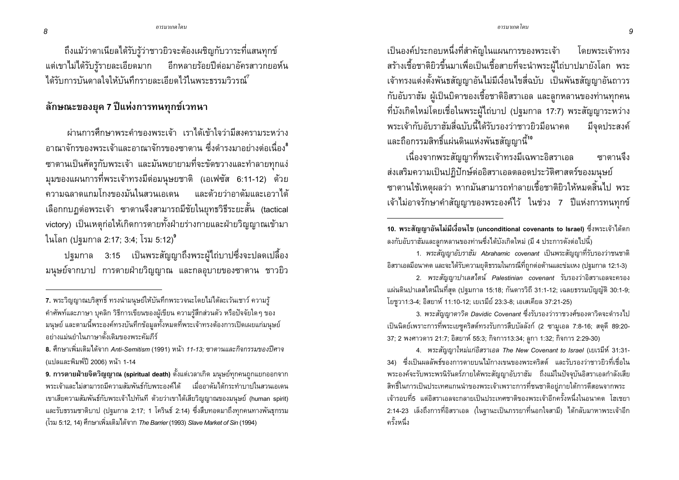ถึงแม้ว่าดาเนียลได้รับรู้ว่าชาวยิวจะต้องเผชิญกับวาระที่แสนทุกข์ แต่เขาไม่ได้รับรู้รายละเอียดมาก อีกหลายร้อยปีต่อมาอัครสาวกยอห์น ได้รับการบันดาลใจให้บันทึกรายละเอียดไว้ในพระธรรมวิวรณ์

#### ี ลักษณะของยุค 7 ปีแห่งการทนทุกข์เวทนา

ผ่านการศึกษาพระดำของพระเจ้า เราได้เข้าใจว่ามีสงครามระหว่าง ้อาณาจักรของพระเจ้าและอาณาจักรของซาตาน ซึ่งดำรงมาอย่างต่อเนื่องใ ซาตานเป็นศัตรูกับพระเจ้า และมันพยายามที่จะขัดขวางและทำลายทุกแง่ มุมของแผนการที่พระเจ้าทรงมีต่อมนุษยชาติ (เอเฟซัส 6:11-12) ด้วย ีดาาบลลาดแกบโกงของบั๊นในสานเอเดน และด้ายว่าอาดับและเอาาได้ เลือกกบฏต่อพระเจ้า ซาตานจึงสามารถมีชัยในยุทธวิธีระยะสั้น (tactical victory) เป็นเหตุก่อให้เกิดการตายทั้งฝ่ายร่างกายและฝ่ายวิญญาณเข้ามา ในโลก (ปรมกาล 2:17; 3:4; โรม 5:12)<sup>9</sup>

ี ปฐมกาล 3:15 เป็นพระสัญญาถึงพระผู้ไถ่บาปซึ่งจะปลดเปลื้อง ้มนุษย์จากบาป การตายฝ่ายวิญญาณ และกลอุบายของซาตาน ชาวยิว

เป็นองค์ประกอบหนึ่งที่สำคัญในแผนการของพระเจ้า โดยพระเจ้าทรง สร้างเชื้อชาติยิวขึ้นมาเพื่อเป็นเชื้อสายที่จะนำพระผู้ไถ่บาปมายังโลก พระ เจ้าทรงแต่งตั้งพันธสัญญาอันไม่มีเงื่อนไขสี่ฉบับ เป็นพันธสัญญาอันถาวร ้กับอับราฮัม ผู้เป็นบิดาของเชื้อชาติอิสราเอล และลูกหลานของท่านทุกคน ที่บังเกิดใหม่โดยเชื่อในพระผู้ไถ่บาป (ปฐมกาล 17:7) พระสัญญาระหว่าง พระเจ้ากับอับราฮัมสี่ฉบับนี้ได้รับรองว่าชาวยิวมือนาคต ม็จดประสงค์ และถือกรรมสิทธิ์แผ่นดินแห่งพันธสัญญานี้<sup>10</sup>

้เนื่องจากพระสัญญาที่พระเจ้าทรงมีเฉพาะอิสราเอล ี<br>**สา**ตาบลึง ส่งเสริมความเป็นปฏิปักษ์ต่ออิสราเอลตลอดประวัติศาสตร์ของมนุษย์ ซาตานใช้เหตุผลว่า หากมันสามารถทำลายเชื้อชาติยิวให้หมดสิ้นไป พระ เจ้าไม่อาจรักษาคำสัญญาของพระองค์ไว้ ในช่วง 7 ปีแห่งการทนทุกข์

1. พระสัญญาอับราฮัม Abrahamic covenant เป็นพระสัญญาที่รับรองว่าชนชาติ ้อิสราเอลมีอนาคต และจะได้รับความยุติธรรมในกรณีที่ถูกต่อต้านและข่มเหง (ปฐมกาล 12:1-3)

2. พระสัญญาปาเลสไตน์ Palestinian covenant รับรองว่าอิสราเอลจะครอง แผ่นดินปาเลสไตน์ในที่สุด (ปฐมกาล 15:18; กันดารวิถี 31:1-12; เฉลยธรรมบัญญัติ 30:1-9; โยชูวา1:3-4; อิสยาห์ 11:10-12; เยเรมีย์ 23:3-8; เอเสเคียล 37:21-25)

3. พระสัญญาดาวิด Davidic Covenant ซึ่งรับรองว่าราชวงศ์ของดาวิดจะดำรงไป เป็นนิตย์เพราะการที่พระเยซูคริสต์ทรงรับการสืบบัลลังก์ (2 ซามูเอล 7:8-16; สดุดี 89:20-37; 2 พงศาวดาร 21:7; อิสยาห์ 55:3; กิจการ13:34; ลูกา 1:32; กิจการ 2:29-30)

4. พระสัญญาใหม่แก่อิสราเอล The New Covenant to Israel (เยเรมีห์ 31:31-่ 34) ซึ่งเป็นผลลัพธ์ของการตายบนไม้กางเขนของพระคริสต์ และรับรองว่าชาวยิวที่เชื่อใน พระองค์จะรับพระพรนิรันดร์ภายใต้พระสัญญาอับราฮัม ถึงแม้ในปัจจุบันอิสราเอลกำลังเสีย สิทธิ์ในการเป็นประเทศแกนนำของพระเจ้าเพราะการที่ชนชาติอยู่ภายใต้การตีสอนจากพระ เจ้ารอบที่5 แต่อิสราเอลจะกลายเป็นประเทศชาติของพระเจ้าอีกครั้งหนึ่งในอนาคต โฮเชยา 2:14-23 เล็งถึงการที่อิสราเอล (ในฐานะเป็นภรรยาที่นอกใจสามี) ได้กลับมาหาพระเจ้าอีก ครั้งหนึ่ง

<sup>7.</sup> พระวิญญาณบริสทธิ์ ทรงนำมนษย์ให้บันทึกพระวจนะโดยไม่ได้ละเว้นเชาว์ ความรั ้คำศัพท์และภาษา บุคลิก วิธีการเขียนของผู้เขียน ความรู้สึกส่วนตัว หรือปัจจัยใดๆ ของ ้มนุษย์ และตามนี้พระองค์ทรงบันทึกข้อมูลทั้งหมดที่พระเจ้าทรงต้องการเปิดเผยแก่มนุษย์ ้อย่างแม่นยำในภาษาดั้งเดิมของพระคัมภีร์

<sup>ี่ 8.</sup> ศึกษาเพิ่มเติมได้จาก Anti-Semitism (1991) หน้า *11-13: ซาตานและกิจกรรมของปีศาจ* (แปลและพิมพ์ปี 2006) หน้า 1-14

<sup>9.</sup> การตายฝ่ายจิตวิญญาณ (spiritual death) ตั้งแต่เวลาเกิด มนุษย์ทุกคนถูกแยกออกจาก ี พระเจ้าและไม่สามารถมีความสัมพันธ์กับพระองค์ได้ แมื่ออาดัมได้กระทำบาปในสวนเอเดน ่ เขาเสียความสัมพันธ์กับพระเจ้าไปทันที ด้วยว่าเขาได้เสียวิญญาณของมนษย์ (human spirit) และรับธรรมชาติบาป (ปฐมกาล 2:17; 1 โครินธ์ 2:14) ซึ่งสืบทอดมาถึงทุกคนทางพันธุกรรม (โรม 5:12, 14) ศึกษาเพิ่มเติมได้จาก *The Barrier* (1993) *Slave Market of Sin* (1994)

<sup>10.</sup> พระสัญญาอันไม่มีเงื่อนไข (unconditional covenants to Israel) ซึ่งพระเจ้าได้ตก ้ลงกับอับราฮัมและลูกหลานของท่านซึ่งได้บังเกิดใหม่ (มี 4 ประการดังต่อไปนี้)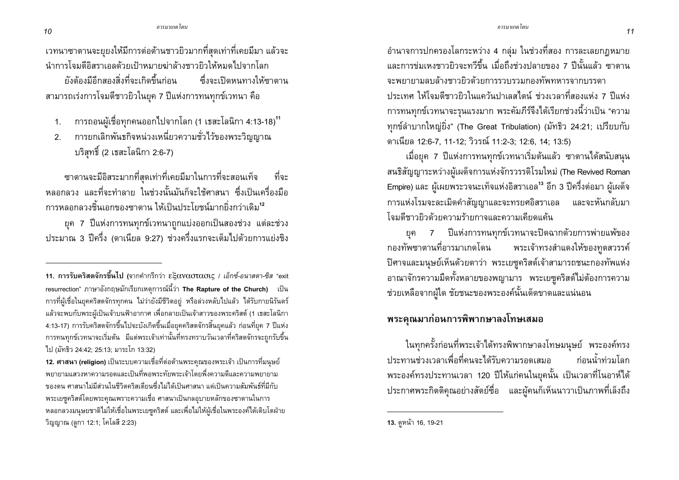้ เวทนาซาตานจะยุยงให้มีการต่อต้านชาวยิวมากที่สุดเท่าที่เคยมีมา แล้วจะ นำการโจมตีอิสราเอลด้วยเป้าหมายฆ่าล้างชาวยิวให้หมดไปจากโลก

ยังต้องมีอีกสองสิ่งที่จะเกิดขึ้นก่อน ์ ซึ่งจะเปิดหนทางให้ซาตาน ี่ สามารถเร่งการโจมตีชาวยิวในยุค 7 ปีแห่งการทนทุกข์เวทนา คือ

- ิ การถอนผู้เชื่อทุกคนออกไปจากโลก (1 เธสะโลนิกา 4:13-18)<sup>11</sup>  $1.$
- ่ การยกเลิกพันธกิจหน่วงเหนี่ยวความชั่วไว้ของพระวิญญาณ  $2.$ บริสุทธิ์ (2 เธสะโลนิกา 2:6-7)

<sub>ี</sub> ซาตานจะมีอิสระมากที่สดเท่าที่เคยมีมาในการที่จะสอนเท็จ ที่จะ ิหลอกลวง และที่จะทำลาย ในช่วงนั้นมันก็จะใช้ศาสนา ซึ่งเป็นเครื่องมือ ิ การหลอกลวงชิ้นเอกของซาตาน ให้เป็นประโยชน์มากยิ่งกว่าเดิม<sup>12</sup>

ยุค 7 ปีแห่งการทนทุกข์เวทนาถูกแบ่งออกเป็นสองช่วง แต่ละช่วง ประมาณ 3 ปีครึ่ง (ดาเนียล 9:27) ช่วงครึ่งแรกจะเต็มไปด้วยการแย่งชิง

้อำนาจการปกครองโลกระหว่าง 4 กลุ่ม ในช่วงที่สอง การละเลยกฎหมาย และการข่มเหงชาวยิวจะทวีขึ้น เมื่อถึงช่วงปลายของ 7 ปีนั้นแล้ว ซาตาน จะพยายามลบล้างชาวยิวด้วยการรวบรวมกองทัพทหารจากบรรดา ำไระเทศ ให้โจมตีชาวยิวในแคว้นปาเลสไตน์ ช่วงเวลาที่สองแห่ง 7 ปีแห่ง ้การทนทุกข์เวทนาจะรุนแรงมาก พระคัมภีร์จึงได้เรียกช่วงนี้ว่าเป็น "ความ ทกข์ลำบากใหญ่ยิ่ง" (The Great Tribulation) (มัทธิว 24:21; เปรียบกับ ดาเนียล 12:6-7, 11-12; วิวรณ์ 11:2-3; 12:6, 14; 13:5)

้เมื่อยุค 7 ปีแห่งการทนทุกข์เวทนาเริ่มต้นแล้ว ซาตานได้สนับสนน สนธิสัญญาระหว่างผู้เผด็จการแห่งจักรวรรดิโรมใหม่ (The Revived Roman Empire) และ ผู้เผยพระวจนะเท็จแห่งอิสราเอล<sup>13</sup> อีก 3 ปีครึ่งต่อมา ผู้เผด็จ การแห่งโรมจะละเมิดคำสัญญาและจะทรยศอิสราเอล และจะหันกลับมา โลบตี้ชาวยิวด้ายดาาบร้ายกาลและดาาบเดียดแด้น

7 ปีแห่งการทนทุกข์เวทนาจะปิดฉากด้วยการพ่ายแพ้ของ ยค กองทัพซาตานที่อารมาเกดโดน พระเจ้าทรงสำแดงให้ของทูตสวรรค์ ปิศาจและมนุษย์เห็นด้วยตาว่า พระเยซูคริสต์เจ้าสามารถชนะกองทัพแห่ง ้อาณาจักรความมืดทั้งหลายของพญามาร พระเยซูคริสต์ไม่ต้องการความ ช่วยเหลือจากผู้ใด ชัยชนะของพระองค์นั้นเด็ดขาดและแน่นอน

## พระคุณมาก่อนการพิพากษาลงโทษเสมอ

ในทุกครั้งก่อนที่พระเจ้าได้ทรงพิพากษาลงโทษมนุษย์ พระองค์ทรง ประทานช่วงเวลาเพื่อที่คนจะได้รับความรอดเสมอ ีก่อนน้ำท่วมโลก ี พระองค์ทรงประทานเวลา 120 ปีให้แก่คนในยคนั้น เป็นเวลาที่โนอาห์ได้ ประกาศพระกิตติคุณอย่างสัตย์ชื่อ และผู้คนก็เห็นนาวาเป็นภาพที่เล็งถึง

<sup>11.</sup> การรับคริสตจักรขึ้นไป (จากคำกรีกว่า  $\epsilon$ ξαναστασις / เอ็กซ์-อนาสตา-ซิส "exit resurrection" ภาษาอังกฤษมักเรียกเหตุการณ์นี้ว่า The Rapture of the Church) เป็น การที่ผู้เชื่อในยุคคริสตจักรทุกคน ไม่ว่ายังมีชีวิตอยู่ หรือล่วงหลับไปแล้ว ได้รับกายนิรันดร์ แล้วจะพบกับพระผู้เป็นเจ้าบนฟ้าอากาศ เพื่อกลายเป็นเจ้าสาวของพระคริสต์ (1 เธสะโลนิกา 4:13-17) การรับคริสตจักรขึ้นไปจะบังเกิดขึ้นเมื่อยุคคริสตจักรสิ้นยุคแล้ว ก่อนที่ยุค 7 ปีแห่ง ิ การทนทุกข์เวทนาจะเริ่มต้น มีแต่พระเจ้าเท่านั้นที่ทรงทราบวันเวลาที่คริสตจักรจะถูกรับขึ้น ไป (มัทธิว 24:42; 25:13; มาระโก 13:32)

<sup>ี 12.</sup> ศาสนา (religion) เป็นระบบความเชื่อที่ต่อต้านพระคุณของพระเจ้า เป็นการที่มนุษย์ พยายามแสวงหาความรอดและเป็นที่พอพระทัยพระเจ้าโดยพึ่งความดีและความพยายาม ่ ของตน ศาสนาไม่มีส่วนในชีวิตคริสเตียนซึ่งไม่ได้เป็นศาสนา แต่เป็นความสัมพันธ์ที่มีกับ ้ พระเยซูคริสต์โดยพระคุณเพราะความเชื่อ ศาสนาเป็นกลอุบายหลักของซาตานในการ ่ หลอกลวงมนุษยชาติไม่ให้เชื่อในพระเยซูคริสต์ และเพื่อไม่ให้ผู้เชื่อในพระองค์ได้เติบโตฝ่าย ้วิญญาณ (ลูกา 12:1; โคโลสี 2:23)

<sup>13.</sup> ดูหน้า 16, 19-21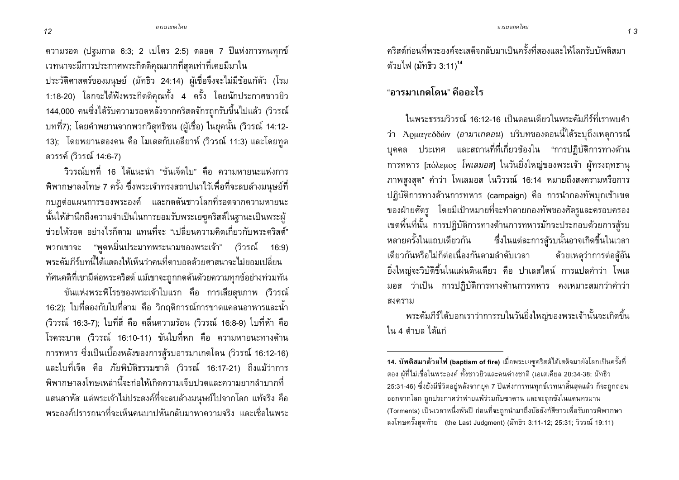ี ความรอด (ปฐมกาล 6:3; 2 เปโตร 2:5) ตลอด 7 ปีแห่งการทนทุกข์ เวทนาจะมีการประกาศพระกิตติคุณมากที่สุดเท่าที่เคยมีมาใน

ประวัติศาสตร์ของมนุษย์ (มัทธิว 24:14) ผู้เชื่อจึงจะไม่มีข้อแก้ตัว (โรม 1:18-20) โลกจะได้ฟังพระกิตติคุณทั้ง 4 ครั้ง โดยนักประกาศชาวยิว 144,000 คนซึ่งได้รับความรอดหลังจากคริสตจักรถูกรับขึ้นไปแล้ว (วิวรณ์ ิบทที่7); โดยคำพยานจากพวกวิสุทธิชน (ผู้เชื่อ) ในยุคนั้น (วิวรณ์ 14:12-13); โดยพยานสองคน คือ โมเสสกับเอลียาห์ (วิวรณ์ 11:3) และโดยทูต สวรรค์ (วิวรณ์ 14:6-7)

้วิวรณ์บทที่ 16 ได้แนะนำ "ขันเจ็ดใบ" คือ ความหายนะแห่งการ ้พิพากษาลงโทษ 7 ครั้ง ซึ่งพระเจ้าทรงสถาปนาไว้เพื่อที่จะลบล้างมนุษย์ที่ ึกบฏต่อแผนการของพระองค์ และกดดันชาวโลกที่รอดจากความหายนะ นั้นให้สำนึกถึงความจำเป็นในการยอมรับพระเยซูคริสต์ในฐานะเป็นพระผู้ ี่ ช่วยให้รอด อย่างไรก็ตาม แทนที่จะ "เปลี่ยนความคิดเกี่ยวกับพระคริสต์" ีพวกเขาจะ "พูดหมิ่นประมาทพระนามของพระเจ้า" (วิวรณ์ 16:9) ิพระคัมภีร์บทนี้ได้แสดงให้เห็นว่าคนที่ตาบอดด้วยศาสนาจะไม่ยอมเปลี่ยน ้ทัศนคติที่เขามีต่อพระคริสต์ แม้เขาจะถูกกดดันด้วยความทุกข์อย่างท่วมทัน

ขันแห่งพระพิโรธของพระเจ้าใบแรก คือ การเสียสุขภาพ (วิวรณ์ 16:2); ใบที่สองกับใบที่สาม คือ วิกฤติการณ์การขาดแคลนอาหารและน้ำ (วิวรณ์ 16:3-7); ใบที่สี่ คือ คลื่นความร้อน (วิวรณ์ 16:8-9) ใบที่ห้า คือ โรคระบาด (วิวรณ์ 16:10-11) ขันใบที่หก คือ ความหายนะทางด้าน ิการทหาร ซึ่งเป็นเบื้องหลังของการสู้รบอารมาเกดโดน (วิวรณ์ 16:12-16) และใบที่เจ็ด คือ ภัยพิบัติธรรมชาติ (วิวรณ์ 16:17-21) ถึงแม้ว่าการ ้พิพากษาลงโทษเหล่านี้จะก่อให้เกิดความเจ็บปวดและความยากลำบากที่ แสนสาหัส แต่พระเจ้าไม่ประสงค์ที่จะลบล้างมนุษย์ไปจากโลก แท้จริง คือ ี พระองค์ปรารถนาที่จะเห็นคนบาปหันกลับมาหาความจริง และเชื่อในพระ

คริสต์ก่อนที่พระองค์จะเสด็จกลับมาเป็นครั้งที่สองและให้โลกรับบัพติสมา ด้วยไฟ (มัทธิว 3:11)<sup>14</sup>

"อารมาเกดโดน" คืออะไร

ในพระธรรมวิวรณ์ 16:12-16 เป็นตอนเดียวในพระคัมภีร์ที่เราพบคำ ว่า Ἀρμαγεδδών (อามาเกดอน) บริบทของตอนนี้ได้ระบุถึงเหตุการณ์ ิบุคคล ประเทศ และสถานที่ที่เกี่ยวข้องใน "การปฏิบัติการทางด้าน การทหาร [πόλεμος *โพเลมอส*] ในวันยิ่งใหญ่ของพระเจ้า ผู้ทรงฤทธานุ ภาพสูงสุด" คำว่า โพเลมอส ในวิวรณ์ 16:14 หมายถึงสงครามหรือการ ปฏิบัติการทางด้านการทหาร (campaign) คือ การนำกองทัพบุกเข้าเขต ี ของฝ่ายศัตรู โดยมีเป้าหมายที่จะทำลายกองทัพของศัตรูและครอบครอง เขตพื้นที่นั้น การปฏิบัติการทางด้านการทหารมักจะประกอบด้วยการสู้รบ หลายครั้งในแถบเดียวกัน ซึ่งในแต่ละการสู้รบนั้นอาจเกิดขึ้นในเวลา เดียวกันหรือไม่ก็ต่อเนื่องกันตามลำดับเวลา ด้วยเหตุว่าการต่อสู้อัน ้ยิ่งใหญ่จะวิบัติขึ้นในแผ่นดินเดียว คือ ปาเลสไตน์ การแปลคำว่า โพเล ้มอส ว่าเป็น การปฏิบัติการทางด้านการทหาร คงเหมาะสมกว่าคำว่า สงคราม

พระคัมภีร์ได้บอกเราว่าการรบในวันยิ่งใหญ่ของพระเจ้านั้นจะเกิดขึ้น ใน 4 ตำบล ได้แก่

 $12$ 

<sup>14.</sup> บัพติสมาด้วยไฟ (baptism of fire) เมื่อพระเยซูคริสต์ได้เสด็จมายังโลกเป็นครั้งที่ ี่ สอง ผู้ที่ไม่เชื่อในพระองค์ ทั้งชาวยิวและคนต่างชาติ (เอเสเคียล 20:34-38; มัทธิว 25:31-46) ซึ่งยังมีชีวิตอยู่หลังจากยุค 7 ปีแห่งการทนทุกข์เวทนาสิ้นสุดแล้ว ก็จะถูกถอน ้ออกจากโลก ถูกประกาศว่าพ่ายแพ้ร่วมกับซาตาน และจะถูกขังในแดนทรมาน (Torments) เป็นเวลาหนึ่งพันปี ก่อนที่จะถูกนำมาถึงบัลลังก์สีขาวเพื่อรับการพิพากษา ิ ลงโทษครั้งสุดท้าย (the Last Judgment) (มัทธิว 3:11-12; 25:31; วิวรณ์ 19:11)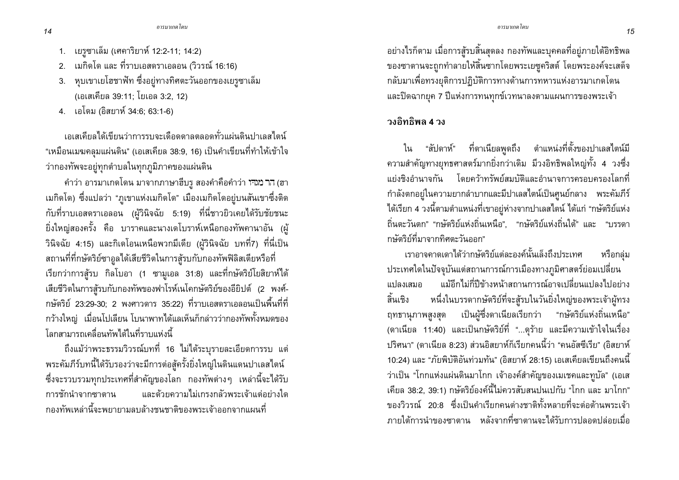- 1. เยรูซาเล็ม (เศคาริยาห์ 12:2-11; 14:2)
- 2. เมกิดโด และ ที่ราบเอสดราเอลอน (วิวรณ์ 16:16)
- 3. หุบเขาเยโฮชาฟัท ซึ่งอยู่ทางทิศตะวันออกของเยรูซาเล็ม (เอเสเคียล 39:11; โยเอล 3:2, 12)
- 4. เอโดม (อิสยาห์ 34:6; 63:1-6)

้ เอเสเคียลได้เขียนว่าการรบจะเดือดดาลตลอดทั่วแผ่นดินปาเลสไตน์ "เหมือนเมฆคลมแผ่นดิน" (เอเสเคียล 38:9, 16) เป็นคำเขียนที่ทำให้เข้าใจ ว่ากองทัพจะอยู่ทุกตำบลในทุกภูมิภาคของแผ่นดิน

ี คำว่า อารมาเกดโดน มาจากภาษาฮีบรู สองคำคือคำว่า ነาม (ฮา ้เมกิดโด) ซึ่งแปลว่า "ภูเขาแห่งเมกิดโด" เมืองเมกิดโดอยู่บนสันเขาซึ่งติด กับที่ราบเอสดราเอลอน (ผู้วินิจฉัย 5:19) ที่นี่ชาวยิวเคยได้รับชัยชนะ ้ยิ่งใหญ่สองครั้ง คือ บาราคและนางเดโบราห์เหนือกองทัพคานาอัน (ผู้ วินิจฉัย 4:15) และกิเดโอนเหนือพวกมีเดีย (ผู้วินิจฉัย บทที่7) ที่นี่เป็น สถานที่ที่กษัตริย์ซาอูลได้เสียชีวิตในการสู้รบกับกองทัพฟิลิสเตียหรือที่ เรียกว่าการสู้รบ กิลโบอา (1 ซามูเอล 31:8) และที่กษัตริย์โยสิยาห์ได้ เสียชีวิตในการสู้รบกับกองทัพของฟาโรห์เนโคกษัตริย์ของอียิปต์ (2 พงศ์-ึกษัตริย์ 23:29-30; 2 พงศาวดาร 35:22) ที่ราบเอสดราเอลอนเป็นพื้นที่ที่ ่ กว้างใหญ่ เมื่อนโปเลียน โบนาพาทได้แลเห็นก็กล่าวว่ากองทัพทั้งหมดของ โลกสามารถเคลื่อนทัพได้ในที่ราบแห่งนี้

้ถึงแม้ว่าพระธรรมวิวรณ์บทที่ 16 ไม่ได้ระบุรายละเอียดการรบ แต่ พระคัมภีร์บทนี้ได้รับรองว่าจะมีการต่อสู้ครั้งยิ่งใหญ่ในดินแดนปาเลสไตน์ ้ซึ่งจะรวบรวมทุกประเทศที่สำคัญของโลก กองทัพต่างๆ เหล่านี้จะได้รับ และด้วยความไม่เกรงกลัวพระเจ้าแต่อย่างใด การชักนำจากซาตาน ้กองทัพเหล่านี้จะพยายามลบล้างชนชาติของพระเจ้าออกจากแผนที่

้อย่างไรก็ตาม เมื่อการสู้รบสิ้นสุดลง กองทัพและบุคคลที่อยู่ภายใต้อิทธิพล ของซาตานจะถูกทำลายให้สิ้นซากโดยพระเยซูคริสต์ โดยพระองค์จะเสด็จ ึกลับมาเพื่อทรงยุติการปฏิบัติการทางด้านการทหารแห่งอารมาเกดโดน และปิดฉากยุค 7 ปีแห่งการทนทุกข์เวทนาลงตามแผนการของพระเจ้า

## วงอิทธิพล **4** วง

ใน "สัปดาห์" ที่ดาเนียลพูดถึง ตำแหน่งที่ตั้งของปาเลสไตน์มี ี ความสำคัญทางยุทธศาสตร์มากยิ่งกว่าเดิม มีวงอิทธิพลใหญ่ทั้ง 4 วงซึ่ง แย่งชิงอำนาจกัน โดยคว้าทรัพย์สมบัติและอำนาจการครอบครองโลกที่ ้กำลังตกอยู่ในความยากลำบากและมีปาเลสไตน์เป็นศูนย์กลาง พระคัมภีร์ ได้เรียก 4 วงนี้ตามตำแหน่งที่เขาอยู่ห่างจากปาเลสไตน์ ได้แก่ "กษัตริย์แห่ง ้ถิ่นตะวันตก" "กษัตริย์แห่งถิ่นเหนือ", "กษัตริย์แห่งถิ่นใต้" และ "บรรดา กษัตริย์ที่มาจากทิศตะวันออก"

ี<br>เราอาจคาดเดาได้ว่ากษัตริย์แต่ละองค์นั้นเล็งถึงประเทศ หรือกล่ม ประเทศใดในปัจจุบันแต่สถานการณ์การเมืองทางภูมิศาสตร์ย่อมเปลี่ยน ้ แม้อีกไม่กี่ปีข้างหน้าสถานการณ์อาจเปลี่ยนแปลงไปอย่าง แปลงเสมอ หนึ่งในบรรดากษัตริย์ที่จะสู้รบในวันยิ่งใหญ่ของพระเจ้าผู้ทรง สิ้นเชิง เป็นผู้ซึ่งดาเนียลเรียกว่า "กษัตริย์แห่งถิ่นเหนือ" ฤทธานุภาพสูงสุด (ดาเนียล 11:40) และเป็นกษัตริย์ที่ "...ดุร้าย และมีความเข้าใจในเรื่อง ปริศนา" (ดาเนียล 8:23) ส่วนอิสยาห์ก็เรียกคนนี้ว่า "คนอัสซีเรีย" (อิสยาห์ 10:24) และ "ภัยพิบัติอันท่วมทัน" (อิสยาห์ 28:15) เอเสเคียลเขียนถึงคนนี้ ว่าเป็น "โกกแห่งแผ่นดินมาโกก เจ้าองค์สำคัญของเมเชคและทูบัล" (เอเส ้เคียล 38:2, 39:1) กษัตริย์องค์นี้ไม่ควรสับสนปนเปกับ "โกก และ มาโกก" ์ ของวิวรณ์ 20:8 ซึ่งเป็นดำเรียกคนต่างชาติทั้งหลายที่จะต่อต้านพระเจ้า ่ ภายใต้การนำของซาตาน หลังจากที่ซาตานจะได้รับการปลอดปล่อยเมื่อ

 $14$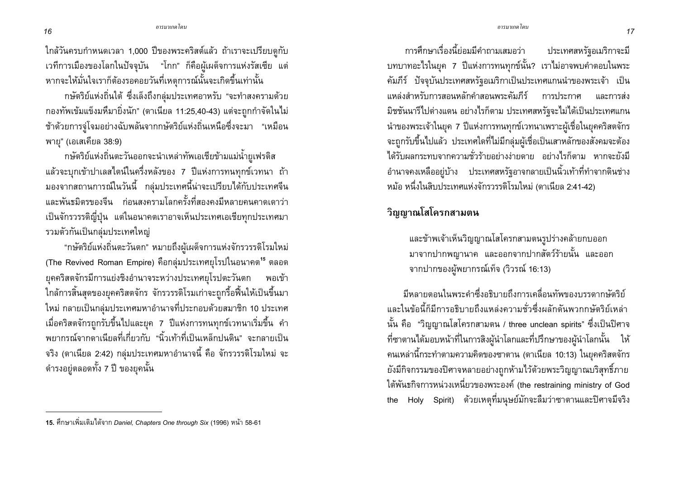ใกล้วันครบกำหนดเวลา 1,000 ปีของพระคริสต์แล้ว ถ้าเราจะเปรียบดูกับ เวทีการเมืองของโลกในปัจจุบัน "โกก" ก็คือผู้เผด็จการแห่งรัสเซีย แต่ หากจะให้มั่นใจเราก็ต้องรอคอยวันที่เหตุการณ์นั้นจะเกิดขึ้นเท่านั้น

ึกษัตริย์แห่งถิ่นใต้ ซึ่งเล็งถึงกลุ่มประเทศอาหรับ "จะทำสงครามด้วย ึกองทัพเข้มแข็งมหึมายิ่งนัก" (ดาเนียล 11:25,40-43) แต่จะถูกกำจัดในไม่ ช้าด้วยการจู่โจมอย่างฉับพลันจากกษัตริย์แห่งถิ่นเหนือซึ่งจะมา "เหมือน พายุ" (เอเสเคียล 38:9)

ึกษัตริย์แห่งถิ่นตะวันออกจะนำเหล่าทัพเอเชียข้ามแม่น้ำยูเฟรติส แล้วจะบุกเข้าปาเลสไตน์ในครึ่งหลังของ 7 ปีแห่งการทนทุกข์เวทนา ถ้า ้มองจากสถานการณ์ในวันนี้ กลุ่มประเทศนี้น่าจะเปรียบได้กับประเทศจีน ี และพันธมิตรของจีน ก่อนสงครามโลกครั้งที่สองคงมีหลายคนคาดเดาว่า ้เป็นจักรวรรดิญี่ปุ่น แต่ในอนาคตเราอาจเห็นประเทศเอเชียทุกประเทศมา รวมตัวกันเป็นกลุ่มประเทศใหญ่

"กษัตริย์แห่งถิ่นตะวันตก" หมายถึงผู้เผด็จการแห่งจักรวรรดิโรมใหม่ (The Revived Roman Empire) คือกลุ่มประเทศยุโรปในอนาคต<sup>15</sup> ตลอด ยุคคริสตจักรมีการแย่งชิงอำนาจระหว่างประเทศยุโรปตะวันตก พอเข้า ใกล้การสิ้นสุดของยุคคริสตจักร จักรวรรดิโรมเก่าจะถูกรื้อฟื้นให้เป็นขึ้นมา ใหม่ กลายเป็นกลุ่มประเทศมหาอำนาจที่ประกอบด้วยสมาชิก 10 ประเทศ เมื่อคริสตจักรถูกรับขึ้นไปและยุค 7 ปีแห่งการทนทุกข์เวทนาเริ่มขึ้น คำ ี พยากรณ์จากดาเนียลที่เกี่ยวกับ "นิ้วเท้าที่เป็นเหล็กปนดิน" จะกลายเป็น ้จริง (ดาเนียล 2:42) กลุ่มประเทศมหาอำนาจนี้ คือ จักรวรรดิโรมใหม่ จะ ดำรงอยู่ตลอดทั้ง 7 ปี ของยุคนั้น

การศึกษาเรื่องนี้ย่อมมีคำถามเสมอว่า ประเทศสหรัฐอเมริกาจะมี ิบทบาทอะไรในยุค 7 ปีแห่งการทนทุกข์นั้น? เราไม่อาจพบคำตอบในพระ ้คัมภีร์ ปัจจุบันประเทศสหรัฐอเมริกาเป็นประเทศแกนนำของพระเจ้า เป็น แหล่งสำหรับการสอนหลักดำสอนพระคัมภีร์ การประกาศ และการส่ง มิชชันนารีไปต่างแดน อย่างไรก็ตาม ประเทศสหรัฐจะไม่ได้เป็นประเทศแกน นำของพระเจ้าในยุค 7 ปีแห่งการทนทุกข์เวทนาเพราะผู้เชื่อในยุคคริสตจักร จะถูกรับขึ้นไปแล้ว ประเทศใดที่ไม่มีกลุ่มผู้เชื่อเป็นเสาหลักของสังคมจะต้อง ได้รับผลกระทบจากความชั่วร้ายอย่างง่ายดาย อย่างไรก็ตาม หากจะยังมี อำนาจคงเหลืออยู่บ้าง ประเทศสหรัฐอาจกลายเป็นนิ้วเท้าที่ทำจากดินช่าง หม้อ หนึ่งในสิบประเทศแห่งจักรวรรดิโรมใหม่ (ดาเนียล 2:41-42)

## วิญญาณโสโครกสามตน

และข้าพเจ้าเห็นวิญญาณโสโครกสามตนรูปร่างคล้ายกบออก ้มาจากปากพญานาค และออกจากปากสัตว์ร้ายนั้น และออก จากปากของผัพยากรณ์เท็จ (วิวรณ์ 16:13)

้มีหลายตอนในพระคำซึ่งอธิบายถึงการเคลื่อนทัพของบรรดากษัตริย์ และในข้อนี้ก็มีการอธิบายถึงแหล่งความชั่วซึ่งผลักดันพวกกษัตริย์เหล่า ี นั้น คือ "วิญญาณโสโครกสามตน / three unclean spirits" ซึ่งเป็นปิศาจ ที่ซาตานได้มอบหน้าที่ในการสิงผู้นำโลกและที่ปรึกษาของผู้นำโลกนั้น ให้ ิคนเหล่านี้กระทำตามความคิดของซาตาน (ดาเนียล 10:13) ในยุคคริสตจักร ้ยังมีกิจกรรมของปิศาจหลายอย่างถูกห้ามไว้ด้วยพระวิญญาณบริสุทธิ์ภาย ใต้พันธกิจการหน่วงเหนี่ยวของพระองค์ (the restraining ministry of God the Holy Spirit) ด้วยเหตุที่มนุษย์มักจะลืมว่าซาตานและปิศาจมีจริง

<sup>15.</sup> ศึกษาเพิ่มเติมได้จาก Daniel, Chapters One through Six (1996) หน้า 58-61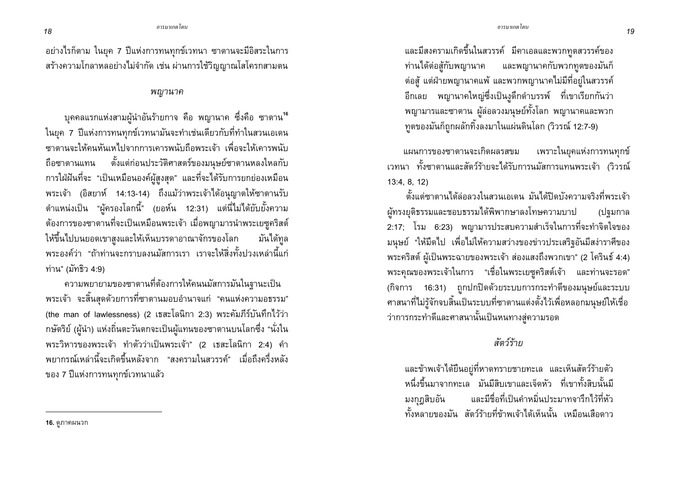้อย่างไรก็ตาม ในยุค 7 ปีแห่งการทนทุกข์เวทนา ซาตานจะมีอิสระในการ ิสร้างความโกลาหลอย่างไม่จำกัด เช่น ผ่านการใช้วิญญาณโสโครกสามตน

#### พญานาค

ิบุคคลแรกแห่งสามผู้นำอันร้ายกาจ คือ พญานาค ซึ่งคือ ซาตาน<sup>16</sup> ในยุค 7 ปีแห่งการทนทุกข์เวทนามันจะทำเช่นเดียวกับที่ทำในสวนเอเดน ี่ ซาตานจะให้คนหันเหไปจากการเคารพนับถือพระเจ้า เพื่อจะให้เคารพนับ ้ถือซาตานแทน ตั้งแต่ก่อนประวัติศาสตร์ของมนุษย์ซาตานหลงใหลกับ การใฝ่ฝันที่จะ "เป็นเหมือนองค์ผู้สูงสุด" และที่จะได้รับการยกย่องเหมือน พระเจ้า (อิสยาห์ 14:13-14) ถึงแม้ว่าพระเจ้าได้อนุญาตให้ซาตานรับ ้ตำแหน่งเป็น "ผู้ครองโลกนี้" (ยอห์น 12:31) แต่นี่ไม่ได้ยับยั้งความ ้ต้องการของซาตานที่จะเป็นเหมือนพระเจ้า เมื่อพญามารนำพระเยซุคริสต์ ให้ขึ้นไปบนยอดเขาสูงและให้เห็นบรรดาอาณาจักรของโลก มันได้ทล ้ พระองค์ว่า "ถ้าท่านจะกราบลงนมัสการเรา เราจะให้สิ่งทั้งปวงเหล่านี้แก่ ท่าน" (มัทธิว 4:9)

ิ ความพยายามของซาตานที่ต้องการให้คนนมัสการมันในฐานะเป็น ิพระเจ้า จะสิ้นสุดด้วยการที่ซาตานมอบอำนาจแก่ "คนแห่งความอธรรม" (the man of lawlessness) (2 เธสะโลนิกา 2:3) พระคัมภีร์บันทึกไว้ว่า ึกษัตริย์ (ผู้นำ) แห่งถิ่นตะวันตกจะเป็นผู้แทนของซาตานบนโลกซึ่ง "นั่งใน พระวิหารของพระเจ้า ทำตัวว่าเป็นพระเจ้า" (2 เธสะโลนิกา 2:4) คำ ่ พยากรณ์เหล่านี้จะเกิดขึ้นหลังจาก "สงครามในสวรรค์" เมื่อถึงครึ่งหลัง ของ 7 ปีแห่งการทนทุกข์เวทนาแล้ว

ี และมีสงครามเกิดขึ้นในสวรรค์ มีคาเอลและพวกทูตสวรรค์ของ และพญานาคกับพวกทูตของมันก็ ท่านได้ต่อสู้กับพญานาค ้ต่อสู้ แต่ฝ่ายพญานาคแพ้ และพวกพญานาคไม่มีที่อยู่ในสวรรค์ อีกเลย พญานาคใหญ่ซึ่งเป็นงูดึกดำบรรพ์ ที่เขาเรียกกันว่า พญามารและซาตาน ผู้ล่อลวงม<sup>ี</sup>นุษย์ทั้งโลก พญานาคและพวก ทูตของมันก็ถูกผลักทิ้งลงมาในแผ่นดินโลก (วิวรณ์ 12:7-9)

แผนการของซาตานจะเกิดผลรสขม เพราะในยุคแห่งการทนทุกข์ ้เวทนา ทั้งซาตานและสัตว์ร้ายจะได้รับการนมัสการแทนพระเจ้า (วิวรณ์  $13:4, 8, 12$ 

้ตั้งแต่ซาตานได้ล่อลวงในสวนเอเดน มันได้ปิดบังความจริงที่พระเจ้า ผ้ทรงยติธรรมและชอบธรรมได้พิพากษาลงโทษความบาป (ปฐมกาล 2:17; โรม 6:23) พญามารประสบความสำเร็จในการที่จะทำจิตใจของ ้มนุษย์ "ให้มืดไป เพื่อไม่ให้ความสว่างของข่าวประเสริฐอันมีสง่าราศีของ พระคริสต์ ผู้เป็นพระฉายของพระเจ้า ส่องแสงถึงพวกเขา" (2 โครินธ์ 4:4) พระคุณของพระเจ้าในการ "เชื่อในพระเยซูคริสต์เจ้า และท่านจะรอด" (กิจการ 16:31) ถูกปกปิดด้วยระบบการกระทำดีของมนุษย์และระบบ ี ศาสนาที่ไม่รู้จักจบสิ้นเป็นระบบที่ซาตานแต่งตั้งไว้เพื่อหลอกมนุษย์ให้เชื่อ ว่าการกระทำดีและศาสนานั้นเป็นหนทางสู่ความรอด

## สัตว์ร้าย

และข้าพเจ้าได้ยืนอยู่ที่หาดทรายชายทะเล และเห็นสัตว์ร้ายตัว หนึ่งขึ้นมาจากทะเล มันมีสิบเขาและเจ็ดหัว ที่เขาทั้งสิบนั้นมี และมีชื่อที่เป็นคำหมิ่นประมาทจารึกไว้ที่หัว มงกฎสิบอัน ้ทั้งหลายของมัน สัตว์ร้ายที่ข้าพเจ้าได้เห็นนั้น เหมือนเสือดาว

<sup>16.</sup> ดูภาคผนวก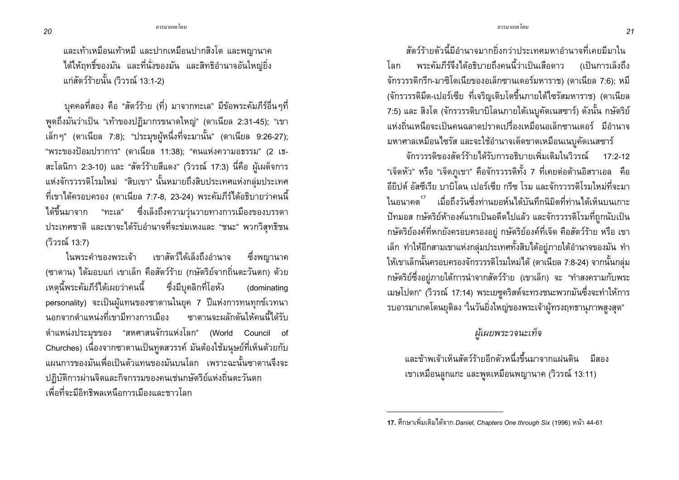้ และเท้าเหมือนเท้าหมี และปากเหมือนปากสิงโต และพญานาค ได้ให้ฤทธิ์ของมัน และที่นั่งของมัน และสิทธิอำนาจอันใหญ่ยิ่ง แก่สัตว์ร้ายนั้น (วิวรณ์ 13:1-2)

ี บุคคลที่สอง คือ "สัตว์ร้าย (ที่) มาจากทะเล" มีข้อพระคัมภีร์อื่นๆที่ พูดถึงมันว่าเป็น "เท้าของปฏิมากรขนาดใหญ่" (ดาเนียล 2:31-45); "เขา เล็กๆ" (ดาเนียล 7:8); "ประมุขผู้หนึ่งที่จะมานั้น" (ดาเนียล 9:26-27); "พระของป้อมปราการ" (ดาเนียล 11:38); "คนแห่งความอธรรม" (2 เธ-สะโลนิกา 2:3-10) และ "สัตว์ร้ายสีแดง" (วิวรณ์ 17:3) นี่คือ ผู้เผด็จการ แห่งจักรวรรดิโรมใหม่ "สิบเขา" นั้นหมายถึงสิบประเทศแห่งกลุ่มประเทศ ี ที่เขาได้ครอบครอง (ดาเนียล 7:7-8, 23-24) พระคัมภีร์ได้อธิบายว่าคนนี้ ได้ขึ้นมาจาก "ทะเล" ซึ่งเล็งถึงความวุ่นวายทางการเมืองของบรรดา ประเทศชาติ และเขาจะได้รับอำนาจที่จะข่มเหงและ "ชนะ" พวกวิสทธิชน (วิวรณ์ 13:7)

เขาสัตว์ได้เล็งถึงอำนาจ ในพระคำของพระเจ้า ซึ่งพญานาค (ซาตาน) ได้มอบแก่ เขาเล็ก คือสัตว์ร้าย (กษัตริย์จากถิ่นตะวันตก) ด้วย ้<br>เหตุนี้พระคัมภีร์ได้เผยว่าคนนี้ ซึ่งมีบุคลิกที่โอหัง (dominating personality) จะเป็นผู้แทนของซาตานในยุค 7 ปีแห่งการทนทุกข์เวทนา ินอกจากตำแหน่งที่เขามีทางการเมือง ซาตานจะผลักดันให้คนนี้ได้รับ ้ตำแหน่งประมุขของ "สหศาสนจักรแห่งโลก" (World Council of Churches) เนื่องจากซาตานเป็นทูตสวรรค์ มันต้องใช้มนุษย์ที่เห็นด้วยกับ ี แผนการของมันเพื่อเป็นตัวแทนของมันบนโลก เพราะฉะนั้นซาตานจึงจะ ปฏิบัติการผ่านจิตและกิจกรรมของคนเช่นกษัตริย์แห่งถิ่นตะวันตก ้ เพื่อที่จะมีอิทธิพลเหนือการเมืองและชาวโลก

สัตว์ร้ายตัวนี้มีอำนาจมากยิ่งกว่าประเทศมหาอำนาจที่เคยมีมาใน พระคัมภีร์จึงได้อธิบายถึงคนนี้ว่าเป็นเสือดาว ้ (เป็นการเล็งถึง โลก จักรวรรดิกรีก-มาซิโดเนียของอเล็กซานเดอร์มหาราช) (ดาเนียล 7:6); หมี (จักรวรรดิมีด-เปอร์เซีย ที่เจริญเติบโตขึ้นภายใต้ไซรัสมหาราช) (ดาเนียล 7:5) และ สิงโต (จักรวรรดิบาบิโลนภายใต้เนบูคัดเนสซาร์) ดังนั้น กษัตริย์ ้ แห่งถิ่นเหนือจะเป็นคนฉลาดปราดเปรื่องเหมือนอเล็กซานเดอร์ มีอำนาจ ้มหาศาลเหมือนไซรัส และจะใช้อำนาจเด็ดขาดเหมือนเนบูคัดเนสซาร์

จักรวรรดิของสัตว์ร้ายได้รับการอธิบายเพิ่มเติมในวิวรณ์ 17.2-12 "เจ็ดหัว" หรือ "เจ็ดภูเขา" คือจักรวรรดิทั้ง 7 ที่เคยต่อต้านอิสราเอล คือ อียิปต์ อัสซีเรีย บาบิโลน เปอร์เซีย กรีซ โรม และจักรวรรดิโรมใหม่ที่จะมา ในอนาคต<sup>17</sup> เมื่อถึงวันซึ่งท่านยอห์นได้บันทึกนิมิตที่ท่านได้เห็นบนเกาะ ้ปัทมอส กษัตริย์ห้าองค์แรกเป็นอดีตไปแล้ว และจักรวรรดิโรมที่ถูกนับเป็น กษัตริย์องค์ที่หกยังครอบครองอยู่ กษัตริย์องค์ที่เจ็ด คือสัตว์ร้าย หรือ เขา เล็ก ทำให้อีกสามเขาแห่งกลุ่มประเทศทั้งสิบได้อยู่ภายใต้อำนาจของมัน ทำ ให้เขาเล็กนั้นครอบครองจักรวรรดิโรมใหม่ได้ (ดาเนียล 7:8-24) จากนั้นกลุ่ม ึกษัตริย์ซึ่งอยู่ภายใต้การนำจากสัตว์ร้าย (เขาเล็ก) จะ "ทำสงครามกับพระ เมษโปดก" (วิวรณ์ 17:14) พระเยซูคริสต์จะทรงชนะพวกมันซึ่งจะทำให้การ รบอารมาเกดโดนยุติลง "ในวันยิ่งใหญ่ของพระเจ้าผู้ทรงฤทธานภาพสูงสุด"

## ผู้เผยพระวจนะเท็จ

้และข้าพเจ้าเห็นสัตว์ร้ายอีกตัวหนึ่งขึ้นมาจากแผ่นดิน มีสอง ้เขาเหมือนลูกแกะ และพูดเหมือนพญานาค (วิวรณ์ 13:11)

<sup>17.</sup> ศึกษาเพิ่มเติมได้จาก Daniel, Chapters One through Six (1996) หน้า 44-61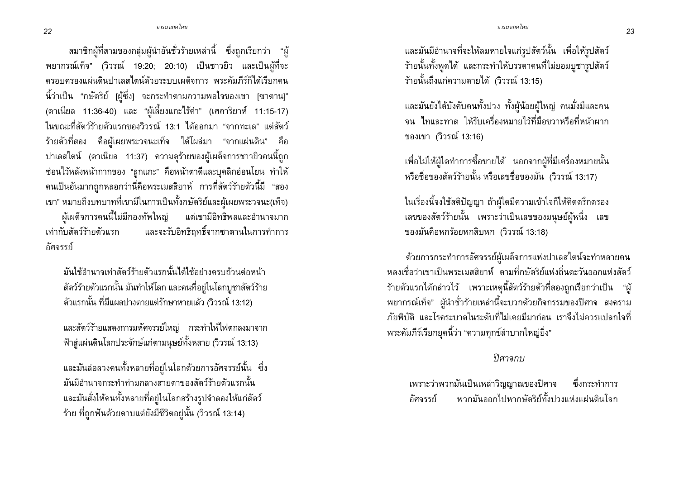ิสมาชิกผู้ที่สามของกลุ่มผู้นำอันชั่วร้ายเหล่านี้ ซึ่งถูกเรียกว่า "ผู้ พยากรณ์เท็จ" (วิวรณ์ 19:20; 20:10) เป็นชาวยิว และเป็นผู้ที่จะ ้ ครอบครองแผ่นดินปาเลสไตน์ด้วยระบบเผด็จการ พระคัมภีร์ก็ได้เรียกคน นี้ว่าเป็น "กษัตริย์ [ผู้ซึ่ง] จะกระทำตามความพอใจของเขา [ซาตาน]" (ดาเนียล 11:36-40) และ "ผู้เลี้ยงแกะไร้ค่า" (เศคาริยาห์ 11:15-17) ในขณะที่สัตว์ร้ายตัวแรกของวิวรณ์ 13:1 ได้ออกมา "จากทะเล" แต่สัตว์ ี ร้ายตัวที่สอง คือผู้เผยพระวจนะเท็จ ได้โผล่มา "จากแผ่นดิน" คือ ี ปาเลสไตน์ (ดาเนียล 11:37) ความดูร้ายของผู้เผด็จการชาวยิวคนนี้ถูก ซ่อนไว้หลังหน้ากากของ "ลูกแกะ" คือหน้าตาดีและบุคลิกอ่อนโยน ทำให้ คนเป็นอันมากถูกหลอกว่านี่คือพระเมสสิยาห์ การที่สัตว์ร้ายตัวนี้มี "สอง เขา" หมายถึงบทบาทที่เขามีในการเป็นทั้งกษัตริย์และผู้เผยพระวจนะ(เท็จ) ผู้เผด็จการคนนี้ไม่มีกองทัพใหญ่ แต่เขามีอิทธิพลและอำนาจมาก เท่ากับสัตว์ร้ายตัวแรก และจะรับอิทธิฤทธิ์จากซาตานในการทำการ กัศจรรย์

มันใช้อำนาจเท่าสัตว์ร้ายตัวแรกนั้นได้ใช้อย่างครบถ้วนต่อหน้า ้สัตว์ร้ายตัวแรกนั้น มันทำให้โลก และคนที่อยู่ในโลกบูชาสัตว์ร้าย ์ ตัวแรกนั้น ที่มีแผลปางตายแต่รักษาหายแล้ว (วิวรณ์ 13:12)

และสัตว์ร้ายแสดงการมหัศจรรย์ใหญ่ กระทำให้ไฟตกลงมาจาก ้ฟ้าสู่แผ่นดินโลกประจักษ์แก่ตามนุษย์ทั้งหลาย (วิวรณ์ 13:13)

และมันล่อลวงคนทั้งหลายที่อยู่ในโลกด้วยการอัศจรรย์นั้น ซึ่ง ู<br>มันมีอำนาจกระทำท่ามกลางสายตาของสัตว์ร้ายตัวแรกนั้น และมันสั่งให้คนทั้งหลายที่อยู่ในโลกสร้างรูปจำลองให้แก่สัตว์ ร้าย ที่ถูกฟันด้วยดาบแต่ยังมีชีวิตอยู่นั้น (วิวรณ์ 13:14)

และมันมีอำนาจที่จะให้ลมหายใจแก่รูปสัตว์นั้น เพื่อให้รูปสัตว์ ้ร้ายนั้นทั้งพูดได้ และกระทำให้บรรดาคนที่ไม่ยอมบูชารูปสัตว์ ร้ายนั้นถึงแก่ความตายได้ (วิวรณ์ 13:15)

และมันยังได้บังคับคนทั้งปวง ทั้งผู้น้อยผู้ใหญ่ คนมั่งมีและคน จน ไทและทาส ให้รับเครื่องหมายไว้ที่มือขวาหรือที่หน้าผาก ของเขา (วิวรณ์ 13:16)

เพื่อไม่ให้ผู้ใดทำการซื้อขายได้ นอกจากผู้ที่มีเครื่องหมายนั้น หรือชื่อของสัตว์ร้ายนั้น หรือเลขชื่อของมัน (วิวรณ์ 13:17)

ในเรื่องนี้จงใช้สติปัญญา ถ้าผู้ใดมีความเข้าใจก็ให้คิดตรึกตรอง เลขของสัตว์ร้ายนั้น เพราะว่าเป็นเลขของมนุษย์ผู้หนึ่ง เลข ของมันคือหกร้อยหกสิบหก (วิวรณ์ 13:18)

ด้วยการกระทำการอัศจรรย์ผู้เผด็จการแห่งปาเลสไตน์จะทำหลายคน หลงเชื่อว่าเขาเป็นพระเมสสิยาห์ ตามที่กษัตริย์แห่งถิ่นตะวันออกแห่งสัตว์ ้ร้ายตัวแรกได้กล่าวไว้ เพราะเหตุนี้สัตว์ร้ายตัวที่สองถูกเรียกว่าเป็น "ผู้ ์<br>พยากรณ์เท็จ" ผู้นำชั่วร้ายเหล่านี้จะบวกด้วยกิจกรรมของปิศาจ สงคราม ้ภัยพิบัติ และโรคระบาดในระดับที่ไม่เคยมีมาก่อน เราจึงไม่ควรแปลกใจที่ พระคัมภีร์เรียกยุคนี้ว่า "ความทุกข์ลำบากใหญ่ยิ่ง"

#### ปิศาจกบ

่ เพราะว่าพวกมันเป็นเหล่าวิญญาณของปิศาจ ซึ่งกระทำการ ้พวกมันออกไปหากษัตริย์ทั้งปวงแห่งแผ่นดินโลก กัศจรรย์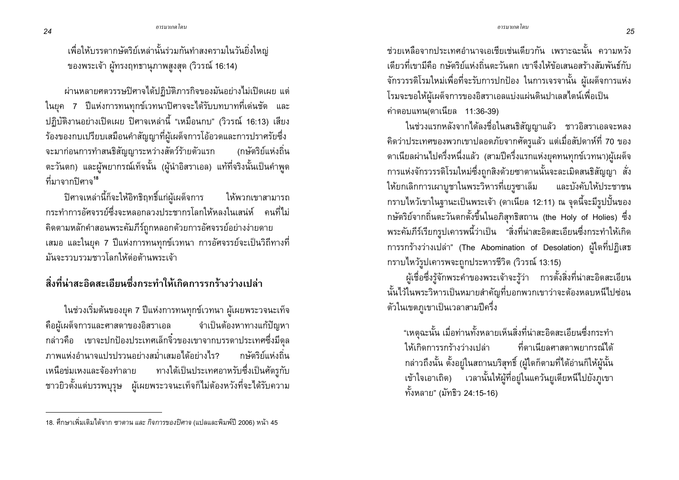เพื่อให้บรรดากษัตริย์เหล่านั้นร่วมกันทำสงครามในวันยิ่งใหญ่ ของพระเจ้า ผู้ทรงฤทธานุภาพสูงสุด (วิวรณ์ 16:14)

้ผ่านหลายศตวรรษปิศาจได้ปฏิบัติภารกิจของมันอย่างไม่เปิดเผย แต่ ในยุค 7 ปีแห่งการทนทุกข์เวทนาปิศาจจะได้รับบทบาทที่เด่นชัด และ ปฏิบัติงานอย่างเปิดเผย ปิศาจเหล่านี้ "เหมือนกบ" (วิวรณ์ 16:13) เสียง ร้องของกบเปรียบเสมือนคำสัญญาที่ผู้เผด็จการโอ้อวดและการปราศรัยซึ่ง จะมาก่อนการทำสนธิสัญญาระหว่างสัตว์ร้ายตัวแรก (กษัตริย์แห่งถิ่น ตะวันตก) และผู้พยากรณ์เท็จนั้น (ผู้นำอิสราเอล) แท้ที่จริงนั้นเป็นคำพูด ์ที่มาจากปิศาจ<sup>18</sup>

ปิศาจเหล่านี้ก็จะให้อิทธิฤทธิ์แก่ผู้เผด็จการ ให้พวกเขาสามารถ ิกระทำการอัศจรรย์ตึ่งจะหลอกลวงประชากรโลกให้หลงในเสน่ห์ คนที่ไม่ คิดตามหลักคำสอนพระคัมภีร์ถูกหลอกด้วยการอัศจรรย์อย่างง่ายดาย ้ เสมอ และในยุค 7 ปีแห่งการทนทุกข์เวทนา การอัศจรรย์จะเป็นวิถีทางที่ มันจะรวบรวมชาวโลกให้ต่อต้านพระเจ้า

สิ่งที่น่าสะอิดสะเอียนซึ่งกระทำให้เกิดการรกร้างว่างเปล่า

ในช่วงเริ่มต้นของยุค 7 ปีแห่งการทนทุกข์เวทนา ผู้เผยพระวจนะเท็จ คือผู้เผด็จการและศาสดาของอิสราเอล จำเป็นต้องหาทางแก้ปัญหา ึกล่าวคือ เขาจะปกป้องประเทศเล็กจิ๋วของเขาจากบรรดาประเทศซึ่งมีดุล ่ ภาพแห่งกำนาจแปรปรวนอย่างสม่ำเสมอได้อย่างไร? กษัตริย์แห่งถิ่น ้ เหนือข่มเหงและจ้องทำลาย ทางใต้เป็นประเทศอาหรับซึ่งเป็นศัตรูกับ ี ชาวยิวตั้งแต่บรรพบุรุษ ผู้เผยพระวจนะเท็จก็ไม่ต้องหวังที่จะได้รับความ

้ช่วยเหลือจากประเทศอำนาจเอเชียเช่นเดียวกัน เพราะฉะนั้น ความหวัง ้เดี๋ยวที่เขามีคือ กษัตริย์แห่งถิ่นตะวันตก เขาจึงให้ข้อเสนอสร้างสัมพันธ์กับ ้จักรวรรดิโรมใหม่เพื่อที่จะรับการปกป้อง ในการเจรจานั้น ผู้เผด็จการแห่ง โรมจะขอให้ผู้เผด็จการของอิสราเอลแบ่งแผ่นดินปาเลสไตน์เพื่อเป็น ีค่าตอบแทน(ดาเนียล 11:36-39)

ในช่วงแรกหลังจากได้ลงชื่อในสนธิสัญญาแล้ว ชาวอิสราเอลจะหลง ้คิดว่าประเทศของพวกเขาปลอดภัยจากศัตรูแล้ว แต่เมื่อสัปดาห์ที่ 70 ของ ิดาเนียลผ่านไปครึ่งหนึ่งแล้ว (สามปีครึ่งแรกแห่งยุคทนทุกข์เวทนา)ผู้เผด็จ การแห่งจักรวรรดิโรมใหม่ซึ่งถูกสิงด้วยซาตานนั้นจะละเมิดสนธิสัญญา สั่ง ให้ยกเลิกการเผาบูชาในพระวิหารที่เยรูซาเล็ม และบังคับให้ประชาชน ึกราบไหว้เขาในฐานะเป็นพระเจ้า (ดาเนียล 12:11) ณ จุดนี้จะมีรูปปั้นของ ึกษัตริย์จากถิ่นตะวันตกตั้งขึ้นในอภิสุทธิสถาน (the Holy of Holies) ซึ่ง พระคัมภีร์เรียกรูปเคารพนี้ว่าเป็น "สิ่งที่น่าสะอิดสะเอียนซึ่งกระทำให้เกิด การรกร้างว่างเปล่า" (The Abomination of Desolation) ผู้ใดที่ปฏิเสธ กราบไหว้รูปเคารพจะถูกประหารชีวิต (วิวรณ์ 13:15)

ผู้เชื่อซึ่งรู้จักพระคำของพระเจ้าจะรู้ว่า การตั้งสิ่งที่น่าสะอิดสะเอียน นั้นไว้ในพระวิหารเป็นหมายสำคัญที่บอกพวกเขาว่าจะต้องหลบหนีไปซ่อน ตัวในเขตภูเขาเป็นเวลาสามปีครึ่ง

"เหตุฉะนั้น เมื่อท่านทั้งหลายเห็นสิ่งที่น่าสะอิดสะเอียนซึ่งกระทำ ที่ดาเนียลศาสดาพยากรณ์ได้ ให้เกิดการรกร้างว่างเปล่า กล่าวถึงนั้น ตั้งอยู่ในสถานบริสุทธิ์ (ผู้ใดก็ตามที่ได้อ่านก็ให้ผู้นั้น เข้าใจเอาเถิด) เวลานั้นให้ผู้ที่อยู่ในแคว้นยูเดียหนีไปยังภูเขา ทั้งหลาย" (มัทธิว 24:15-16)

<sup>ี่ 18.</sup> ศึกษาเพิ่มเติมได้จาก *ซาตาน และ กิจการของปิศาจ (*แปลและพิมพ์ปี 2006) หน้า 45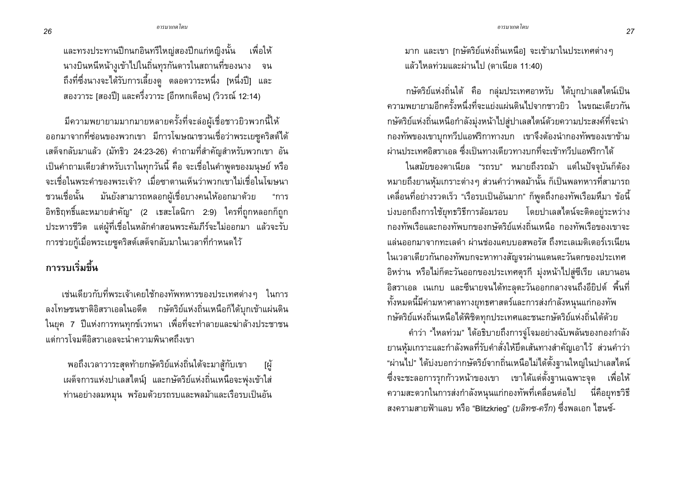ี และทรงประทานปีกนกอินทรีใหญ่สองปีกแก่หญิงนั้น เพื่อให้ ้นางบินหนีหน้างูเข้าไปในถิ่นทุรกันดารในสถานที่ของนาง จน ถึงที่ซึ่งนางจะได้รับการเลี้ยงดู ตลอดวาระหนึ่ง [หนึ่งปี] และ ี สองวาระ [สองปี] และครึ่งวาระ [อีกหกเดือน] (วิวรณ์ 12:14)

มีความพยายามมากมายหลายครั้งที่จะล่อผู้เชื่อชาวยิวพวกนี้ให้ ้ออกมาจากที่ซ่อนของพวกเขา มีการโฆษณาชวนเชื่อว่าพระเยซูคริสต์ได้ ูเสด็จกลับมาแล้ว (มัทธิว 24:23-26) คำถามที่สำคัญสำหรับพวกเขา อัน เป็นคำถามเดียวสำหรับเราในทุกวันนี้ คือ จะเชื่อในคำพูดของมนุษย์ หรือ ่ จะเชื่อในพระคำของพระเจ้า? เมื่อซาตานเห็นว่าพวกเขาไม่เชื่อในโฆษนา ชวนเชื่อนั้น มันยังสามารถหลอกผู้เชื่อบางคนให้ออกมาด้วย "การ ้อิทธิฤทธิ์และหมายสำคัญ" (2 เธสะโลนิกา 2:9) ใครที่ถูกหลอกก็ถูก ประหารชีวิต แต่ผู้ที่เชื่อในหลักคำสอนพระคัมภีร์จะไม่ออกมา แล้วจะรับ ้ การช่วยกู้เมื่อพระเยซูคริสต์เสด็จกลับมาในเวลาที่กำหนดไว้

## ิ การรบเริ่มขึ้น

้ เช่นเดียวกับที่พระเจ้าเคยใช้กองทัพทหารของประเทศต่างๆ ในการ ิลงโทษชนชาติอิสราเอลในอดีต กษัตริย์แห่งถิ่นเหนือก็ได้บกเข้าแผ่นดิน ่ ในยุค 7 ปีแห่งการทนทุกข์เวทนา เพื่อที่จะทำลายและฆ่าล้างประชาชน แต่การโจมตีอิสราเอลจะนำความพินาศถึงเขา

พอถึงเวลาวาระสุดท้ายกษัตริย์แห่งถิ่นใต้จะมาสู้กับเขา ้ ไผ้ ้ เผด็จการแห่งปาเลสไตน์] และกษัตริย์แห่งถิ่นเหนือจะพุ่งเข้าใส่ ท่านอย่างลมหมุน พร้อมด้วยรถรบและพลม้าและเรือรบเป็นอัน มาก และเขา [กษัตริย์แห่งถิ่นเหนือ] จะเข้ามาในประเทศต่างๆ ้แล้วไหลท่วมและผ่านไป (ดาเนียล 11:40)

ึกษัตริย์แห่งถิ่นใต้ คือ กลุ่มประเทศอาหรับ ได้บุกปาเลสไตน์เป็น ้ความพยายามอีกครั้งหนึ่งที่จะแย่งแผ่นดินไปจากชาวยิว ในขณะเดียวกัน กษัตริย์แห่งถิ่นเหนือกำลังมุ่งหน้าไปสู่ปาเลสไตน์ด้วยความประสงค์ที่จะนำ ึกองทัพของเขาบุกทวีปแอฟริกาทางบก เขาจึงต้องนำกองทัพของเขาข้าม ้ผ่านประเทศอิสราเอล ซึ่งเป็นทางเดียวทางบกที่จะเข้าทวีปแอฟริกาได้

ในสมัยของดาเนียล "รถรบ" หมายถึงรถม้า แต่ในปัจจุบันก็ต้อง หมายถึงยานหุ้มเกราะต่างๆ ส่วนคำว่าพลม้านั้น ก็เป็นพลทหารที่สามารถ ้เคลื่อนที่อย่างรวดเร็ว "เรือรบเป็นอันมาก" ก็พูดถึงกองทัพเรือมหึมา ข้อนี้ บ่งบอกถึงการใช้ยุทธวิธีการล้อมรอบ โดยปาเลสไตน์จะติดอยู่ระหว่าง ึกองทัพเรือและกองทัพบกของกษัตริย์แห่งถิ่นเหนือ กองทัพเรือของเขาจะ แล่นออกมาจากทะเลดำ ผ่านช่องแคบบอสพอรัส ถึงทะเลเมดิเตอร์เรเนียน ในเวลาเดียวกันกองทัพบกจะหาทางสัญจรผ่านแดนตะวันตกของประเทศ ้อิหร่าน หรือไม่ก็ตะวันออกของประเทศตุรกี มุ่งหน้าไปสู่ซีเรีย เลบานอน ้อิสราเอล เนเกบ และซีนายจนได้ทะลุตะวันออกกลางจนถึงอียิปต์ พื้นที่ ทั้งหมดนี้มีค่ามหาศาลทางยุทธศาสตร์และการส่งกำลังหนุนแก่กองทัพ ึกษัตริย์แห่งถิ่นเหนือได้พิชิตทุกประเทศและชนะกษัตริย์แห่งถิ่นใต้ด้วย

้คำว่า "ใหลท่วม" ได้อธิบายถึงการจู่โจมอย่างฉับพลันของกองกำลัง ยานหุ้มเกราะและกำลังพลที่รับคำสั่งให้ยึดเส้นทางสำคัญเอาไว้ ส่วนคำว่า "ผ่านไป" ได้บ่งบอกว่ากษัตริย์จากถิ่นเหนือไม่ได้ตั้งฐานใหญ่ในปาเลสไตน์ ้ซึ่งจะชะลอการรุกก้าวหน้าของเขา เขาได้แต่ตั้งฐานเฉพาะจุด เพื่อให้ ความสะดวกในการส่งกำลังหนุนแก่กองทัพที่เคลื่อนต่อไป นี่คือยุทธวิธี ี สงครามสายฟ้าแลบ หรือ "Blitzkrieg" (*บลิทซ-ครีก*) ซึ่งพลเอก ไฮนซ์-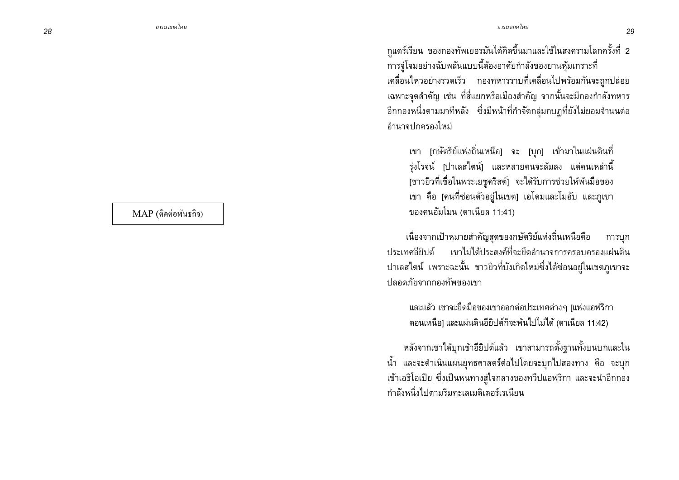28

 $MAP$  (ติดต่อพันธกิจ)

ึกแดร์เรียน ของกองทัพเยอรมันได้คิดขึ้นมาและใช้ในสงครามโลกครั้งที่ 2 การจู่โจมอย่างฉับพลันแบบนี้ต้องอาศัยกำลังของยานหุ้มเกราะที่ เคลื่อนไหวอย่างรวดเร็ว กองทหารราบที่เคลื่อนไปพร้อมกันจะถูกปล่อย เฉพาะจุดสำคัญ เช่น ที่สี่แยกหรือเมืองสำคัญ จากนั้นจะมีกองกำลังทหาร อีกกองหนึ่งตามมาทีหลัง ซึ่งมีหน้าที่กำจัดกลุ่มกบฏที่ยังไม่ยอมจำนนต่อ คำนาจปกครองใหม่

เขา [กษัตริย์แห่งถิ่นเหนือ] จะ [บุก] เข้ามาในแผ่นดินที่ รุ่งโรจน์ [ปาเลสไตน์] และหลายคนจะล้มลง แต่คนเหล่านี้ [ชาวยิวที่เชื่อในพระเยซูคริสต์] จะได้รับการช่วยให้พันมือของ ่ เขา คือ [คนที่ซ่อนตัวอยู่ในเขต] เอโดมและโมอับ และภูเขา ของคนอัมโมน (ดาเนียล 11:41)

เนื่องจากเป้าหมายสำคัญสุดของกษัตริย์แห่งถิ่นเหนือคือ การบก ้<br>เขาไม่ได้ประสงค์ที่จะยึดอำนาจการครอบครองแผ่นดิน ประเทศกี่ยิปต์ ปาเลสไตน์ เพราะฉะนั้น ชาวยิวที่บังเกิดใหม่ซึ่งได้ซ่อนอยู่ในเขตภูเขาจะ ปลอดภัยจากกองทัพของเขา

้ และแล้ว เขาจะยืดมือของเขาออกต่อประเทศต่างๆ [แห่งแอฟริกา ้ตอนเหนือ] และแผ่นดินอียิปต์ก็จะพ้นไปไม่ได้ (ดาเนียล 11:42)

หลังจากเขาได้บุกเข้าอียิปต์แล้ว เขาสามารถตั้งฐานทั้งบนบกและใน ้น้ำ และจะดำเนินแผนยุทธศาสตร์ต่อไปโดยจะบุกไปสองทาง คือ จะบุก เข้าเอธิโอเปีย ซึ่งเป็นหนทางสู่ใจกลางของทวีปแอฟริกา และจะนำอีกกอง กำลังหนึ่งไปตามริมทะเลเมดิเตอร์เรเนียน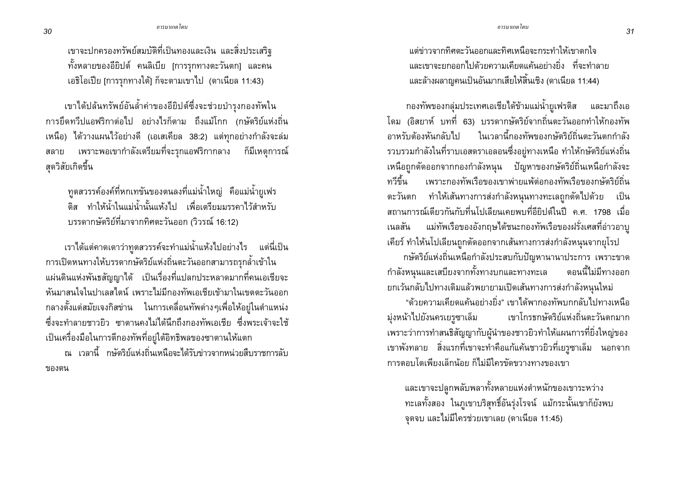ี เขาจะปกครองทรัพย์สมบัติที่เป็นทองและเงิน และสิ่งประเสริฐ ้ทั้งหลายของอียิปต์ คนลิเบีย [การรุกทางตะวันตก] และคน เอธิโอเปีย [การรุกทางใต้] ก็จะตามเขาไป (ดาเนียล 11:43)

เขาได้ปล้นทรัพย์อันล้ำค่าของอียิปต์ซึ่งจะช่วยบำรุงกองทัพใน ี การยึดทวีปแอฟริกาต่อไป อย่างไรก็ตาม ถึงแม้โกก (กษัตริย์แห่งถิ่น เหนือ) ได้วางแผนไว้อย่างดี (เอเสเคียล 38:2) แต่ทุกอย่างกำลังจะล่ม ิสลาย เพราะพอเขากำลังเตรียมที่จะรุกแอฟริกากลาง ก็มีเหตุการณ์ สุดวิสัยเกิดขึ้น

ิทูตสวรรค์องค์ที่หกเทขันของตนลงที่แม่น้ำใหญ่ คือแม่น้ำยูเฟร ้ติส ทำให้น้ำในแม่น้ำนั้นแห้งไป เพื่อเตรียมมรรคาไว้สำหรับ บรรดากษัตริย์ที่มาจากทิศตะวันออก (วิวรณ์ 16:12)

ี เราได้แต่คาดเดาว่าทูตสวรรค์จะทำแม่น้ำแห้งไปอย่างไร แต่นี่เป็น ิ การเปิดหนทางให้บรรดากษัตริย์แห่งถิ่นตะวันออกสามารถรุกล้ำเข้าใน ้แผ่นดินแห่งพันธสัญญาได้ เป็นเรื่องที่แปลกประหลาดมากที่คนเอเชียจะ หันมาสนใจในปาเลสไตน์ เพราะไม่มีกองทัพเอเชียเข้ามาในเขตตะวันออก ึกลางตั้งแต่สมัยเจงกิสข่าน ในการเคลื่อนทัพต่างๆเพื่อให้อยู่ในตำแหน่ง ้ซึ่งจะทำลายชาวยิว ซาตานคงไม่ได้นึกถึงกองทัพเอเชีย ซึ่งพระเจ้าจะใช้ เป็นเครื่องมือในการตีกองทัพที่อยู่ใต้อิทธิพลของซาตานให้แตก

ณ เวลานี้ กษัตริย์แห่งถิ่นเหนือจะได้รับข่าวจากหน่วยสืบราชการลับ ของตน

แต่ข่าวจากทิศตะวันออกและทิศเหนือจะกระทำให้เขาตกใจ ี และเขาจะยกออกไปด้วยความเคียดแค้นอย่างยิ่ง ที่จะทำลาย ้ และล้างผลาญคนเป็นอันมากเสียให้สิ้นเชิง (ดาเนียล 11:44)

ี กองทัพของกลุ่มประเทศเอเชียได้ข้ามแม่น้ำยูเฟรติส และมาถึงเอ โดม (อิสยาห์ บทที่ 63) บรรดากษัตริย์จากถิ่นตะวันออกทำให้กองทัพ ้อาหรับต้องหันกลับไป ในเวลานี้กองทัพของกษัตริย์ถิ่นตะวันตกกำลัง รวบรวมกำลังในที่ราบเอสดราเอลอนซึ่งอยู่ทางเหนือ ทำให้กษัตริย์แห่งถิ่น เหนือถูกตัดออกจากกองกำลังหนุน ปัญหาของกษัตริย์ถิ่นเหนือกำลังจะ ทวีขึ้น ้ เพราะกองทัพเรือของเขาพ่ายแพ้ต่อกองทัพเรือของกษัตริย์ถิ่น ้ตะวันตก ทำให้เส้นทางการส่งกำลังหนุนทางทะเลถูกตัดไปด้วย เป็น ิสถานการณ์เดียวกันกับที่นโปเลียนเคยพบที่อียิปต์ในปี ค.ศ. 1798 เมื่อ แม่ทัพเรือของอังกฤษได้ชนะกองทัพเรือของฝรั่งเศสที่อ่าวอาบุ เนลสัน เคียร์ ทำให้นโปเลียนถูกตัดออกจากเส้นทางการส่งกำลังหนุนจากยุโรป ึกษัตริย์แห่งถิ่นเหนือกำลังประสบกับปัญหานานาประการ เพราะขาด ู กำลังหนุนและเสบียงจากทั้งทางบกและทางทะเล ็ตอนนี้ไม่มีทางออก ยกเว้นกลับไปทางเดิมแล้วพยายามเปิดเส้นทางการส่งกำลังหนุนใหม่

"ด้วยความเคียดแค้นอย่างยิ่ง" เขาได้พากองทัพบกกลับไปทางเหนือ มุ่งหน้าไปยังนครเยรูซาเล็ม เขาโกรธกษัตริย์แห่งถิ่นตะวันตกมาก ้ เพราะว่าการทำสนธิสัญญากับผู้นำของชาวยิวทำให้แผนการที่ยิ่งใหญ่ของ เขาพังทลาย สิ่งแรกที่เขาจะทำคือแก้แค้นชาวยิวที่เยรูซาเล็ม นอกจาก การตอบโตเพียงเล็กน้อย ก็ไม่มีใครขัดขวางทางของเขา

และเขาจะปลูกพลับพลาทั้งหลายแห่งตำหนักของเขาระหว่าง ทะเลทั้งสอง ในภูเขาบริสุทธิ์อันรุ่งโรจน์ แม้กระนั้นเขาก็ยังพบ จดจบ และไม่มีใครช่วยเขาเลย (ดาเนียล 11:45)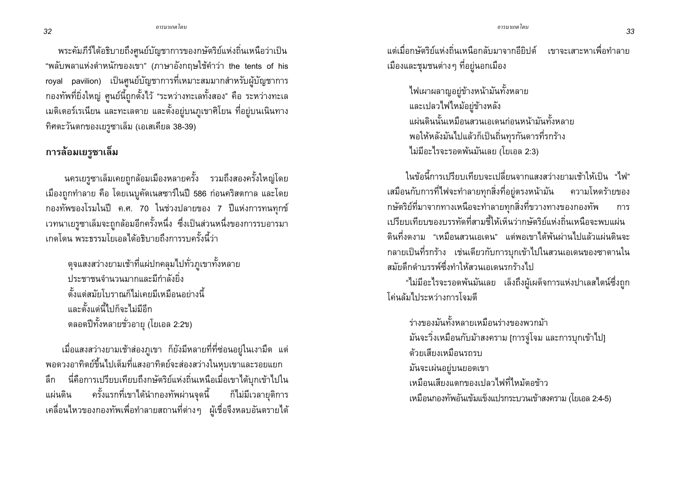้ พระคัมภีร์ได้อธิบายถึงศูนย์บัญชาการของกษัตริย์แห่งถิ่นเหนือว่าเป็น "พลับพลาแห่งตำหนักของเขา" (ภาษาอังกฤษใช้คำว่า the tents of his royal pavilion) เป็นศูนย์บัญชาการที่เหมาะสมมากสำหรับผู้บัญชาการ ึกองทัพที่ยิ่งใหญ่ ศูนย์นี้ถูกตั้งไว้ "ระหว่างทะเลทั้งสอง" คือ ระหว่างทะเล ้เมดิเตอร์เรเนียน และทะเลตาย และตั้งอยู่บนภูเขาศิโยน ที่อยู่บนเนินทาง ทิศตะวันตกของเยรูซาเล็ม (เอเสเคียล 38-39)

## การล้อมเยรูซาเล็ม

นครเยรูซาเล็มเคยถูกล้อมเมืองหลายครั้ง รวมถึงสองครั้งใหญ่โดย เมืองถูกทำลาย คือ โดยเนบูคัดเนสซาร์ในปี 586 ก่อนคริสตกาล และโดย ึกองทัพของโรมในปี ค.ศ. 70 ในช่วงปลายของ 7 ปีแห่งการทนทุกข์ เวทนาเยรูซาเล็มจะถูกล้อมอีกครั้งหนึ่ง ซึ่งเป็นส่วนหนึ่งของการรบอารมา ้เกดโดน พระธรรมโยเคลได้คริบายถึงการรบครั้งนี้ว่า

้ดุจแสงสว่างยามเช้าที่แผ่ปกคลุมไปทั่วภูเขาทั้งหลาย ประชาชนจำนวนมากและมีกำลังยิ่ง ดั้งแต่สมัยโบราณก็ไม่เคยมีเหมือนอย่างนี้ และตั้งแต่นี้ไปก็จะไม่มีอีก ้ตลอดปีทั้งหลายชั่วอายุ (โยเอล 2:2ข)

้ เมื่อแสงสว่างยามเช้าส่องภูเขา ก็ยังมีหลายที่ที่ซ่อนอยู่ในเงามืด แต่ พอดวงอาทิตย์ขึ้นไปเต็มที่แสงอาทิตย์จะส่องสว่างในหุบเขาและรอยแยก นี่คือการเปรียบเทียบถึงกษัตริย์แห่งถิ่นเหนือเมื่อเขาได้บุกเข้าไปใน ลึก ิ ครั้งแรกที่เขาได้นำกองทัพผ่านจุดนี้ ก็ไม่มีเวลายุติการ แผ่นดิน เคลื่อนไหวของกองทัพเพื่อทำลายสถานที่ต่างๆ ผู้เชื่อจึงหลบอันตรายได้ ้ แต่เมื่อกษัตริย์แห่งถิ่นเหนือกลับมาจากอียิปต์ เขาจะเสาะหาเพื่อทำลาย ้เมืองและชุมชนต่าง ๆ ที่อยู่นอกเมือง

ไฟเผาผลาญอยู่ข้างหน้ามันทั้งหลาย และเปลวไฟไหม้อยู่ข้างหลัง แผ่นดินนั้นเหมือนสวนเอเดนก่อนหน้ามันทั้งหลาย พอให้หลังมันไปแล้วก็เป็นถิ่นทุรกันดารที่รกร้าง ไม่มีอะไรจะรอดพ้นมันเลย (โยเอล 2:3)

ในข้อนี้การเปรียบเทียบจะเปลี่ยนจากแสงสว่างยามเช้าให้เป็น "ไฟ" เสมือนกับการที่ไฟจะทำลายทุกสิ่งที่อยู่ตรงหน้ามัน ความโหดร้ายของ กษัตริย์ที่มาจากทางเหนือจะทำลายทุกสิ่งที่ขวางทางของกองทัพ การ เปรียบเทียบของบรรทัดที่สามชื้ให้เห็นว่ากพัตริย์แห่งถิ่นเหนือจะพบแผ่น ้ดินที่งดงาม "เหมือนสวนเอเดน" แต่พอเขาได้พ้นผ่านไปแล้วแผ่นดินจะ ึกลายเป็นที่รกร้าง เช่นเดียวกับการบุกเข้าไปในสวนเอเดนของซาตานใน สมัยดึกดำบรรพ์ซึ่งทำให้สวนเอเดนรกร้างไป

"ไม่มีอะไรจะรอดพันมันเลย เล็งถึงผู้เผด็จการแห่งปาเลสไตน์ซึ่งถูก โค่นล้มไประหว่างการโจมตี

ร่างของมันทั้งหลายเหมือนร่างของพวกม้า ้มันจะวิ่งเหมือนกับม้าสงคราม [การจู่โจม และการบุกเข้าไป] ด้วยเสียงเหมือนรถรบ มันจะเผ่นอยู่บนยอดเขา ้ เหมือนเสียงแตกของเปลวไฟที่ไหม้ตอข้าว เหมือนกองทัพอันเข้มแข็งแปรกระบวนเข้าสงคราม (โยเอล 2:4-5)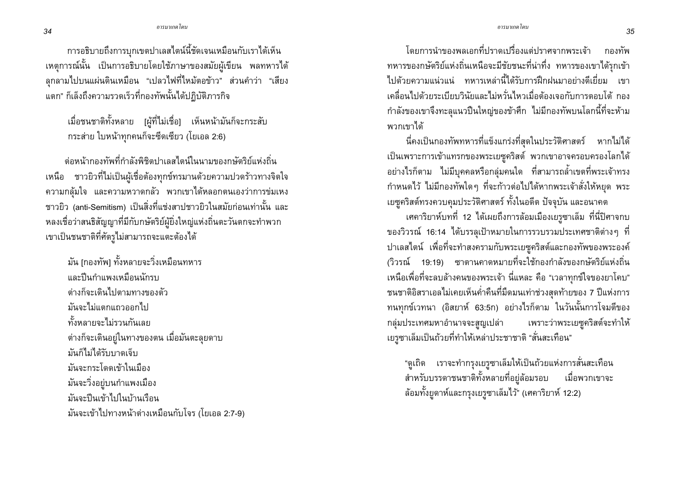การอธิบายถึงการบุกเขตปาเลสไตน์นี้ชัดเจนเหมือนกับเราได้เห็น ้เหตุการณ์นั้น เป็นการอธิบายโดยใช้ภาษาของสมัยผู้เขียน พลทหารได้ ิลกลามไปบนแผ่นดินเหมือน "เปลวไฟที่ไหม้ตอข้าว" ส่วนคำว่า "เสียง แตก" ก็เล็งถึงความรวดเร็วที่กองทัพนั้นได้ปฏิบัติภารกิจ

้ เมื่อชนชาติทั้งหลาย [ผู้ที่ไม่เชื่อ] เห็นหน้ามันก็จะกระสับ กระส่าย ใบหน้าทุกคนก็จะซีดเซียว (โยเอล 2:6)

ี ต่อหน้ากองทัพที่กำลังพิชิตปาเลสไตน์ในนามของกษัตริย์แห่งถิ่น เหนือ ชาวยิวที่ไม่เป็นผู้เชื่อต้องทุกข์ทรมานด้วยความปวดร้าวทางจิตใจ ้ความกลุ้มใจ และความหวาดกลัว พวกเขาได้หลอกตนเองว่าการข่มเหง ี ชาวยิว (anti-Semitism) เป็นสิ่งที่แช่งสาปชาวยิวในสมัยก่อนเท่านั้น และ หลงเชื่อว่าสนธิสัญญาที่มีกับกษัตริย์ผู้ยิ่งใหญ่แห่งถิ่นตะวันตกจะทำพวก เขาเป็นชนชาติที่ศัตรูไม่สามารถจะแตะต้องได้

มัน [กองทัพ] ทั้งหลายจะวิ่งเหมือนทหาร และปืนกำแพงเหมือนนักรบ ต่างก็จะเดินไปตามทางของตัว มันจะไม่แตกแถวออกไป ทั้งหลายจะไม่รวนกันเลย ้ต่างก็จะเดินอยู่ในทางของตน เมื่อมันตะลุยดาบ มันก็ไม่ได้รับบาดเจ็บ มันจะกระโดดเข้าในเมือง มันจะวิ่งอยู่บนกำแพงเมือง มันจะปืนเข้าไปในบ้านเรือน ้มันจะเข้าไปทางหน้าต่างเหมือนกับโจร (โยเอล 2:7-9)

โดยการนำของพลเอกที่ปราดเปรื่องแต่ปราศจากพระเจ้า กองทัพ ทหารของกษัตริย์แห่งถิ่นเหนือจะมีชัยชนะที่น่าทึ่ง ทหารของเขาได้รุกเข้า ไปด้วยความแน่วแน่ ทหารเหล่านี้ได้รับการฝึกฝนมาอย่างดีเยี่ยม เขา ้เคลื่อนไปด้วยระเบียบวินัยและไม่หวั่นไหวเมื่อต้องเจอกับการตอบโต้ กอง ้ กำลังของเขาจึงทะลุแนวปืนใหญ่ของข้าศึก ไม่มีกองทัพบนโลกนี้ที่จะห้าม พวกเขาได้

้นี่คงเป็นกองทัพทหารที่แข็งแกร่งที่สุดในประวัติศาสตร์ หากไม่ได้ เป็นเพราะการเข้าแทรกของพระเยซูคริสต์ พวกเขาอาจครอบครองโลกได้ ้อย่างไรก็ตาม ไม่มีบุคคลหรือกลุ่มคนใด ที่สามารถล้ำเขตที่พระเจ้าทรง กำหนดไว้ ไม่มีกองทัพใดๆ ที่จะก้าวต่อไปได้หากพระเจ้าสั่งให้หยุด พระ ้ เยซูคริสต์ทรงควบคุมประวัติศาสตร์ ทั้งในอดีต ปัจจุบัน และอนาคต

้เศคาริยาห์บทที่ 12 ได้เผยถึงการล้อมเมืองเยรูซาเล็ม ที่นี่ปิศาจกบ ี ของวิวรณ์ 16:14 ได้บรรลุเป้าหมายในการรวบรวมประเทศชาติต่างๆ ที่ ปาเลสไตน์ เพื่อที่จะทำสงครามกับพระเยซูคริสต์และกองทัพของพระองค์ (วิวรณ์ 19:19) ซาตานคาดหมายที่จะใช้กองกำลังของกษัตริย์แห่งถิ่น เหนือเพื่อที่จะลบล้างคนของพระเจ้า นี่แหละ คือ "เวลาทุกข์ใจของยาโคบ" ้ชนชาติอิสราเอลไม่เคยเห็นค่ำคืนที่มืดมนเท่าช่วงสุดท้ายของ 7 ปีแห่งการ ทนทุกข์เวทนา (อิสยาห์ 63:5ก) อย่างไรก็ตาม ในวันนั้นการโจมตีของ กลุ่มประเทศมหาอำนาจจะสูญเปล่า เพราะว่าพระเยซูคริสต์จะทำให้ เยรูซาเล็มเป็นถ้วยที่ทำให้เหล่าประชาชาติ "สั่นสะเทือน"

"ดูเถิด เราจะทำกรุงเยรูซาเล็มให้เป็นถ้วยแห่งการสั่นสะเทือน ์<br>สำหรับบรรดาชนชาติทั้งหลายที่อยู่ล้อมรอบ เมื่อพวกเขาจะ ้ล้อมทั้งยูดาห์และกรุงเยรูซาเล็มไว้" (เศคาริยาห์ 12:2)

34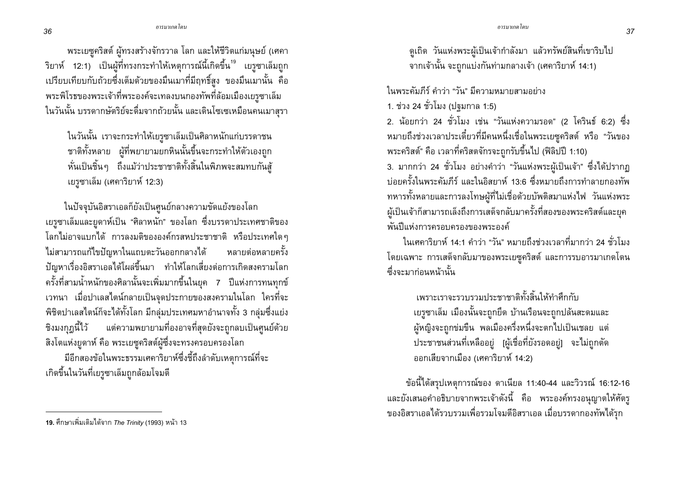พระเยซูคริสต์ ผู้ทรงสร้างจักรวาล โลก และให้ชีวิตแก่มนุษย์ (เศคา ์ ริยาห์ 12:1) เป็นผู้ที่ทรงกระทำให้เหตุการณ์นี้เกิดขึ้น<sup>19</sup> เยรูซาเล็มถูก ้ เปรียบเทียบกับถ้วยซึ่งเต็มด้วยของมึนเมาที่มีฤทธิ์สง ของมึนเมานั้น คือ พระพิโรธของพระเจ้าที่พระองค์จะเทลงบนกองทัพที่ล้อมเมืองเยรูซาเล็ม ในวันนั้น บรรดากษัตริย์จะดื่มจากถ้วยนั้น และเดินโซเซเหมือนคนเมาสุรา

่ ในวันนั้น เราจะกระทำให้เยรูซาเล็มเป็นศิลาหนักแก่บรรดาชน ชาติทั้งหลาย ผู้ที่พยายามยกหินนั้นขึ้นจะกระทำให้ตัวเองถูก หั่นเป็นชิ้นๆ ถึงแม้ว่าประชาชาติทั้งสิ้นในพิภพจะสมทบกันสั ูเยรูซาเล็ม (เศคาริยาห์ 12:3)

ในปัจจุบันอิสราเอลก็ยังเป็นศูนย์กลางความขัดแย้งของโลก ้เยรูซาเล็มและยูดาห์เป็น "ศิลาหนัก" ของโลก ซึ่งบรรดาประเทศชาติของ โลกไม่อาจแบกได้ การลงมติขององค์กรสหประชาชาติ หรือประเทศใดๆ ไม่สามารถแก้ไขปัญหาในแถบตะวันออกกลางได้ หลายต่อหลายครั้ง ้ปัญหาเรื่องอิสราเอลได้โผล่ขึ้นมา ทำให้โลกเสี่ยงต่อการเกิดสงครามโลก ิ ครั้งที่สามน้ำหนักของศิลานั้นจะเพิ่มมากขึ้นในยุค 7 ปีแห่งการทนทุกข์ ้เวทนา เมื่อปาเลสไตน์กลายเป็นจุดประกายของสงครามในโลก ใครที่จะ ้พิชิตปาเลสไตน์ก็จะได้ทั้งโลก มีกลุ่มประเทศมหาอำนาจทั้ง 3 กลุ่มซึ่งแย่ง ้ชิงมงกุฏนี้ไว้ แต่ความพยายามที่องอาจที่สุดยังจะถูกลบเป็นศูนย์ด้วย ้สิ่งโตแห่งยูดาห์ คือ พระเยซูคริสต์ผู้ซึ่งจะทรงครอบครองโลก

้มีอีกสองข้อในพระธรรมเศคาริยาห์ซึ่งชี้ถึงลำดับเหตการณ์ที่จะ ้เกิดขึ้นในวันที่เยรูซาเล็มถูกล้อมโจมตี

ในพระดัมภีร์ ดำว่า "วัน" มีความหมายสามอย่าง

1. ช่วง 24 ชั่วโมง (ปฐมกาล 1:5)

2. น้อยกว่า 24 ชั่วโมง เช่น "วันแห่งความรอด" (2 โครินธ์ 6:2) ซึ่ง หมายถึงช่วงเวลาประเดี๋ยวที่มีคนหนึ่งเชื่อในพระเยซูคริสต์ หรือ "วันของ พระคริสต์" คือ เวลาที่คริสตจักรจะถูกรับขึ้นไป (ฟิลิปปี 1:10)

3. มากกว่า 24 ชั่วโมง อย่างคำว่า "วันแห่งพระผู้เป็นเจ้า" ซึ่งได้ปรากฏ ู้บ่อยครั้งในพระคัมภีร์ และในอิสยาห์ 13:6 ซึ่งหมายถึงการทำลายกองทัพ ทหารทั้งหลายและการลงโทษผู้ที่ไม่เชื่อด้วยบัพติสมาแห่งไฟ วันแห่งพระ ้ผู้เป็นเจ้าก็สามารถเล็งถึงการเสด็จกลับมาครั้งที่สองของพระคริสต์และยุค พันปีแห่งการครอบครองของพระองค์

ในเศคาริยาห์ 14:1 คำว่า "วัน" หมายถึงช่วงเวลาที่มากว่า 24 ชั่วโมง โดยเฉพาะ การเสด็จกลับมาของพระเยซูคริสต์ และการรบอารมาเกดโดน ตึ้งจะมาก่อนหน้านั้น

> เพราะเราจะรวบรวมประชาชาติทั้งสิ้นให้ทำศึกกับ เยรูซาเล็ม เมืองนั้นจะถูกยึด บ้านเรือนจะถูกปลันสะดมและ ผู้หญิงจะถูกข่มขืน พลเมืองครึ่งหนึ่งจะตกไปเป็นเชลย แต่ ประชาชนส่วนที่เหลืออยู่ [ผู้เชื่อที่ยังรอดอยู่] จะไม่ถูกตัด ้ออกเสียจากเมือง (เศคาริยาห์ 14:2)

ข้อนี้ได้สรุปเหตุการณ์ของ ดาเนียล 11:40-44 และวิวรณ์ 16:12-16 และยังเสนอคำอธิบายจากพระเจ้าดังนี้ คือ พระองค์ทรงอนุญาตให้ศัตรู ของอิสราเอลได้รวบรวมเพื่อรวมโจมตีอิสราเอล เมื่อบรรดากองทัพได้รุก

<sup>้</sup>ดูเถิด วันแห่งพระผู้เป็นเจ้ากำลังมา แล้วทรัพย์สินที่เขาริบไป ์จากเจ้านั้น จะถูกแบ่งกันท่ามกลางเจ้า (เศคาริยาห์ 14:1)

<sup>19.</sup> ศึกษาเพิ่มเติมได้จาก *The Trinity* (1993) หน้า 13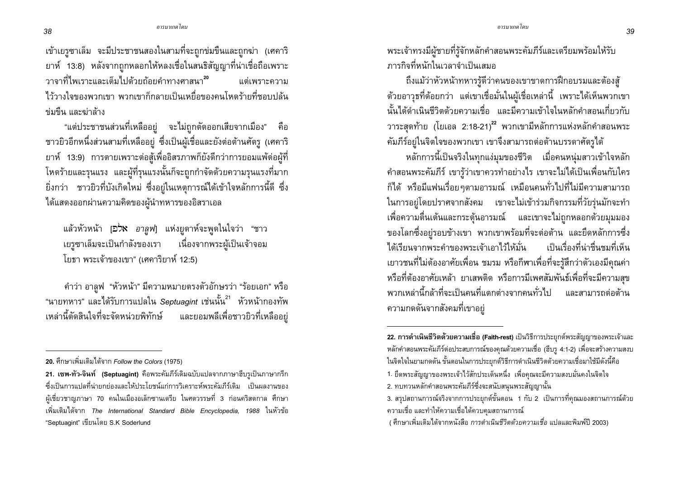เข้าเยรูซาเล็ม จะมีประชาชนสองในสามที่จะถูกข่มขืนและถูกฆ่า (เศคาริ ยาห์ 13:8) หลังจากถูกหลอกให้หลงเชื่อในสนธิสัญญาที่น่าเชื่อถือเพราะ ำาจาที่ไพเราะและเต็มไปด้วยถ้อยดำทางศาสนา<sup>20</sup> แต่เพราะดาาบ ไว้วางใจของพวกเขา พวกเขาก็กลายเป็นเหยื่อของคนโหดร้ายที่ชอบปล้น ข่มขืน และข่าล้าง

"แต่ประชาชนส่วนที่เหลืออยู่ จะไม่ถูกตัดออกเสียจากเมือง" คือ ชาวยิวอีกหนึ่งส่วนสามที่เหลืออยู่ ซึ่งเป็นผู้เชื่อและยังต่อต้านศัตรู (เศคาริ ยาห์ 13:9) การตายเพราะต่อสู้เพื่ออิสรภาพก็ยังดีกว่าการยอมแพ้ต่อผู้ที่ โหดร้ายและรุนแรง และผู้ที่รุนแรงนั้นก็จะถูกกำจัดด้วยความรุนแรงที่มาก ้ยิ่งกว่า ชาวยิวที่บังเกิดใหม่ ซึ่งอยู่ในเหตุการณ์ได้เข้าใจหลักการนี้ดี ซึ่ง ได้แสดงออกผ่านความคิดของผู้นำทหารของอิสราเอล

ี แล้วหัวหน้า [*่อว*ี่**x** อาลูฟ] แห่งยูดาห์จะพูดในใจว่า "ชาว เยรูซาเล็มจะเป็นกำลังของเรา ้ เนื่องจากพระผู้เป็นเจ้าจอม โยธา พระเจ้าของเขา" (เศคาริยาห์ 12:5)

้คำว่า อาลูฟ "หัวหน้า" มีความหมายตรงตัวอักษรว่า "ร้อยเอก" หรือ "นายทหาร" และได้รับการแปลใน Septuagint เช่นนั้น<sup>21</sup> หัวหน้ากองทัพ เหล่านี้ตัดสินใจที่จะจัดหน่วยพิทักษ์ และยอมพลีเพื่อชาวยิวที่เหลืออย่ ้ พระเจ้าทรงมีผู้ชายที่รู้จักหลักคำสอนพระคัมภีร์และเตรียมพร้อมให้รับ การกิจที่หนักในเาลาจำเป็นเสบอ

ถึงแม้ว่าหัวหน้าทหารรัดีว่าคนของเขาขาดการฝึกอบรมและต้องสั ้ด้วยอาวุธที่ด้อยกว่า แต่เขาเชื่อมั่นในผู้เชื่อเหล่านี้ เพราะได้เห็นพวกเขา ้นั้นได้ดำเนินชีวิตด้วยความเชื่อ และมีความเข้าใจในหลักคำสอนเกี่ยวกับ วาระสดท้าย (โยเอล 2:18-21)<sup>22</sup> พวกเขามีหลักการแห่งหลักคำสอนพระ ้คัมภีร์อย่ในจิตใจของพวกเขา เขาจึงสามารถต่อต้านบรรดาศัตรได้

หลักการนี้เป็นจริงในทุกแง่มุมของชีวิต เมื่อคนหน่มสาวเข้าใจหลัก ้คำสอนพระคัมภีร์ เขารู้ว่าเขาควรทำอย่างไร เขาจะไม่ได้เป็นเพื่อนกับใคร ้ก็ได้ หรือมีแฟนเรื่อยๆตามอารมณ์ เหมือนคนทั่วไปที่ไม่มีความสามารถ ในการอยู่โดยปราศจากสังคม เขาจะไม่เข้าร่วมกิจกรรมที่วัยรุ่นมักจะทำ ้เพื่อความตื่นเต้นและกระต้นอารมณ์ และเขาจะไม่ถกหลอกด้วยมมมอง ี ของโลกซึ่งอยู่รอบข้างเขา พวกเขาพร้อมที่จะต่อต้าน และยึดหลักการซึ่ง ได้เรียนจากพระคำของพระเจ้าเอาไว้ให้มั่น ้<br>เป็นเรื่องที่น่าชื่นชมที่เห็น ่ เยาวชนที่ไม่ต้องอาศัยเพื่อน ชมรม หรือกีฬาเพื่อที่จะรู้สึกว่าตัวเองมีคุณค่า หรือที่ต้องอาศัยเหล้า ยาเสพติด หรือการมีเพศสัมพันธ์เพื่อที่จะมีความสุข ู<br>พากเหล่านี้กล้าที่จะเป็นดนที่แตกต่างจากดนทั่วไป และสามารกต่อต้าน ความกดดันจากสังคมที่เขาอยู่

1. ยึดพระสัญญาของพระเจ้าไว้สักประเด็นหนึ่ง เพื่อคณจะมีความสงบมั่นคงในจิตใจ

<sup>20.</sup> ศึกษาเพิ่มเติมได้จาก Follow the Colors (1975)

<sup>21.</sup> เซพ-ทัว-จินท์ (Septuagint) คือพระคัมภีร์เดิมฉบับแปลจากภาษาฮีบรูเป็นภาษากรีก ี่ ซึ่งเป็นการแปลที่น่ายกย่องและให้ประโยชน์แก่การวิเคราะห์พระคัมภีร์เดิม เป็นผลงานของ ผู้เชี่ยวชาญภาษา 70 คนในเมืองอเล็กซานเดรีย ในศตวรรษที่ 3 ก่อนคริสตกาล ศึกษา ูเพิ่มเติมได้จาก The International Standard Bible Encyclopedia, 1988 ในหัวข้อ "Septuagint" เขียนโดย S.K Soderlund

<sup>22.</sup> การดำเนินชีวิตด้วยความเชื่อ (Faith-rest) เป็นวิธีการประยุกต์พระสัญญาของพระเจ้าและ หลักคำสอนพระคัมภีร์ต่อประสบการณ์ของคณด้วยความเชื่อ (ฮีบร 4:1-2) เพื่อจะสร้างความสงบ ในจิตใจในยามกดดัน ขั้นตอนในการประยกต์วิธีการดำเนินชีวิตด้วยความเชื่อมาใช้มีดังนี้คือ

<sup>2.</sup> ทบทวนหลักคำสอนพระคัมภีร์ซึ่งจะสนับสนุนพระสัญญานั้น

<sup>่ 3.</sup> สรุปสถานการณ์จริงจากการประยุกต์ขั้นตอน 1 กับ 2 เป็นการที่คุณมองสถานการณ์ด้วย ้ความเชื่อ และทำให้ความเชื่อได้ควบคุมสถานการณ์

<sup>(</sup> ศึกษาเพิ่มเติมได้จากหนังสือ *การดำเนินชีวิตด้วยความเชื่อ* แปลและพิมพ์ปี 2003)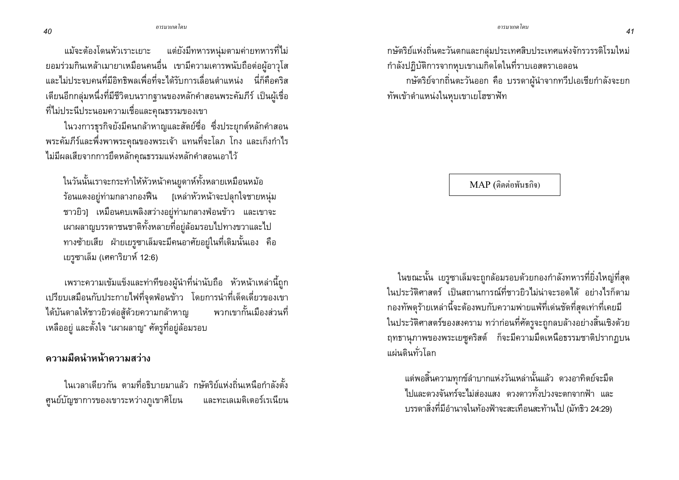แม้จะต้องโดนหัวเราะเยาะ แต่ยังมีทหารหนุ่มตามค่ายทหารที่ไม่ ี ยอมร่วมกินเหล้าเมายาเหมือนคนอื่น เขามีความเคารพนับถือต่อผู้อาวุโส และไม่ประจบคนที่มีอิทธิพลเพื่อที่จะได้รับการเลื่อนตำแหน่ง นี่ก็คือคริส เตียนอีกกลุ่มหนึ่งที่มีชีวิตบนรากฐานของหลักคำสอนพระคัมภีร์ เป็นผู้เชื่อ ที่ไม่ประนีประนอมความเชื่อและคุณธรรมของเขา

ในวงการธุรกิจยังมีคนกล้าหาญและสัตย์ชื่อ ซึ่งประยุกต์หลักคำสอน พระคัมภีร์และพึ่งพาพระคุณของพระเจ้า แทนที่จะโลภ โกง และเก็งกำไร ไม่มีผลเสียจากการยึดหลักคุณธรรมแห่งหลักคำสอนเอาไว้

ในวันนั้นเราจะกระทำให้หัวหน้าคนยูดาห์ทั้งหลายเหมือนหม้อ ร้อนแดงอยู่ท่ามกลางกองฟืน [เหล่าหัวหน้าจะปลุกใจชายหนุ่ม ชาวยิว] เหมือนคบเพลิงสว่างอยู่ท่ามกลางฟ่อนข้าว และเขาจะ เผาผลาญบรรดาชนชาติทั้งหลายที่อยู่ล้อมรอบไปทางขวาและไป ทางซ้ายเสีย ฝ่ายเยรูซาเล็มจะมีคนอาศัยอยู่ในที่เดิมนั้นเอง คือ เยรูซาเล็ม (เศคาริยาห์ 12:6)

เพราะความเข้มแข็งและท่าทีของผู้นำที่น่านับถือ หัวหน้าเหล่านี้ถูก ้เปรียบเสมือนกับประกายไฟที่จดฟ่อนข้าว โดยการนำที่เด็ดเดี่ยวของเขา ได้บันดาลให้ชาวยิวต่อสู้ด้วยความกล้าหาญ พวกเขากั้นเมืองส่วนที่ เหลืออยู่ และตั้งใจ "เผาผลาญ" ศัตรูที่อยู่ล้อมรอบ

้ความมืดนำหน้าความสว่าง

ในเวลาเดียวกัน ตามที่อธิบายมาแล้ว กษัตริย์แห่งถิ่นเหนือกำลังตั้ง ศูนย์บัญชาการของเขาระหว่างภูเขาศิโยน และทะเลเมดิเตอร์เรเนียน กษัตริย์แห่งถิ่นตะวันตกและกลุ่มประเทศสิบประเทศแห่งจักรวรรดิโรมใหม่ กำลังปฏิบัติการจากหุบเขาเมกิดโดในที่ราบเอสดราเอลอน

ึกษัตริย์จากถิ่นตะวันออก คือ บรรดาผู้นำจากทวีปเอเชียกำลังจะยก ทัพเข้าตำแหน่งในหฺบเขาเยโฮชาฟัท

 $MAP$  (ติดต่อพันธกิจ)

ในขณะนั้น เยรูซาเล็มจะถูกล้อมรอบด้วยกองกำลังทหารที่ยิ่งใหญ่ที่สุด ในประวัติศาสตร์ เป็นสถานการณ์ที่ชาวยิวไม่น่าจะรอดได้ อย่างไรก็ตาม กองทัพดุร้ายเหล่านี้จะต้องพบกับความพ่ายแพ้ที่เด่นชัดที่สุดเท่าที่เคยมี ในประวัติศาสตร์ของสงคราม ทว่าก่อนที่ศัตรูจะถูกลบล้างอย่างสิ้นเชิงด้วย ฤทธานุภาพของพระเยซูคริสต์ ก็จะมีความมืดเหนือธรรมชาติปรากฏบน แผ่นดินทั่วโลก

แต่พอสิ้นความทุกข์ลำบากแห่งวันเหล่านั้นแล้ว ดวงอาทิตย์จะมืด ไปและดวงจันทร์จะไม่ส่องแสง ดวงดาวทั้งปวงจะตกจากฟ้า และ ิบรรดาสิ่งที่มีอำนาจในท้องฟ้าจะสะเทือนสะท้านไป (มัทธิว 24:29)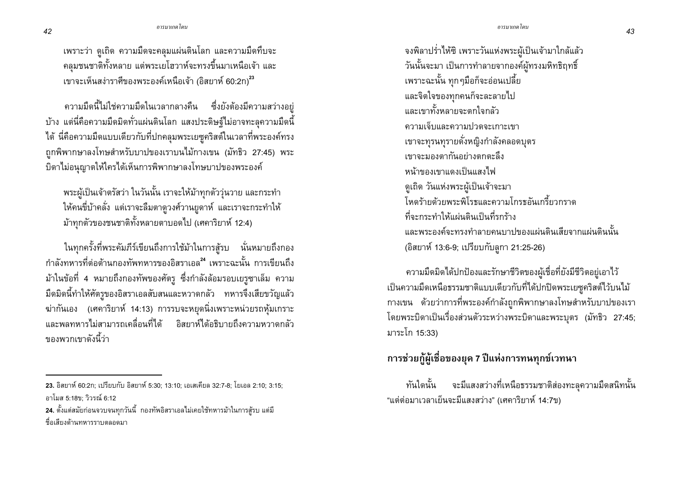้เพราะว่า ดูเถิด ความมืดจะคลุมแผ่นดินโลก และความมืดทึบจะ ้ คลุมชนชาติทั้งหลาย แต่พระเยโฮวาห์จะทรงขึ้นมาเหนือเจ้า และ เขาจะเห็นสง่าราศีของพระองค์เหนือเจ้า (อิสยาห์ 60:2n)<sup>23</sup>

่ ความมืดนี้ไม่ใช่ความมืดในเวลากลางคืน ซึ่งยังต้องมีความสว่างอยู่ ้ บ้าง แต่นี่คือความมืดมิดทั่วแผ่นดินโลก แสงประดิษฐ์ไม่อาจทะลุความมืดนี้ ได้ นี่คือความมืดแบบเดียวกับที่ปกคลุมพระเยซูคริสต์ในเวลาที่พระองค์ทรง ้ถูกพิพากษาลงโทษสำหรับบาปของเราบนไม้กางเขน (มัทธิว 27:45) พระ บิดาไม่อนุญาตให้ใครได้เห็นการพิพากษาลงโทษบาปของพระองค์

พระผู้เป็นเจ้าตรัสว่า ในวันนั้น เราจะให้ม้าทุกตัววุ่นวาย และกระทำ ให้คนขี่บ้าคลั่ง แต่เราจะลืมตาดูวงศ์วานยูดาห์ และเราจะกระทำให้ ม้าทุกตัวของชนชาติทั้งหลายตาบอดไป (เศคาริยาห์ 12:4)

ในทุกครั้งที่พระคัมภีร์เขียนถึงการใช้ม้าในการสู้รบ นั่นหมายถึงกอง ู<br>กำลังทหารที่ต่อต้านกองทัพทหารของอิสราเอล<sup>24</sup> เพราะฉะนั้น การเขียนถึง ม้าในข้อที่ 4 หมายถึงกองทัพของศัตรู ซึ่งกำลังล้อมรอบเยรูซาเล็ม ความ ้มืดมิดนี้ทำให้ศัตรูของอิสราเอลสับสนและหวาดกลัว ทหารจึงเสียขวัญแล้ว ี่ ฆ่ากันเอง (เศคาริยาห์ 14:13) การรบจะหยุดนิ่งเพราะหน่วยรถหุ้มเกราะ ี และพลทหารไม่สามารถเคลื่อนที่ได้ อิสยาห์ได้อธิบายถึงความหวาดกลัว ของพวกเขาดังนี้ว่า

้จงพิลาปร่ำไห้ซิ เพราะวันแห่งพระผู้เป็นเจ้ามาใกล้แล้ว วันนั้นจะมา เป็นการทำลายจากองค์ผู้ทรงมหิทธิฤทธิ์ เพราะฉะนั้น ทุกๆมือก็จะอ่อนเปลี้ย และจิตใจของทุกคนก็จะละลายไป และเขาทั้งหลายจะตกใจกล้า ความเจ็บและความปวดจะเกาะเขา เขาจะทุรนทุรายดั่งหญิงกำลังคลอดบุตร เขาจะมองตากันอย่างตกตะลึง หน้าของเขาแดงเป็นแสงไฟ ดูเถิด วันแห่งพระผู้เป็นเจ้าจะมา โหดร้ายด้วยพระพิโรธและความโกรธอันเกรี้ยวกราด ที่จะกระทำให้แผ่นดินเป็นที่รกร้าง ู<br>และพระองค์จะทรงทำลายคนบาปของแผ่นดินเสียจากแผ่นดินนั้น (อิสยาห์ 13:6-9; เปรียบกับลูกา 21:25-26)

้ ความมืดมิดได้ปกป้องและรักษาชีวิตของผู้เชื่อที่ยังมีชีวิตอยู่เอาไว้ เป็นความมืดเหนือธรรมชาติแบบเดียวกับที่ได้ปกปิดพระเยซูคริสต์ไว้บนไม้ กางเขน ด้วยว่าการที่พระองค์กำลังถูกพิพากษาลงโทษสำหรับบาปของเรา โดยพระบิดาเป็นเรื่องส่วนตัวระหว่างพระบิดาและพระบุตร (มัทธิว 27:45; มาระโก 15:33)

## ี การช่วยกู้ผู้เชื่อของยุค 7 ปีแห่งการทนทุกข์เวทนา

้จะมีแสงสว่างที่เหนือธรรมชาติส่องทะลุความมืดสนิทนั้น ทันใดนั้น "แต่ต่อมาเวลาเย็นจะมีแสงสว่าง" (เศคาริยาห์ 14:7ข)

42

<sup>23.</sup> อิสยาห์ 60:2ก: เปรียบกับ อิสยาห์ 5:30: 13:10: เอเสเคียล 32:7-8: โยเอล 2:10: 3:15: คาโมส 5:18ข: วิวรณ์ 6:12

<sup>่ 24.</sup> ตั้งแต่สมัยก่อนจวบจนทุกวันนี้ กองทัพอิสราเอลไม่เคยใช้ทหารม้าในการสู้รบ แต่มี ชื่อเสียงด้านทหารราบตลอดมา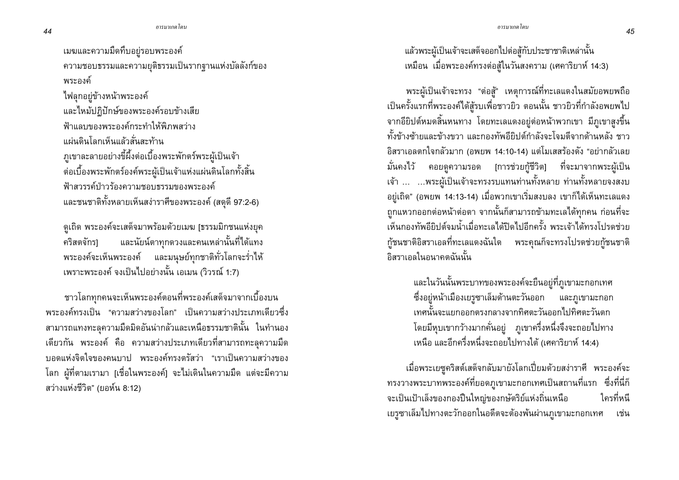เมฆและความมืดทึบอยู่รอบพระองค์ ความชอบธรรมและความยุติธรรมเป็นรากฐานแห่งบัลลังก์ของ พระองค์ ไฟลุกอยู่ข้างหน้าพระองค์ และไหม้ปฏิปักษ์ของพระองค์รอบข้างเสีย ฟ้าแลบของพระองค์กระทำให้พิภพสว่าง แผ่นดินโลกเห็นแล้วสั่นสะท้าน ่ ภูเขาละลายอย่างขี้ผึ้งต่อเบื้องพระพักตร์พระผู้เป็นเจ้า ต่อเบื้องพระพักตร์องค์พระผู้เป็นเจ้าแห่งแผ่นดินโลกทั้งสิ้น ฟ้าสวรรค์ป่าวร้องความชอบธรรมของพระองค์ และชนชาติทั้งหลายเห็นสง่าราศีของพระองค์ (สดุดี 97:2-6)

้ดูเถิด พระองค์จะเสด็จมาพร้อมด้วยเมฆ [ธรรมมิกชนแห่งยุค และนัยน์ตาทุกดวงและคนเหล่านั้นที่ได้แทง คริสตจักร1 พระองค์จะเห็นพระองค์ และมนุษย์ทุกชาติทั่วโลกจะร่ำไห้ เพราะพระองค์ จงเป็นไปอย่างนั้น เอเมน (วิวรณ์ 1:7)

ี<br>ชาวโลกทกคนจะเห็นพระองค์ตอนที่พระองค์เสด็จมาจากเบื้องบน ้พระองค์ทรงเป็น "ความสว่างของโลก" เป็นความสว่างประเภทเดียวซึ่ง ิสามารถแทงทะลุความมืดมิดอันน่ากลัวและเหนือธรรมชาตินั้น ในทำนอง ้เดียวกัน พระองค์ คือ ความสว่างประเภทเดียวที่สามารถทะลความมืด ิบอดแห่งจิตใจของคนบาป พระองค์ทรงตรัสว่า "เราเป็นความสว่างของ โลก ผู้ที่ตามเรามา [เชื่อในพระองค์] จะไม่เดินในความมืด แต่จะมีความ ิสว่างแห่งชีวิต" (ยอห์น 8:12)

ี แล้วพระผู้เป็นเจ้าจะเสด็จออกไปต่อสู้กับประชาชาติเหล่านั้น เหมือน เมื่อพระองค์ทรงต่อสู้ในวันสงคราม (เศคาริยาห์ 14:3)

พระผู้เป็นเจ้าจะทรง "ต่อสู้" เหตุการณ์ที่ทะเลแดงในสมัยอพยพถือ เป็นครั้งแรกที่พระองค์ได้สู้รบเพื่อชาวยิว ตอนนั้น ชาวยิวที่กำลังอพยพไป จากอียิปต์หมดสิ้นหนทาง โดยทะเลแดงอยู่ต่อหน้าพวกเขา มีภูเขาสูงขึ้น ทั้งข้างซ้ายและข้างขวา และกองทัพอียิปต์กำลังจะโจมตีจากด้านหลัง ชาว ้อิสราเอลตกใจกลัวมาก (อพยพ 14:10-14) แต่โมเสสร้องดัง "อย่ากลัวเลย ้มั่นคงไว้ คอยดูความรอด [การช่วยกู้ชีวิต] ที่จะมาจากพระผู้เป็น ้เจ้า ... ...พระผู้เป็นเจ้าจะทรงรบแทนท่านทั้งหลาย ท่านทั้งหลายจงสงบ อยู่เถิด" (อพยพ 14:13-14) เมื่อพวกเขาเริ่มสงบลง เขาก็ได้เห็นทะเลแดง ถูกแหวกออกต่อหน้าต่อตา จากนั้นก็สามารถข้ามทะเลได้ทุกคน ก่อนที่จะ ้เห็นกองทัพอียิปต์จมน้ำเมื่อทะเลได้ปิดไปอีกครั้ง พระเจ้าได้ทรงโปรดช่วย กู้ชนชาติอิสราเอลที่ทะเลแดงฉันใด พระคุณก็จะทรงโปรดช่วยกู้ชนชาติ ้กิสราเกลในกนาคตฉันนั้น

> ้ และในวันนั้นพระบาทของพระองค์จะยืนอยู่ที่ภูเขามะกอกเทศ ้ซึ่งอยู่หน้าเมืองเยรูซาเล็มด้านตะวันออก และภูเขามะกอก เทศนั้นจะแยกออกตรงกลางจากทิศตะวันออกไปทิศตะวันตก โดยมีหุบเขากว้างมากคั่นอยู่ ภูเขาครึ่งหนึ่งจึงจะถอยไปทาง ้เหนือ และอีกครึ่งหนึ่งจะถอยไปทางใต้ (เศคาริยาห์ 14:4)

เมื่อพระเยซูคริสต์เสด็จกลับมายังโลกเปี่ยมด้วยสง่าราศี พระองค์จะ ทรงวางพระบาทพระองค์ที่ยอดภูเขามะกอกเทศเป็นสถานที่แรก ซึ่งที่นี่ก็ จะเป็นเป้าเล็งของกองปืนใหญ่ของกษัตริย์แห่งถิ่นเหนือ ใครที่หนี เยรูซาเล็มไปทางตะวักออกในอดีตจะต้องพ้นผ่านภูเขามะกอกเทศ เช่น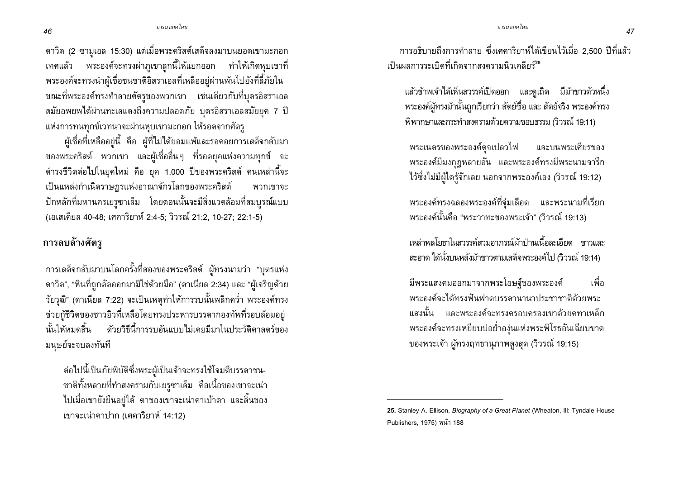ดาวิด (2 ซามูเอล 15:30) แต่เมื่อพระคริสต์เสด็จลงมาบนยอดเขามะกอก ี่ เทศแล้ว พระองค์จะทรงผ่าภูเขาลูกนี้ให้แยกออก ทำให้เกิดหฺบเขาที่ พระองค์จะทรงนำผู้เชื่อชนชาติอิสราเอลที่เหลืออยู่ผ่านพ้นไปยังที่ลี้ภัยใน ีขณะที่พระองค์ทรงทำลายศัตรูของพวกเขา เช่นเดียวกับที่บุตรอิสราเอล ิสมัยอพยพได้ผ่านทะเลแดงถึงความปลอดภัย บุตรอิสราเอลสมัยยุค 7 ปี แห่งการทนทุกข์เวทนาจะผ่านหุบเขามะกอก ให้รอดจากศัตรู

ผู้เชื่อที่เหลืออยู่นี้ คือ ผู้ที่ไม่ได้ยอมแพ้และรอคอยการเสด็จกลับมา ของพระคริสต์ พวกเขา และผู้เชื่ออื่นๆ ที่รอดยุคแห่งความทุกข์ จะ ดำรงชีวิตต่อไปในยุคใหม่ คือ ยุค 1,000 ปีของพระคริสต์ คนเหล่านี้จะ เป็นแหล่งกำเนิดราษฎรแห่งอาณาจักรโลกของพระคริสต์ พวกเขาจะ ปักหลักที่มหานครเยรูซาเล็ม โดยตอนนั้นจะมีสิ่งแวดล้อมที่สมบูรณ์แบบ (เอเสเคียล 40-48; เศคาริยาห์ 2:4-5; วิวรณ์ 21:2, 10-27; 22:1-5)

## การลบล้างศัตรู

ิการเสด็จกลับมาบนโลกครั้งที่สองของพระคริสต์ ผู้ทรงนามว่า "บุตรแห่ง ิ ดาวิด", "หินที่ถูกตัดออกมามิใช่ด้วยมือ" (ดาเนียล 2:34) และ "ผู้เจริญด้วย ้วัยวุฒิ" (ดาเนียล 7:22) จะเป็นเหตุทำให้การรบนั้นพลิกคว่ำ พระองค์ทรง ช่วยกู้ชีวิตของชาวยิวที่เหลือโดยทรงประหารบรรดากองทัพที่รอบล้อมอยู่ นั้นให้หมดสิ้น ด้วยวิธีนี้การรบอันแบบไม่เคยมีมาในประวัติศาสตร์ของ มนุษย์จะจบลงทันที

ต่อไปนี้เป็นภัยพิบัติซึ่งพระผู้เป็นเจ้าจะทรงใช้โจมตีบรรดาชน-ชาติทั้งหลายที่ทำสงครามกับเยรูซาเล็ม คือเนื้อของเขาจะเน่า ไปเมื่อเขายังยืนอยู่ได้ ตาของเขาจะเน่าคาเบ้าตา และลิ้นของ เขาจะเน่าคาปาก (เศคาริยาห์ 14:12)

่ การอธิบายถึงการทำลาย ซึ่งเศคาริยาห์ได้เขียนไว้เมื่อ 2.500 ปีที่แล้ว ้เป็นผลการระเบิดที่เกิดจากสงครามนิวเคลียร์<sup>25</sup>

แล้วข้าพเจ้าได้เห็นสวรรค์เปิดออก และดูเถิด มีม้าขาวตัวหนึ่ง พระองค์ผู้ทรงม้านั้นถูกเรียกว่า สัตย์ซื่อ และ สัตย์จริง พระองค์ทรง ้พิพากษาและกระทำสงครามด้วยความชอบธรรม (วิวรณ์ 19:11)

พระเนตรของพระองค์ดจเปลวไฟ และบนพระเศียรของ พระองค์มีมงกุฏหลายอัน และพระองค์ทรงมีพระนามจารึก ไว้ซึ่งไม่มีผู้ใดรู้จักเลย นอกจากพระองค์เอง (วิวรณ์ 19:12)

พระองค์ทรงฉลองพระองค์ที่จ่มเลือด และพระนามที่เรียก พระองค์นั้นคือ "พระวาทะของพระเจ้า" (วิวรณ์ 19:13)

้ เหล่าพลโยธาในสวรรค์สวมอาภรณ์ผ้าป่านเนื้อละเอียด ขาวและ ิสะอาด ได้นั่งบนหลังม้าขาวตามเสด็จพระองค์ไป (วิวรณ์ 19:14)

มีพระแสงคมออกมาจากพระโอษร์ของพระองค์ ้เพื่อ พระองค์จะได้ทรงฟันฟาดบรรดานานาประชาชาติด้วยพระ ี แสงนั้น และพระองค์จะทรงครอบครองเขาด้วยคทาเหล็ก ้พระองค์จะทรงเหยียบบ่อย่ำองุ่นแห่งพระพิโรธอันเฉียบขาด ของพระเจ้า ผู้ทรงฤทธานุภาพสูงสุด (วิวรณ์ 19:15)

<sup>25.</sup> Stanley A. Ellison, Biography of a Great Planet (Wheaton, Ill: Tyndale House Publishers, 1975) หน้า 188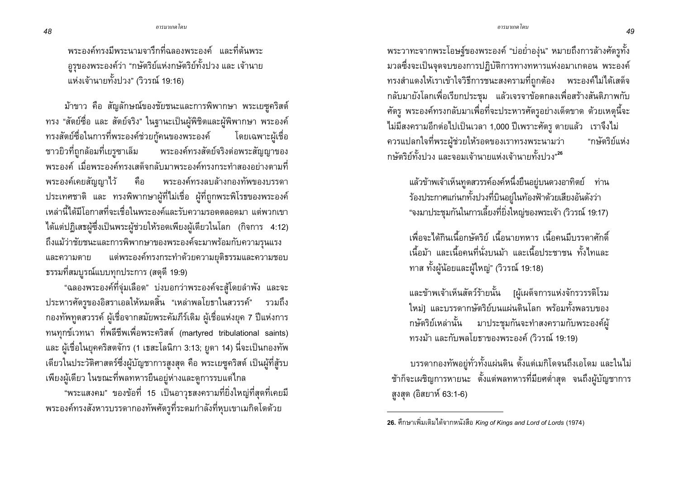้พระองค์ทรงมีพระนามจารึกที่ฉลองพระองค์ และที่ต้นพระ ถูรุของพระองค์ว่า "กษัตริย์แห่งกษัตริย์ทั้งปวง และ เจ้านาย แห่งเจ้านายทั้งปวง" (วิวรณ์ 19:16)

้ม้าขาว คือ สัญลักษณ์ของชัยชนะและการพิพากษา พระเยซุคริสต์ ทรง "สัตย์ซื่อ และ สัตย์จริง" ในฐานะเป็นผู้พิชิตและผู้พิพากษา พระองค์ ทรงสัตย์ซื่อในการที่พระองค์ช่วยกู้คนของพระองค์ โดยเฉพาะผ้เชื่อ ชาวยิวที่ถูกล้อมที่เยรูซาเล็ม พระองค์ทรงสัตย์จริงต่อพระสัญญาของ ี พระองค์ เมื่อพระองค์ทรงเสด็จกลับมาพระองค์ทรงกระทำสองอย่างตามที่ พระองค์เคยสัญญาไว้ คือ พระองค์ทรงลบล้างกองทัพของบรรดา ประเทศชาติ และ ทรงพิพากษาผู้ที่ไม่เชื่อ ผู้ที่ถูกพระพิโรธของพระองค์ ้ เหล่านี้ได้มีโอกาสที่จะเชื่อในพระองค์และรับความรอดตลอดมา แต่พวกเขา ได้แต่ปฏิเสธผู้ซึ่งเป็นพระผู้ช่วยให้รอดเพียงผู้เดียวในโลก (กิจการ 4:12) ถึงแม้ว่าชัยชนะและการพิพากษาของพระองค์จะมาพร้อมกับความรุนแรง แต่พระองค์ทรงกระทำด้วยความยุติธรรมและความชอบ และความตาย ี ธรรมที่สมบูรณ์แบบทุกประการ (สดุดี 19:9)

"ฉลองพระองค์ที่จุ่มเลือด" บ่งบอกว่าพระองค์จะสู้โดยลำพัง และจะ ประหารศัตรูของอิสราเอลให้หมดสิ้น "เหล่าพลโยธาในสวรรค์" รวมถึง ึกองทัพทูตสวรรค์ ผู้เชื่อจากสมัยพระคัมภีร์เดิม ผู้เชื่อแห่งยุค 7 ปีแห่งการ ิทนทุกข์เวทนา ที่พลีชีพเพื่อพระคริสต์ (martyred tribulational saints) ี และ ผู้เชื่อในยุคคริสตจักร (1 เธสะโลนิกา 3:13; ยูดา 14) นี่จะเป็นกองทัพ เดียวในประวัติศาสตร์ซึ่งผู้บัญชาการสูงสุด คือ พระเยซูคริสต์ เป็นผู้ที่สู้รบ เพียงผู้เดียว ในขณะที่พลทหารยืนอยู่ห่างและดูการรบแต่ไกล

"พระแสงคม" ของข้อที่ 15 เป็นอาวุธสงครามที่ยิ่งใหญ่ที่สุดที่เคยมี พระองค์ทรงสังหารบรรดากองทัพศัตรูที่ระดมกำลังที่หุบเขาเมกิดโดด้วย

้พระวาทะจากพระโอษฐ์ของพระองค์ "บ่อย่ำองุ่น" หมายถึงการล้างศัตรูทั้ง ้มวลซึ่งจะเป็นจุดจบของการปฏิบัติการทางทหารแห่งอมาเกดอน พระองค์ ้ทรงสำแดงให้เราเข้าใจวิธีการชนะสงครามที่ถกต้อง พระองค์ไม่ได้เสด็จ ึกลับมายังโลกเพื่อเรียกประชุม แล้วเจรจาข้อตกลงเพื่อสร้างสันติภาพกับ ศัตรู พระองค์ทรงกลับมาเพื่อที่จะประหารศัตรูอย่างเด็ดขาด ด้วยเหตุนี้จะ ไม่มีสงครามอีกต่อไปเป็นเวลา 1,000 ปีเพราะศัตรู ตายแล้ว เราจึงไม่ ควรแปลกใจที่พระผู้ช่วยให้รอดของเราทรงพระนามว่า "กางัดริย์แห่ง ึกษัตริย์ทั้งปวง และจอมเจ้านายแห่งเจ้านายทั้งปวง"<sup>26</sup>

แล้วข้าพเจ้าเห็นทูตสวรรค์องค์หนึ่งยืนอยู่บนดวงอาทิตย์ ท่าน ร้องประกาศแก่นกทั้งปวงที่บินอยู่ในท้องฟ้าด้วยเสียงอันดังว่า "จงมาประชุมกันในการเลี้ยงที่ยิ่งใหญ่ของพระเจ้า (วิวรณ์ 19:17)

้เพื่อจะได้กินเนื้อกษัตริย์ เนื้อนายทหาร เนื้อคนมีบรรดาศักดิ์ ้เนื้อม้า และเนื้อคนที่นั่งบนม้า และเนื้อประชาชน ทั้งไทและ ทาส ทั้งผู้น้อยและผู้ใหญ่" (วิวรณ์ 19:18)

และข้าพเจ้าเห็นสัตว์ร้ายนั้น [ผู้เผด็จการแห่งจักรวรรดิโรม ใหม่] และบรรดากษัตริย์บนแผ่นดินโลก พร้อมทั้งพลรบของ ึกษัตริย์เหล่านั้น มาประชุมกันจะทำสงครามกับพระองค์ผู้ ทรงม้า และกับพลโยธาของพระองค์ (วิวรณ์ 19:19)

้บรรดากองทัพอยู่ทั่วทั้งแผ่นดิน ตั้งแต่เมกิโดจนถึงเอโดม และในไม่ ช้าก็จะเผชิญการหายนะ ตั้งแต่พลทหารที่มียศต่ำสุด จนถึงผู้บัญชาการ สูงสุด (อิสยาห์ 63:1-6)

<sup>26.</sup> ศึกษาเพิ่มเติมได้จากหนังสือ King of Kings and Lord of Lords (1974)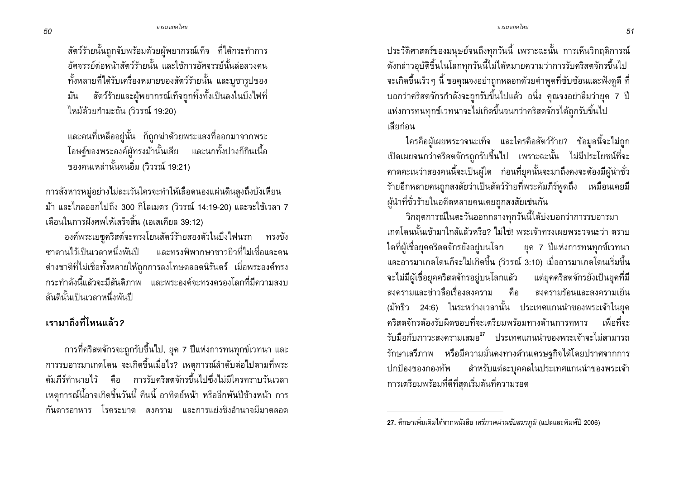สัตว์ร้ายนั้นถูกจับพร้อมด้วยผู้พยากรณ์เท็จ ที่ได้กระทำการ ้อัศจรรย์ต่อหน้าสัตว์ร้ายนั้น และใช้การอัศจรรย์นั้นล่อลวงคน ทั้งหลายที่ได้รับเครื่องหมายของสัตว์ร้ายนั้น และบูชารูปของ ้<br>มัน สัตว์ร้ายและผู้พยากรณ์เท็จถูกทิ้งทั้งเป็นลงในบึ้งไฟที่ ไหม้ด้วยกำมะถัน (วิวรณ์ 19:20)

และคนที่เหลืออยู่นั้น ก็ถูกฆ่าด้วยพระแสงที่ออกมาจากพระ โอษฐ์ของพระองค์ผู้ทรงม้านั้นเสีย และนกทั้งปวงก็กินเนื้อ ของคนเหล่านั้นจนอิ่ม (วิวรณ์ 19:21)

การสังหารหมู่อย่างไม่ละเว้นใครจะทำให้เลือดนองแผ่นดินสูงถึงบังเหียน ้ม้า และไกลออกไปถึง 300 กิโลเมตร (วิวรณ์ 14:19-20) และจะใช้เวลา 7 ้เดือนในการฝังศพให้เสร็จสิ้น (เอเสเคียล 39:12)

้องค์พระเยซูคริสต์จะทรงโยนสัตว์ร้ายสองตัวในบึงไฟนรก ทรงขัง ้ <sub>ซาตาน</sub>ไว้เป็นเวลาหนึ่งพันปี และทรงพิพากษาชาวยิวที่ไม่เชื่อและคน ต่างชาติที่ไม่เชื่อทั้งหลายให้ถูกการลงโทษตลอดนิรันดร์ เมื่อพระองค์ทรง ่ กระทำดังนี้แล้วจะมีสันติภาพ และพระองค์จะทรงครองโลกที่มีความสงบ สันตินั้นเป็นเวลาหนึ่งพันปี

## ้เรามาถึงที่ไหนแล้ว?

ี การที่คริสตจักรจะถูกรับขึ้นไป, ยุค 7 ปีแห่งการทนทุกข์เวทนา และ การรบอารมาเกดโดน จะเกิดขึ้นเมื่อไร? เหตุการณ์ลำดับต่อไปตามที่พระ ้คัมภีร์ทำนายไว้ คือ การรับคริสตจักรขึ้นไปซึ่งไม่มีใครทราบวันเวลา ้ เหตุการณ์นี้อาจเกิดขึ้นวันนี้ คืนนี้ อาทิตย์หน้า หรืออีกพันปีข้างหน้า การ ้กันดารอาหาร โรคระบาด สงคราม และการแย่งชิงอำนาจมีมาตลอด

ประวัติศาสตร์ของมนุษย์จนถึงทุกวันนี้ เพราะฉะนั้น การเห็นวิกฤติการณ์ ดังกล่าวอุบัติขึ้นในโลกทุกวันนี้ไม่ได้หมายความว่าการรับคริสตจักรขึ้นไป ้ จะเกิดขึ้นเร็ว ๆ นี้ ขอคุณจงอย่าถูกหลอกด้วยคำพูดที่ซับซ้อนและฟังดูดี ที่ บอกว่าคริสตจักรกำลังจะถูกรับขึ้นไปแล้ว อนึ่ง คุณจงอย่าลืมว่ายุค 7 ปี แห่งการทนทุกข์เวทนาจะไม่เกิดขึ้นจนกว่าคริสตจักรได้ถูกรับขึ้นไป เสียก่อน

ใครคือผู้เผยพระวจนะเท็จ และใครคือสัตว์ร้าย? ข้อมูลนี้จะไม่ถูก เปิดเผยจนกว่าคริสตจักรถูกรับขึ้นไป เพราะฉะนั้น ไม่มีประโยชน์ที่จะ ้คาดคะเนว่าสองคนนี้จะเป็นผู้ใด ก่อนที่ยุคนั้นจะมาถึงคงจะต้องมีผู้นำชั่ว ้ร้ายอีกหลายคนถูกสงสัยว่าเป็นสัตว์ร้ายที่พระคัมภีร์พูดถึง เหมือนเคยมี ผู้นำที่ชั่วร้ายในอดีตหลายคนเคยถูกสงสัยเช่นกัน

วิกฤตการณ์ในตะวันออกกลางทุกวันนี้ได้บ่งบอกว่าการรบอารมา ้เกดโดนนั้นเข้ามาใกล้แล้วหรือ? ไม่ใช่! พระเจ้าทรงเผยพระวจนะว่า ตราบ ใดที่ผู้เชื่อยุคคริสตจักรยังอยู่บนโลก ียุค 7 ปีแห่งการทนทุกข์เวทนา และอารมาเกดโดนก็จะไม่เกิดขึ้น (วิวรณ์ 3:10) เมื่ออารมาเกดโดนเริ่มขึ้น ้จะไม่มีผู้เชื่อยุคคริสตจักรอยู่บนโลกแล้ว แต่ยุคคริสตจักรยังเป็นยุคที่มี ี่สงครามและข่าวลือเรื่องสงคราม คือ สงครามร้อนและสงครามเย็น (มัทธิว 24:6) ในระหว่างเวลานั้น ประเทศแกนนำของพระเจ้าในยุค คริสตจักรต้องรับผิดชอบที่จะเตรียมพร้อมทางด้านการทหาร เพื่อที่จะ ้รับมือกับภาวะสงครามเสมอ<sup>27</sup> ประเทศแกนนำของพระเจ้าจะไม่สามารถ รักษาเสรีภาพ หรือมีความมั่นคงทางด้านเศรษฐกิจได้โดยปราศจากการ สำหรับแต่ละบุคคลในประเทศแกนนำของพระเจ้า ปกป้องของกองทัพ การเตรียมพร้อมที่ดีที่สุดเริ่มต้นที่ความรอด

<sup>27.</sup> ศึกษาเพิ่มเติมได้จากหนังสือ เสรีภาพผ่านชัยสมรภูมิ (แปลและพิมพ์ปี 2006)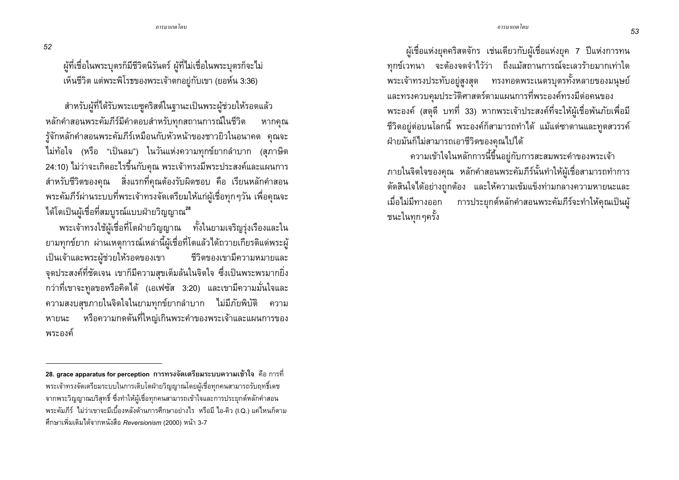52

ผู้ที่เชื่อในพระบุตรก็มีชีวิตนิรันดร์ ผู้ที่ไม่เชื่อในพระบุตรก็จะไม่ ูเห็นชีวิต แต่พระพิโรธของพระเจ้าตกอยู่กับเขา (ยอห์น 3:36)

้สำหรับผู้ที่ได้รับพระเยซูคริสต์ในฐานะเป็นพระผู้ช่วยให้รอดแล้ว หลักคำสอนพระคัมภีร์มีคำตอบสำหรับทุกสถานการณ์ในชีวิต หากคณ รู้จักหลักคำสอนพระคัมภีร์เหมือนกับหัวหน้าของชาวยิวในอนาคต คุณจะ ไม่ท้อใจ (หรือ "เป็นลม") ในวันแห่งความทุกข์ยากลำบาก (สภาษิต 24:10) ไม่ว่าจะเกิดอะไรขึ้นกับคุณ พระเจ้าทรงมีพระประสงค์และแผนการ ี สำหรับชีวิตของคุณ สิ่งแรกที่คุณต้องรับผิดชอบ คือ เรียนหลักคำสอน ้พระคัมภีร์ผ่านระบบที่พระเจ้าทรงจัดเตรียมให้แก่ผู้เชื่อทุกๆวัน เพื่อคุณจะ ได้โตเป็นผู้เชื่อที่สมบูรณ์แบบฝ่ายวิญญาณ<sup>28</sup>

ี พระเจ้าทรงใช้ผู้เชื่อที่โตฝ่ายวิญญาณ ทั้งในยามเจริญรุ่งเรืองและใน ยามทุกข์ยาก ผ่านเหตุการณ์เหล่านี้ผู้เชื่อที่โตแล้วได้ถวายเกียรติแด่พระผู้ เป็นเจ้าและพระผู้ช่วยให้รอดของเขา ชีวิตของเขามีความหมายและ ้จุดประสงค์ที่ชัดเจน เขาก็มีความสุขเต็มล้นในจิตใจ ซึ่งเป็นพระพรมากยิ่ง ่ กว่าที่เขาจะทูลขอหรือคิดได้ (เอเฟซัส 3:20) และเขามีความมั่นใจและ ้ความสงบสุขภายในจิตใจในยามทุกข์ยากลำบาก ไม่มีภัยพิบัติ ความ หรือความกดดันที่ใหญ่เกินพระคำของพระเจ้าและแผนการของ หายนะ พระองค์

้ผู้เชื่อแห่งยุคคริสตจักร เช่นเดียวกับผู้เชื่อแห่งยุค 7 ปีแห่งการทน ทุกข์เวทนา จะต้องจดจำไว้ว่า ถึงแม้สถานการณ์จะเลวร้ายมากเท่าใด พระเจ้าทรงประทับอยู่สูงสุด ทรงทอดพระเนตรบุตรทั้งหลายของมนุษย์ และทรงควบคุมประวัติศาสตร์ตามแผนการที่พระองค์ทรงมีต่อคนของ พระองค์ (สดุดี บทที่ 33) หากพระเจ้าประสงค์ที่จะให้ผู้เชื่อพันภัยเพื่อมี ้ชีวิตอยู่ต่อบนโลกนี้ พระองค์ก็สามารถทำได้ แม้แต่ซาตานและทูตสวรรค์ ฝ่ายมันก็ไม่สามารถเอาชีวิตของคุณไปได้

ความเข้าใจในหลักการนี้ขึ้นอยู่กับการสะสมพระคำของพระเจ้า ภายในจิตใจของคุณ หลักคำสอนพระคัมภีร์นั้นทำให้ผู้เชื่อสามารถทำการ ้ตัดสินใจได้อย่างถูกต้อง และให้ความเข้มแข็งท่ามกลางความหายนะและ เมื่อไม่มีทางออก การประยุกต์หลักคำสอนพระคัมภีร์จะทำให้คุณเป็นผู้ ชนะในทุกๆครั้ง

<sup>28.</sup> grace apparatus for perception การทรงจัดเตรียมระบบความเข้าใจ คือ การที่ ้ พระเจ้าทรงจัดเตรียมระบบในการเติบโตฝ่ายวิญญาณโดยผู้เชื่อทุกคนสามารถรับฤทธิ์เดช ิ จากพระวิญญาณบริสุทธิ์ ซึ่งทำให้ผู้เชื่อทุกคนสามารถเข้าใจและการประยุกต์หลักคำสอน พระคัมภีร์ ไม่ว่าเขาจะมีเบื้องหลังด้านการศึกษาอย่างไร หรือมี ไอ-คิว (I.Q.) แค่ไหนก็ตาม ู้ศึกษาเพิ่มเติมได้จากหนังสือ Reversionism (2000) หน้า 3-7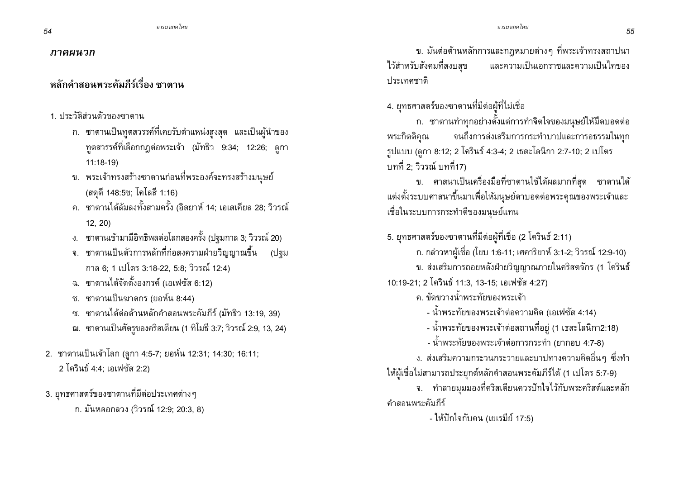#### ภาคผนวก

# หลักคำสอนพระคัมภีร์เรื่อง ซาตาน

## 1 ประวัติส่วนตัวของซาตาน

- ึก. ซาตานเป็นทูตสวรรค์ที่เคยรับตำแหน่งสูงสุด และเป็นผู้นำของ ิทูตสวรรค์ที่เลือกกฎต่อพระเจ้า (มัทธิว 9:34; 12:26; ลูกา  $11:18-19$
- ึ ข. พระเจ้าทรงสร้างซาตานก่อนที่พระองค์จะทรงสร้างมนุษย์ (สดุดี 148:5ข; โคโลสี 1:16)
- ึค. ซาตานได้ล้มลงทั้งสามครั้ง (อิสยาห์ 14; เอเสเคียล 28; วิวรณ์  $12, 20$
- ึง. ซาตานเข้ามามีอิทธิพลต่อโลกสองครั้ง (ปฐมกาล 3; วิวรณ์ 20)
- ึจ. ซาตานเป็นตัวการหลักที่ก่อสงครามฝ่ายวิญญาณขึ้น (ปฐม กาล 6; 1 เปโตร 3:18-22, 5:8; วิวรณ์ 12:4)
- ึฉ. ซาตานได้จัดตั้งองกรค์ (เอเฟซัส 6:12)
- ช. ซาตานเป็นฆาตกร (ยอห์น 8:44)
- ซ. ซาตานได้ต่อต้านหลักคำสอนพระคัมภีร์ (มัทธิว 13:19, 39)
- ฌ. ซาตานเป็นศัตรูของคริสเตียน (1 ทิโมธี 3:7; วิวรณ์ 2:9, 13, 24)
- 2. ซาตานเป็นเจ้าโลก (ลูกา 4:5-7; ยอห์น 12:31; 14:30; 16:11; 2 โครินธ์ 4:4: เอเฟซัส 2:2)
- 3. ยุทธศาสตร์ของซาตานที่มีต่อประเทศต่างๆ

ก. มันหลอกลวง (วิวรณ์ 12:9; 20:3, 8)

ีข. มันต่อต้านหลักการและกฎหมายต่างๆ ที่พระเจ้าทรงสถาปนา ไว้สำหรับสังคมที่สงบสุข และความเป็นเอกราชและความเป็นไทของ ประเทศชาติ

4. ยุทธศาสตร์ของซาตานที่มีต่อผู้ที่ไม่เชื่อ

ึก. ซาตานทำทุกอย่างตั้งแต่การทำจิตใจของมนุษย์ให้มืดบอดต่อ จนถึงการส่งเสริมการกระทำบาปและการอธรรมในทุก พระกิตติคณ รูปแบบ (ลูกา 8:12; 2 โครินธ์ 4:3-4; 2 เธสะโลนิกา 2:7-10; 2 เปโตร บทที่ 2: วิวรณ์ บทที่17)

ี ข. ศาสนาเป็นเครื่องมือที่ซาตานใช้ได้ผลมากที่สุด ซาตานได้ แต่งตั้งระบบศาสนาขึ้นมาเพื่อให้มนุษย์ตาบอดต่อพระคุณของพระเจ้าและ เชื่อในระบบการกระทำดีของมนุษย์แทน

5. ยุทธศาสตร์ของซาตานที่มีต่อผู้ที่เชื่อ (2 โครินธ์ 2:11) ึก. กล่าวหาผู้เชื่อ (โยบ 1:6-11; เศคาริยาห์ 3:1-2; วิวรณ์ 12:9-10) ข. ส่งเสริมการถอยหลังฝ่ายวิญญาณภายในคริสตจักร (1 โครินธ์ 10:19-21; 2 โครินธ์ 11:3, 13-15; เอเฟซัส 4:27) ุด ขัดขวางน้ำพระทัยของพระเจ้า - น้ำพระทัยของพระเจ้าต่อความคิด (เอเฟซัส 4:14) - น้ำพระทัยของพระเจ้าต่อสถานที่อยู่ (1 เธสะโลนิกา2:18)

- น้ำพระทัยของพระเจ้าต่อการกระทำ (ยากอบ 4:7-8)

ึง. ส่งเสริมความกระวนกระวายและบาปทางความคิดอื่นๆ ซึ่งทำ ให้ผู้เชื่อไม่สามารถประยุกต์หลักคำสอนพระคัมภีร์ได้ (1 เปโตร 5:7-9) ึจ. ทำลายมมมองที่คริสเตียนควรปักใจไว้กับพระคริสต์และหลัก คำสอนพระคัมภีร์

- ให้ปักใจกับคน (เยเรมีย์ 17:5)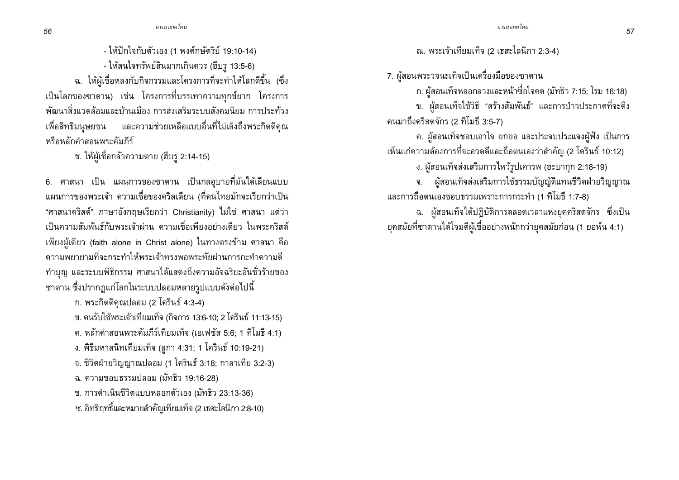- ให้ปักใจกับตัวเอง (1 พงศ์กษัตริย์ 19:10-14)

- ให้สนใจทรัพย์สินมากเกินควร (ฮีบรู 13:5-6)

ฉ. ให้ผู้เชื่อหลงกับกิจกรรมและโครงการที่จะทำให้โลกดีขึ้น (ซึ่ง เป็นโลกของซาตาน) เช่น โครงการที่บรรเทาความทุกข์ยาก โครงการ พัฒนาสิ่งแวดล้อมและบ้านเมือง การส่งเสริมระบบสังคมนิยม การประท้วง เพื่อสิทธิมนุษยชน และความช่วยเหลือแบบอื่นที่ไม่เล็งถึงพระกิตติคุณ หรือหลักคำสอนพระคัมภีร์

ช. ให้ผู้เชื่อกลัวความตาย (ฮีบรู 2:14-15)

6. ศาสนา เป็น แผนการของซาตาน เป็นกลอุบายที่มันได้เลียนแบบ แผนการของพระเจ้า ความเชื่อของคริสเตียน (ที่คนไทยมักจะเรียกว่าเป็น "ศาสนาคริสต์" ภาษาอังกฤษเรียกว่า Christianity) ไม่ใช่ ศาสนา แต่ว่า เป็นความสัมพันธ์กับพระเจ้าผ่าน ความเชื่อเพียงอย่างเดียว ในพระคริสต์ เพียงผู้เดียว (faith alone in Christ alone) ในทางตรงข้าม ศาสนา คือ ความพยายามที่จะกระทำให้พระเจ้าทรงพอพระทัยผ่านการกะทำความดี ทำบุญ และระบบพิธีกรรม ศาสนาได้แสดงถึงความอัจฉริยะอันชั่วร้ายของ ี ซาตาน ซึ่งปรากฏแก่โลกในระบบปลอมหลายรูปแบบดังต่อไปนี้

ึก. พระกิตติคุณปลอม (2 โครินธ์ 4:3-4)

ข. คนรับใช้พระเจ้าเทียมเท็จ (กิจการ 13:6-10; 2 โครินธ์ 11:13-15)

ค. หลักคำสอนพระคัมภีร์เทียมเท็จ (เอเฟซัส 5:6; 1 ทิโมธี 4:1)

ง. พิธีมหาสนิทเทียมเท็จ (ลูกา 4:31; 1 โครินธ์ 10:19-21)

จ. ชีวิตฝ่ายวิญญาณปลอม (1 โครินธ์ 3:18; กาลาเทีย 3:2-3)

ฉ. ความชอบธรรมปลอม (มัทธิว 19:16-28)

ช. การดำเนินชีวิตแบบหลอกตัวเอง (มัทธิว 23:13-36)

ซ. อิทธิฤทธิ์และหมายสำคัญเทียมเท็จ (2 เธสะโลนิกา 2:8-10)

ณ. พระเจ้าเทียมเท็จ (2 เธสะโลนิกา 2:3-4)

7. ผู้สอนพระวจนะเท็จเป็นเครื่องมือของซาตาน

ก. ผู้สอนเท็จหลอกลวงและหน้าซื่อใจคด (มัทธิว 7:15; โรม 16:18)

ข. ผู้สอนเท็จใช้วิธี "สร้างสัมพันธ์" และการป่าวประกาศที่จะดึง คนมาถึงคริสตจักร (2 ทิโมธี 3:5-7)

ค. ผู้สอนเท็จชอบเอาใจ ยกยอ และประจบประแจงผู้ฟัง เป็นการ เห็นแก่ความต้องการที่จะอวดดีและถือตนเองว่าสำคัญ (2 โครินธ์ 10:12)

ง. ผู้สอนเท็จส่งเสริมการไหว้รูปเคารพ (ฮะบากุก 2:18-19)

จ. ผู้สอนเท็จส่งเสริมการใช้ธรรมบัญญัติแทนชีวิตฝ่ายวิญญาณ และการถือตนเองชอบธรรมเพราะการกระทำ (1 ทิโมธี 1:7-8)

ฉ. ผู้สอนเท็จได้ปฏิบัติการตลอดเวลาแห่งยุคคริสตจักร ซึ่งเป็น ยุคสมัยที่ซาตานได้โจมตีผู้เชื่ออย่างหนักกว่ายุคสมัยก่อน (1 ยอห์น 4:1)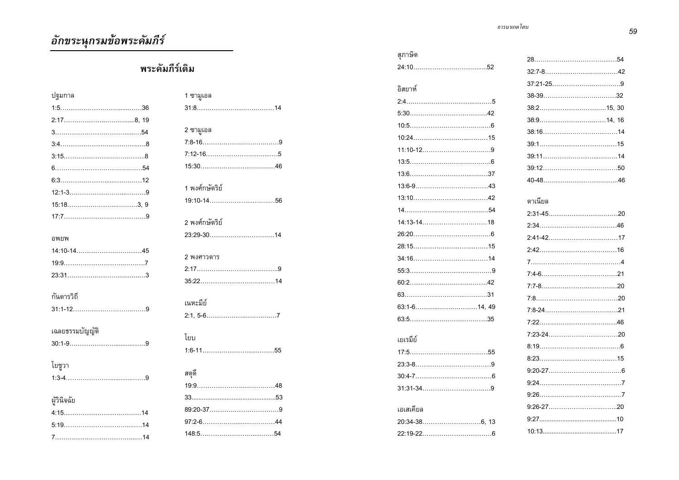## พระคัมภีร์เดิม

| ปฐมกาล          |
|-----------------|
|                 |
|                 |
|                 |
|                 |
|                 |
|                 |
|                 |
|                 |
|                 |
|                 |
|                 |
| อพยพ            |
|                 |
|                 |
|                 |
|                 |
| กันดารวิถี      |
|                 |
|                 |
| เฉลยธรรมบัญญัติ |
|                 |
| โยชูวา          |
|                 |
|                 |
| ผู้วินิจฉัย     |
|                 |
|                 |
|                 |
|                 |

| 1 ซามูเอล      |
|----------------|
|                |
|                |
| 2 ซามูเอล      |
|                |
|                |
|                |
|                |
| 1 พงศ์กษัตริย์ |
|                |
|                |
| 2 พงศ์กษัตริย์ |
| 23.29-3014     |
|                |
| 2 พงศาวดาร     |
|                |
|                |
| เนหะมีย์       |
|                |
|                |
| โยบ            |
|                |
|                |
| สดุดี          |
|                |
|                |
|                |
|                |
|                |
|                |

| สุภาษิต          |                         |
|------------------|-------------------------|
|                  | ź                       |
|                  | ć                       |
| อิสยาห์          | ă                       |
|                  | ŝ                       |
|                  | ć                       |
| $10:5$ 6         | ă                       |
|                  | ă                       |
|                  | ă                       |
|                  | ă                       |
|                  | Ś                       |
|                  | $\overline{\mathbf{r}}$ |
|                  | G                       |
|                  | ź                       |
|                  | ź                       |
|                  |                         |
|                  | ź<br>2                  |
| $34:16$ and $14$ | 7                       |
|                  | 7                       |
|                  | 7                       |
|                  | 7                       |
|                  | 7                       |
|                  | $\overline{1}$          |
|                  | 7                       |
| เยเรมีย์         | ٤                       |
|                  | ξ                       |
|                  | Š                       |
|                  | ç                       |
|                  | Ś                       |
|                  | Ś                       |
| เอเสเคียล        |                         |
|                  | Ś                       |
|                  | 1                       |

ี *- อารมาเกด โดน* 

| 38:914, 16 |  |
|------------|--|
|            |  |
|            |  |
|            |  |
|            |  |
|            |  |
|            |  |
| ดาเนียล    |  |
|            |  |
|            |  |
|            |  |
|            |  |
|            |  |
|            |  |
|            |  |
|            |  |
|            |  |
|            |  |
|            |  |
|            |  |
|            |  |
|            |  |
|            |  |
|            |  |
|            |  |
|            |  |
| $10.13$ 17 |  |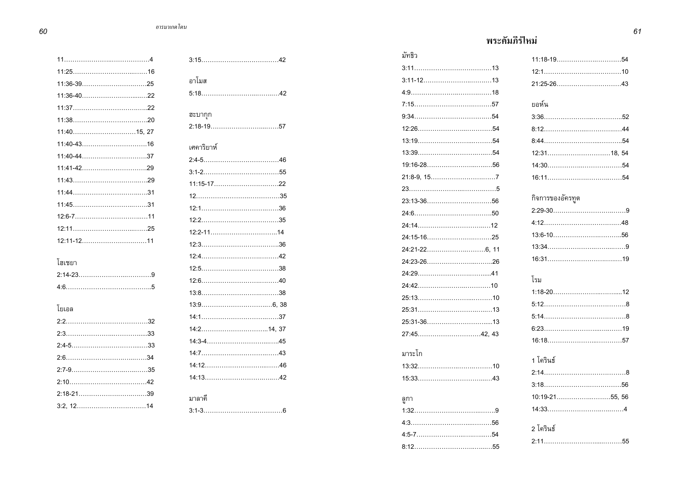| 11:36-3925  |
|-------------|
| 11:36-4022  |
|             |
|             |
| 11:4015, 27 |
| 11:40-4316  |
|             |
|             |
|             |
|             |
|             |
|             |
|             |
|             |
| โสเชยา      |
|             |
|             |
| โยเอล       |
|             |
|             |
|             |
|             |
|             |
|             |
| 2:18-2139   |
|             |

| อาโมส      |
|------------|
|            |
| ฮะบากุก    |
|            |
| เศคาริยาห์ |
|            |
|            |
| 11:15-1722 |
|            |
|            |
|            |
|            |
|            |
|            |
|            |
|            |
|            |
|            |
|            |
|            |
|            |
|            |
|            |
|            |
| มาลาคี     |
|            |

#### พระคัมภิร์ไหม่ *<sup>61</sup>*

| มัทธิว     |                  |
|------------|------------------|
| $3.11$ 13  |                  |
|            |                  |
|            |                  |
|            | ยอห์น            |
|            |                  |
|            |                  |
|            |                  |
|            |                  |
|            |                  |
|            |                  |
|            |                  |
|            | กิจการของอัครทูต |
|            |                  |
| $24.14$ 12 |                  |
|            |                  |
|            |                  |
|            |                  |
|            | โรม              |
|            |                  |
|            |                  |
|            |                  |
|            |                  |
|            |                  |
|            |                  |
| มาระโก     | 1 โครินธ์        |
| $13.32$ 10 |                  |
|            |                  |
|            |                  |
| ลูกา       |                  |
|            |                  |
|            | 2 โครินธ์        |
|            |                  |
|            |                  |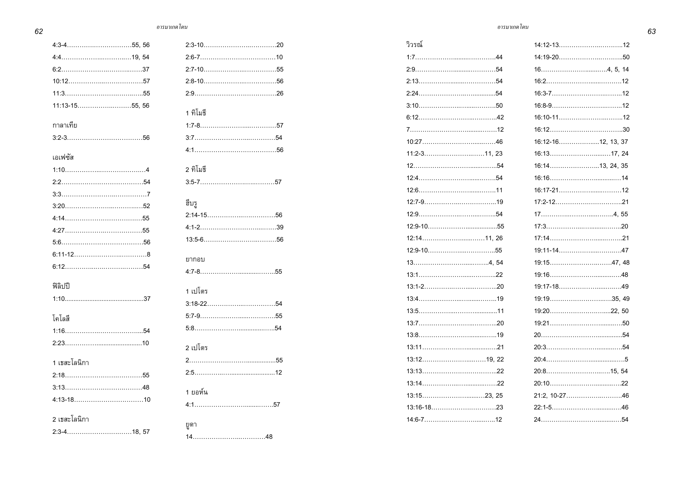*62*

|                       |     |                    | วิวรณ์              |                    |
|-----------------------|-----|--------------------|---------------------|--------------------|
|                       |     |                    |                     |                    |
|                       |     |                    |                     |                    |
|                       |     |                    |                     |                    |
|                       |     |                    |                     |                    |
|                       |     |                    |                     |                    |
|                       |     | 1 ทิโมธี           |                     |                    |
| กาลาเทีย              |     |                    |                     |                    |
|                       |     |                    |                     | 16:12-1612, 13, 37 |
| เอเฟซัส               |     |                    |                     |                    |
|                       |     | 2 ทิโมธี           |                     | 16:1413, 24, 35    |
|                       |     | $3.5 - 7 \dots 57$ |                     |                    |
|                       |     |                    |                     |                    |
|                       |     | ฮ็บรู              |                     |                    |
|                       |     |                    |                     |                    |
|                       |     |                    |                     | 20                 |
|                       |     |                    |                     |                    |
|                       |     |                    |                     |                    |
|                       |     | ยากอบ              |                     |                    |
|                       |     |                    |                     |                    |
| ฟิลิปปี               |     | 1 เปโตร            |                     |                    |
|                       |     |                    |                     |                    |
|                       |     |                    |                     |                    |
| โคโลสี                |     |                    | $13:7$ 20           |                    |
|                       | .54 |                    |                     |                    |
|                       |     | 2 เปโตร            |                     |                    |
| 1 เธสะโลนิกา          |     |                    |                     |                    |
|                       |     |                    |                     |                    |
|                       |     |                    |                     |                    |
|                       |     | 1 ยอห์น            |                     |                    |
|                       |     |                    |                     |                    |
| 2 เธสะโลนิกา          |     | ยูดา               | $14.6 - 7 \dots 12$ |                    |
| 2:3-4…………………………18. 57 |     |                    |                     |                    |

| 1 ทิโมธี |
|----------|
|          |
|          |
|          |
| 2 ทิโมธี |
|          |
| ฮ็บรู    |
|          |
|          |
|          |
| ยากอบ    |
|          |
| 1 เปโตร  |
|          |
|          |
|          |
| 2 เปโตร  |
|          |
|          |
| 1 ยอห์น  |
|          |
| ยูดา     |
|          |

| วิวรณ์       |                    |  |
|--------------|--------------------|--|
| $1:744$      |                    |  |
|              |                    |  |
|              |                    |  |
|              |                    |  |
|              |                    |  |
|              |                    |  |
|              |                    |  |
|              | 16:12-1612, 13, 37 |  |
| 11:2-311, 23 |                    |  |
|              | 16:1413, 24, 35    |  |
|              |                    |  |
|              |                    |  |
|              |                    |  |
|              |                    |  |
|              |                    |  |
|              |                    |  |
|              |                    |  |
|              |                    |  |
|              |                    |  |
|              |                    |  |
|              |                    |  |
|              |                    |  |
|              |                    |  |
|              |                    |  |
|              |                    |  |
|              |                    |  |
|              |                    |  |
|              |                    |  |
|              |                    |  |
|              |                    |  |
|              |                    |  |
|              |                    |  |

ี *- อารมาเกด โดน*